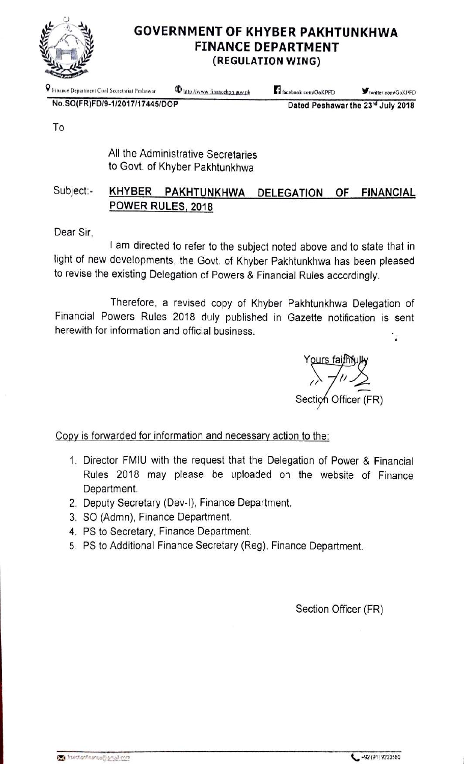

### **GOVERNMENT OF KHYBER PAKHTUNKHWA FINANCE DEPARTMENT** (REGULATION WING)

P Finance Department Civil Secretariat Peshawar

<sup>(1)</sup> littp://www.financekpp.gov.pk

facebook com/GoKPFD

twitter.com/GoKPFD

No.SO(FR)FD/9-1/2017/17445/DOP

Dated Peshawar the 23rd July 2018

To

All the Administrative Secretaries to Govt. of Khyber Pakhtunkhwa

#### Subject:-KHYBER PAKHTUNKHWA DELEGATION OF **FINANCIAL** POWER RULES, 2018

Dear Sir.

I am directed to refer to the subject noted above and to state that in light of new developments, the Govt. of Khyber Pakhtunkhwa has been pleased to revise the existing Delegation of Powers & Financial Rules accordingly.

Therefore, a revised copy of Khyber Pakhtunkhwa Delegation of Financial Powers Rules 2018 duly published in Gazette notification is sent herewith for information and official business.  $\cdot$ 

Yours faifh Section Officer (FR)

Copy is forwarded for information and necessary action to the:

- 1. Director FMIU with the request that the Delegation of Power & Financial Rules 2018 may please be uploaded on the website of Finance Department.
- 2. Deputy Secretary (Dev-I), Finance Department.
- 3. SO (Admn), Finance Department.
- 4. PS to Secretary, Finance Department.
- 5. PS to Additional Finance Secretary (Reg), Finance Department.

Section Officer (FR)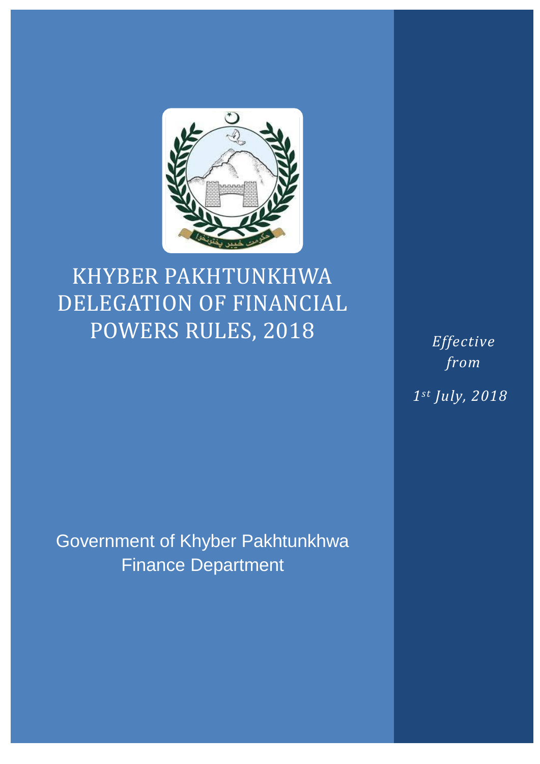

# KHYBER PAKHTUNKHWA DELEGATION OF FINANCIAL POWERS RULES, 2018

*Effective from 1st July, 2018*

Government of Khyber Pakhtunkhwa Finance Department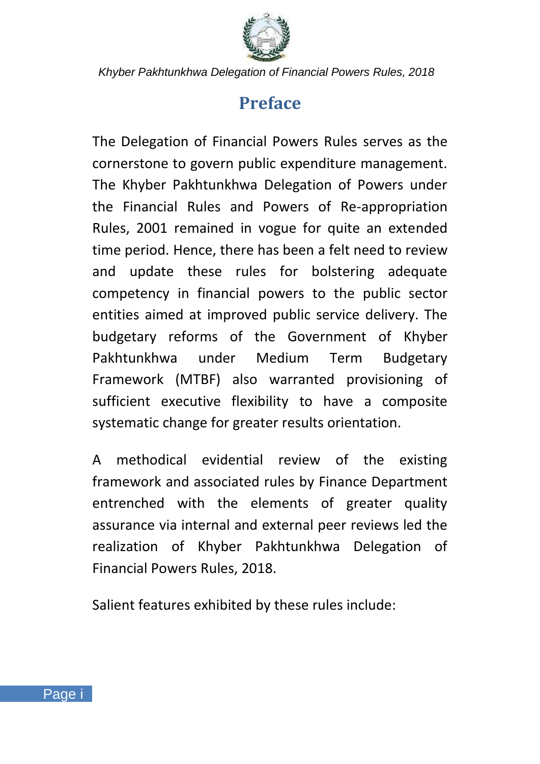

### **Preface**

<span id="page-2-0"></span>The Delegation of Financial Powers Rules serves as the cornerstone to govern public expenditure management. The Khyber Pakhtunkhwa Delegation of Powers under the Financial Rules and Powers of Re-appropriation Rules, 2001 remained in vogue for quite an extended time period. Hence, there has been a felt need to review and update these rules for bolstering adequate competency in financial powers to the public sector entities aimed at improved public service delivery. The budgetary reforms of the Government of Khyber Pakhtunkhwa under Medium Term Budgetary Framework (MTBF) also warranted provisioning of sufficient executive flexibility to have a composite systematic change for greater results orientation.

A methodical evidential review of the existing framework and associated rules by Finance Department entrenched with the elements of greater quality assurance via internal and external peer reviews led the realization of Khyber Pakhtunkhwa Delegation of Financial Powers Rules, 2018.

Salient features exhibited by these rules include: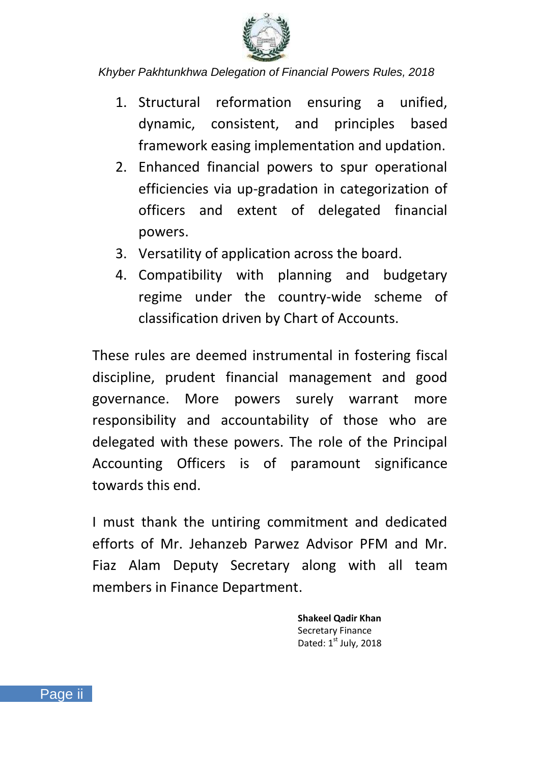

- 1. Structural reformation ensuring a unified, dynamic, consistent, and principles based framework easing implementation and updation.
- 2. Enhanced financial powers to spur operational efficiencies via up-gradation in categorization of officers and extent of delegated financial powers.
- 3. Versatility of application across the board.
- 4. Compatibility with planning and budgetary regime under the country-wide scheme of classification driven by Chart of Accounts.

These rules are deemed instrumental in fostering fiscal discipline, prudent financial management and good governance. More powers surely warrant more responsibility and accountability of those who are delegated with these powers. The role of the Principal Accounting Officers is of paramount significance towards this end.

I must thank the untiring commitment and dedicated efforts of Mr. Jehanzeb Parwez Advisor PFM and Mr. Fiaz Alam Deputy Secretary along with all team members in Finance Department.

> **Shakeel Qadir Khan** Secretary Finance Dated:  $1<sup>st</sup>$  July, 2018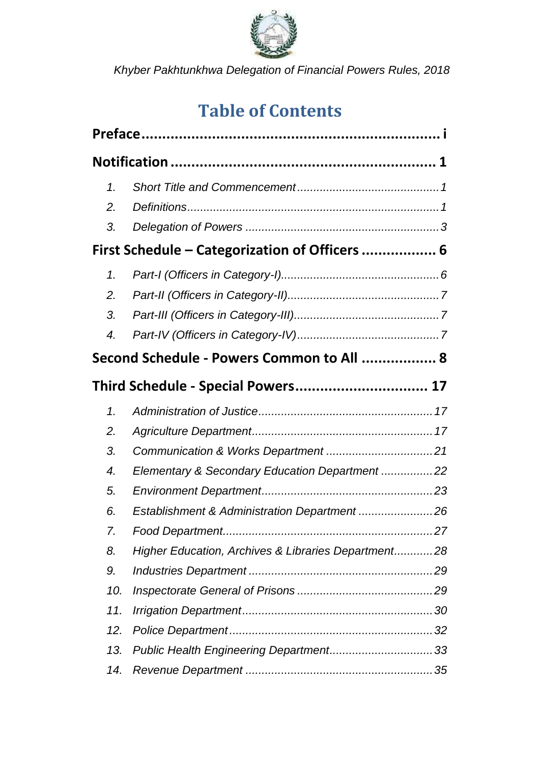

## **Table of Contents**

| 1.                 |                                                     |  |
|--------------------|-----------------------------------------------------|--|
| 2.                 |                                                     |  |
| 3.                 |                                                     |  |
|                    | First Schedule - Categorization of Officers  6      |  |
| 1.                 |                                                     |  |
| $\overline{2}$ .   |                                                     |  |
| 3.                 |                                                     |  |
| $\boldsymbol{4}$ . |                                                     |  |
|                    | Second Schedule - Powers Common to All  8           |  |
|                    | Third Schedule - Special Powers 17                  |  |
| 1.                 |                                                     |  |
| 2.                 |                                                     |  |
| 3.                 |                                                     |  |
| 4.                 | Elementary & Secondary Education Department 22      |  |
| 5.                 |                                                     |  |
| 6.                 | Establishment & Administration Department 26        |  |
| 7.                 |                                                     |  |
| 8.                 | Higher Education, Archives & Libraries Department28 |  |
| 9.                 |                                                     |  |
| 10.                |                                                     |  |
| 11.                |                                                     |  |
| 12.                |                                                     |  |
| 13.                | Public Health Engineering Department 33             |  |
| 14.                |                                                     |  |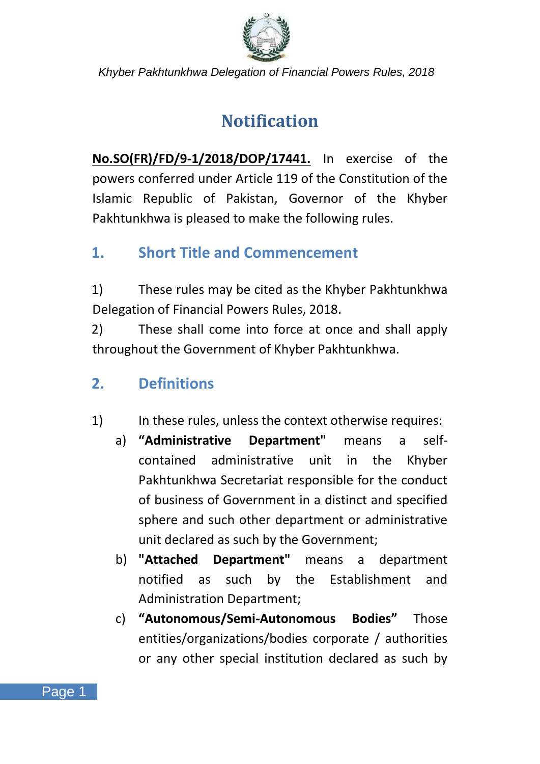

## **Notification**

<span id="page-5-0"></span>**No.SO(FR)/FD/9-1/2018/DOP/17441.** In exercise of the powers conferred under Article 119 of the Constitution of the Islamic Republic of Pakistan, Governor of the Khyber Pakhtunkhwa is pleased to make the following rules.

### <span id="page-5-1"></span>**1. Short Title and Commencement**

1) These rules may be cited as the Khyber Pakhtunkhwa Delegation of Financial Powers Rules, 2018.

2) These shall come into force at once and shall apply throughout the Government of Khyber Pakhtunkhwa.

### <span id="page-5-2"></span>**2. Definitions**

- 1) In these rules, unless the context otherwise requires:
	- a) **"Administrative Department"** means a selfcontained administrative unit in the Khyber Pakhtunkhwa Secretariat responsible for the conduct of business of Government in a distinct and specified sphere and such other department or administrative unit declared as such by the Government;
	- b) **"Attached Department"** means a department notified as such by the Establishment and Administration Department;
	- c) **"Autonomous/Semi-Autonomous Bodies"** Those entities/organizations/bodies corporate / authorities or any other special institution declared as such by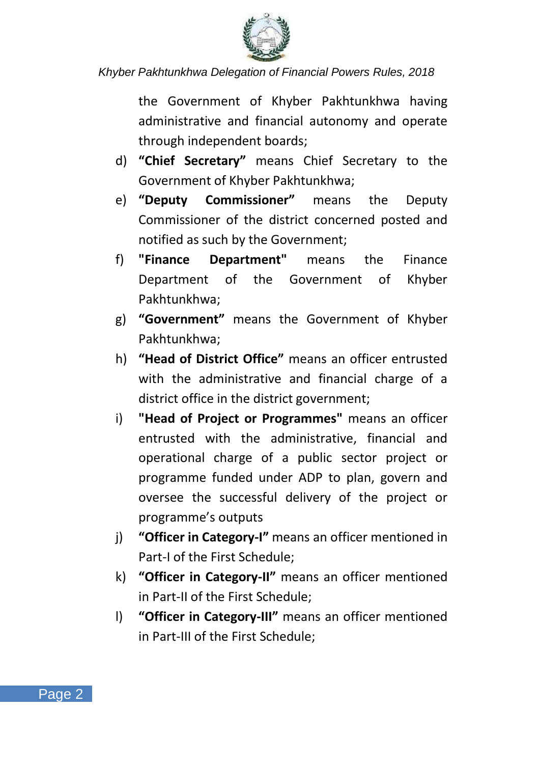

the Government of Khyber Pakhtunkhwa having administrative and financial autonomy and operate through independent boards;

- d) **"Chief Secretary"** means Chief Secretary to the Government of Khyber Pakhtunkhwa;
- e) **"Deputy Commissioner"** means the Deputy Commissioner of the district concerned posted and notified as such by the Government;
- f) **"Finance Department"** means the Finance Department of the Government of Khyber Pakhtunkhwa;
- g) **"Government"** means the Government of Khyber Pakhtunkhwa;
- h) **"Head of District Office"** means an officer entrusted with the administrative and financial charge of a district office in the district government;
- i) **"Head of Project or Programmes"** means an officer entrusted with the administrative, financial and operational charge of a public sector project or programme funded under ADP to plan, govern and oversee the successful delivery of the project or programme's outputs
- j) **"Officer in Category-I"** means an officer mentioned in Part-I of the First Schedule;
- k) **"Officer in Category-II"** means an officer mentioned in Part-II of the First Schedule;
- l) **"Officer in Category-III"** means an officer mentioned in Part-III of the First Schedule;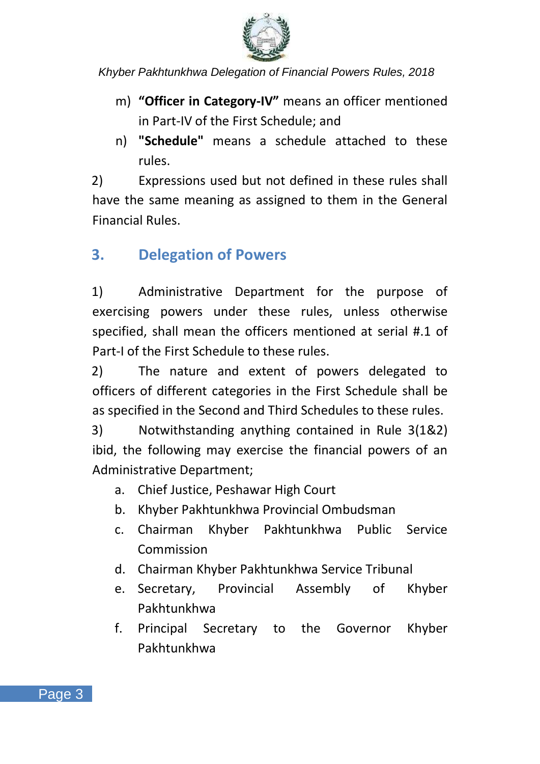

- m) **"Officer in Category-IV"** means an officer mentioned in Part-IV of the First Schedule; and
- n) **"Schedule"** means a schedule attached to these rules.

2) Expressions used but not defined in these rules shall have the same meaning as assigned to them in the General Financial Rules.

### <span id="page-7-0"></span>**3. Delegation of Powers**

1) Administrative Department for the purpose of exercising powers under these rules, unless otherwise specified, shall mean the officers mentioned at serial #.1 of Part-I of the First Schedule to these rules.

2) The nature and extent of powers delegated to officers of different categories in the First Schedule shall be as specified in the Second and Third Schedules to these rules.

3) Notwithstanding anything contained in Rule 3(1&2) ibid, the following may exercise the financial powers of an Administrative Department;

- a. Chief Justice, Peshawar High Court
- b. Khyber Pakhtunkhwa Provincial Ombudsman
- c. Chairman Khyber Pakhtunkhwa Public Service Commission
- d. Chairman Khyber Pakhtunkhwa Service Tribunal
- e. Secretary, Provincial Assembly of Khyber Pakhtunkhwa
- f. Principal Secretary to the Governor Khyber Pakhtunkhwa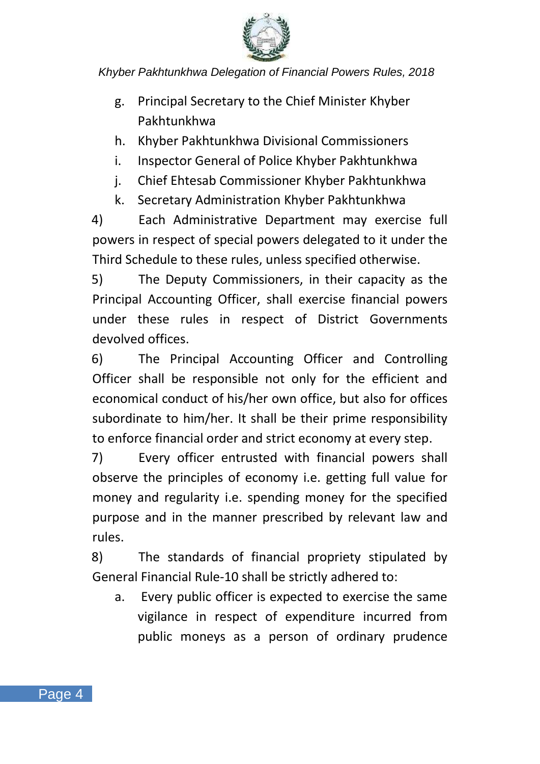

- g. Principal Secretary to the Chief Minister Khyber Pakhtunkhwa
- h. Khyber Pakhtunkhwa Divisional Commissioners
- i. Inspector General of Police Khyber Pakhtunkhwa
- j. Chief Ehtesab Commissioner Khyber Pakhtunkhwa
- k. Secretary Administration Khyber Pakhtunkhwa

4) Each Administrative Department may exercise full powers in respect of special powers delegated to it under the Third Schedule to these rules, unless specified otherwise.

5) The Deputy Commissioners, in their capacity as the Principal Accounting Officer, shall exercise financial powers under these rules in respect of District Governments devolved offices.

6) The Principal Accounting Officer and Controlling Officer shall be responsible not only for the efficient and economical conduct of his/her own office, but also for offices subordinate to him/her. It shall be their prime responsibility to enforce financial order and strict economy at every step.

7) Every officer entrusted with financial powers shall observe the principles of economy i.e. getting full value for money and regularity i.e. spending money for the specified purpose and in the manner prescribed by relevant law and rules.

8) The standards of financial propriety stipulated by General Financial Rule-10 shall be strictly adhered to:

a. Every public officer is expected to exercise the same vigilance in respect of expenditure incurred from public moneys as a person of ordinary prudence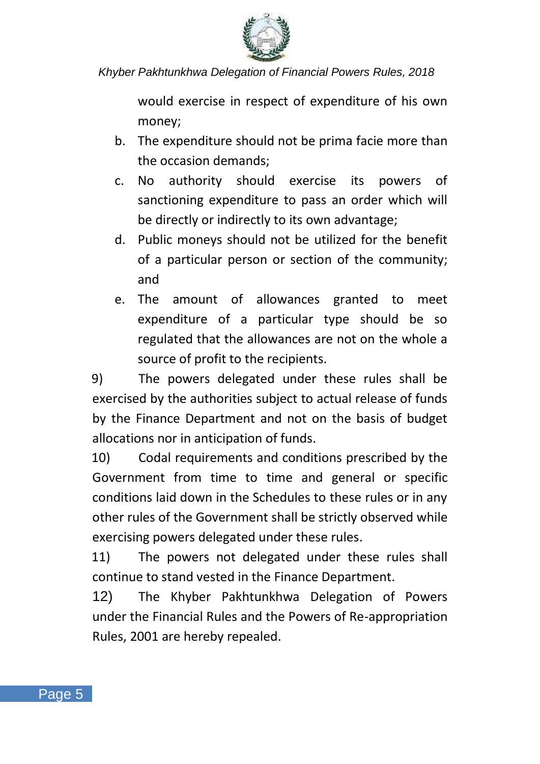

would exercise in respect of expenditure of his own money;

- b. The expenditure should not be prima facie more than the occasion demands;
- c. No authority should exercise its powers of sanctioning expenditure to pass an order which will be directly or indirectly to its own advantage;
- d. Public moneys should not be utilized for the benefit of a particular person or section of the community; and
- e. The amount of allowances granted to meet expenditure of a particular type should be so regulated that the allowances are not on the whole a source of profit to the recipients.

9) The powers delegated under these rules shall be exercised by the authorities subject to actual release of funds by the Finance Department and not on the basis of budget allocations nor in anticipation of funds.

10) Codal requirements and conditions prescribed by the Government from time to time and general or specific conditions laid down in the Schedules to these rules or in any other rules of the Government shall be strictly observed while exercising powers delegated under these rules.

11) The powers not delegated under these rules shall continue to stand vested in the Finance Department.

12) The Khyber Pakhtunkhwa Delegation of Powers under the Financial Rules and the Powers of Re-appropriation Rules, 2001 are hereby repealed.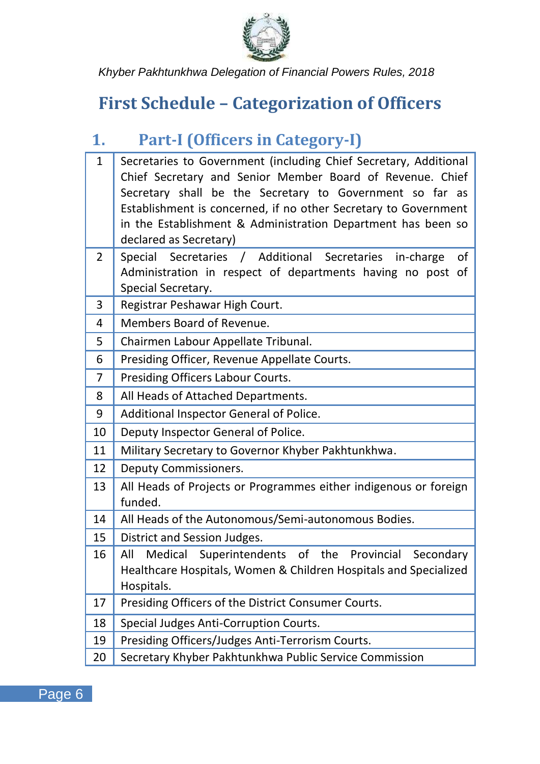

## <span id="page-10-0"></span>**First Schedule – Categorization of Officers**

## <span id="page-10-1"></span>**1. Part-I (Officers in Category-I)**

| $\mathbf{1}$ | Secretaries to Government (including Chief Secretary, Additional          |
|--------------|---------------------------------------------------------------------------|
|              | Chief Secretary and Senior Member Board of Revenue. Chief                 |
|              | Secretary shall be the Secretary to Government so far as                  |
|              | Establishment is concerned, if no other Secretary to Government           |
|              | in the Establishment & Administration Department has been so              |
|              | declared as Secretary)                                                    |
| 2            | Special Secretaries / Additional Secretaries<br>in-charge<br>of           |
|              | Administration in respect of departments having no post of                |
| 3            | Special Secretary.<br>Registrar Peshawar High Court.                      |
|              | Members Board of Revenue.                                                 |
| 4            |                                                                           |
| 5            | Chairmen Labour Appellate Tribunal.                                       |
| 6            | Presiding Officer, Revenue Appellate Courts.                              |
| 7            | Presiding Officers Labour Courts.                                         |
| 8            | All Heads of Attached Departments.                                        |
| 9            | Additional Inspector General of Police.                                   |
| 10           | Deputy Inspector General of Police.                                       |
| 11           | Military Secretary to Governor Khyber Pakhtunkhwa.                        |
| 12           | Deputy Commissioners.                                                     |
| 13           | All Heads of Projects or Programmes either indigenous or foreign          |
|              | funded.                                                                   |
| 14           | All Heads of the Autonomous/Semi-autonomous Bodies.                       |
| 15           | District and Session Judges.                                              |
| 16           | All<br>Medical<br>Superintendents<br>of<br>the<br>Provincial<br>Secondary |
|              | Healthcare Hospitals, Women & Children Hospitals and Specialized          |
|              | Hospitals.                                                                |
| 17           | Presiding Officers of the District Consumer Courts.                       |
| 18           | Special Judges Anti-Corruption Courts.                                    |
| 19           | Presiding Officers/Judges Anti-Terrorism Courts.                          |
| 20           | Secretary Khyber Pakhtunkhwa Public Service Commission                    |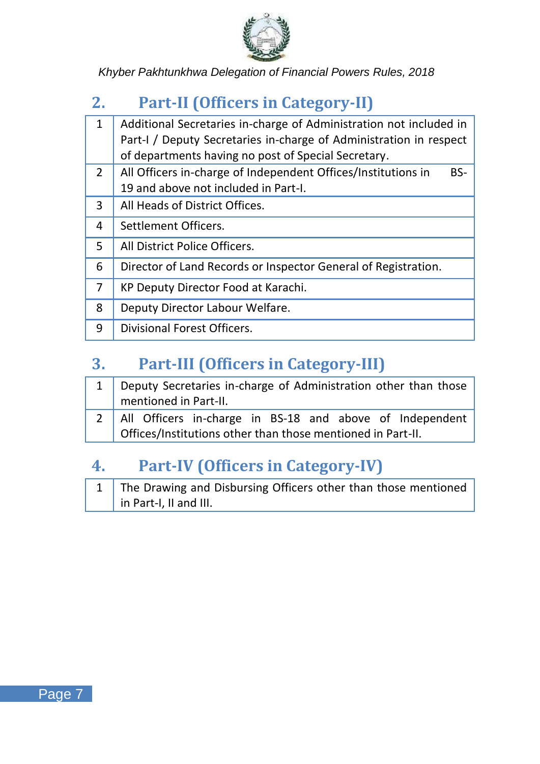

### <span id="page-11-0"></span>**2. Part-II (Officers in Category-II)**

| 1             | Additional Secretaries in-charge of Administration not included in   |
|---------------|----------------------------------------------------------------------|
|               | Part-I / Deputy Secretaries in-charge of Administration in respect   |
|               | of departments having no post of Special Secretary.                  |
| $\mathcal{P}$ | All Officers in-charge of Independent Offices/Institutions in<br>BS- |
|               | 19 and above not included in Part-I.                                 |
| 3             | All Heads of District Offices.                                       |
| 4             | Settlement Officers.                                                 |
| 5             | All District Police Officers.                                        |
| 6             | Director of Land Records or Inspector General of Registration.       |
| 7             | KP Deputy Director Food at Karachi.                                  |
| 8             | Deputy Director Labour Welfare.                                      |
| q             | Divisional Forest Officers.                                          |

### <span id="page-11-1"></span>**3. Part-III (Officers in Category-III)**

| 1   Deputy Secretaries in-charge of Administration other than those |  |  |  |  |  |
|---------------------------------------------------------------------|--|--|--|--|--|
| mentioned in Part-II.                                               |  |  |  |  |  |
| 2   All Officers in-charge in BS-18 and above of Independent        |  |  |  |  |  |
| Offices/Institutions other than those mentioned in Part-II.         |  |  |  |  |  |

### <span id="page-11-2"></span>**4. Part-IV (Officers in Category-IV)**

| 1 The Drawing and Disbursing Officers other than those mentioned |
|------------------------------------------------------------------|
| in Part-I, II and III.                                           |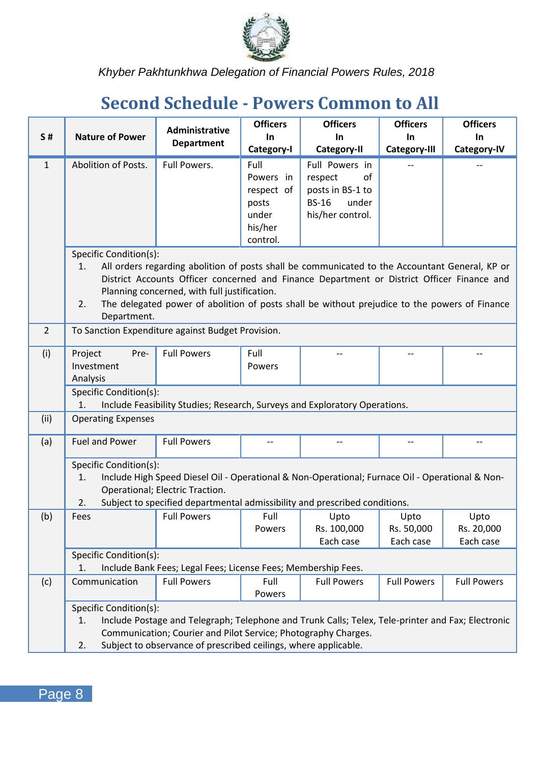

## <span id="page-12-0"></span>**Second Schedule - Powers Common to All**

|                |                                                   | Administrative<br><b>Department</b>                                                               | <b>Officers</b>     | <b>Officers</b>       | <b>Officers</b>         | <b>Officers</b>         |
|----------------|---------------------------------------------------|---------------------------------------------------------------------------------------------------|---------------------|-----------------------|-------------------------|-------------------------|
| <b>S#</b>      | <b>Nature of Power</b>                            |                                                                                                   | In.                 | <b>In</b>             | In.                     | In.                     |
|                |                                                   |                                                                                                   | Category-I          | Category-II           | Category-III            | Category-IV             |
| $\mathbf{1}$   | Abolition of Posts.                               | Full Powers.                                                                                      | Full                | Full Powers in        |                         |                         |
|                |                                                   |                                                                                                   | Powers in           | οf<br>respect         |                         |                         |
|                |                                                   |                                                                                                   | respect of          | posts in BS-1 to      |                         |                         |
|                |                                                   |                                                                                                   | posts               | <b>BS-16</b><br>under |                         |                         |
|                |                                                   |                                                                                                   | under               | his/her control.      |                         |                         |
|                |                                                   |                                                                                                   | his/her<br>control. |                       |                         |                         |
|                | Specific Condition(s):                            |                                                                                                   |                     |                       |                         |                         |
|                | 1.                                                | All orders regarding abolition of posts shall be communicated to the Accountant General, KP or    |                     |                       |                         |                         |
|                |                                                   | District Accounts Officer concerned and Finance Department or District Officer Finance and        |                     |                       |                         |                         |
|                |                                                   | Planning concerned, with full justification.                                                      |                     |                       |                         |                         |
|                | 2.                                                | The delegated power of abolition of posts shall be without prejudice to the powers of Finance     |                     |                       |                         |                         |
|                | Department.                                       |                                                                                                   |                     |                       |                         |                         |
| $\overline{2}$ | To Sanction Expenditure against Budget Provision. |                                                                                                   |                     |                       |                         |                         |
| (i)            | Project<br>Pre-                                   | <b>Full Powers</b>                                                                                | Full                |                       |                         |                         |
|                | Investment                                        |                                                                                                   | Powers              |                       |                         |                         |
|                | Analysis                                          |                                                                                                   |                     |                       |                         |                         |
|                | Specific Condition(s):<br>1.                      | Include Feasibility Studies; Research, Surveys and Exploratory Operations.                        |                     |                       |                         |                         |
| (ii)           | <b>Operating Expenses</b>                         |                                                                                                   |                     |                       |                         |                         |
| (a)            | <b>Fuel and Power</b>                             | <b>Full Powers</b>                                                                                |                     |                       |                         |                         |
|                | Specific Condition(s):                            |                                                                                                   |                     |                       |                         |                         |
|                | 1.                                                | Include High Speed Diesel Oil - Operational & Non-Operational; Furnace Oil - Operational & Non-   |                     |                       |                         |                         |
|                |                                                   | Operational; Electric Traction.                                                                   |                     |                       |                         |                         |
|                | 2.                                                | Subject to specified departmental admissibility and prescribed conditions.                        |                     |                       |                         |                         |
| (b)            | Fees                                              | <b>Full Powers</b>                                                                                | Full                | Upto<br>Rs. 100,000   | Upto                    | Upto                    |
|                |                                                   |                                                                                                   | Powers              | Each case             | Rs. 50,000<br>Each case | Rs. 20,000<br>Each case |
|                | Specific Condition(s):                            |                                                                                                   |                     |                       |                         |                         |
|                | 1.                                                | Include Bank Fees; Legal Fees; License Fees; Membership Fees.                                     |                     |                       |                         |                         |
| (c)            | Communication                                     | <b>Full Powers</b>                                                                                | Full                | <b>Full Powers</b>    | <b>Full Powers</b>      | <b>Full Powers</b>      |
|                |                                                   |                                                                                                   | Powers              |                       |                         |                         |
|                | Specific Condition(s):                            |                                                                                                   |                     |                       |                         |                         |
|                | 1.                                                | Include Postage and Telegraph; Telephone and Trunk Calls; Telex, Tele-printer and Fax; Electronic |                     |                       |                         |                         |
|                |                                                   | Communication; Courier and Pilot Service; Photography Charges.                                    |                     |                       |                         |                         |
|                | 2.                                                | Subject to observance of prescribed ceilings, where applicable.                                   |                     |                       |                         |                         |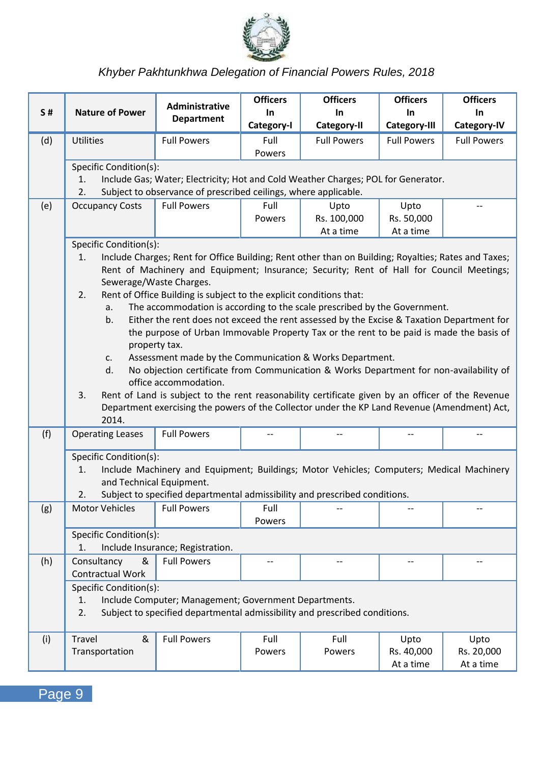

| <b>Officers</b><br><b>Officers</b><br><b>Administrative</b>                                                                | <b>Officers</b>                                                                   | <b>Officers</b>          |  |  |  |  |  |  |
|----------------------------------------------------------------------------------------------------------------------------|-----------------------------------------------------------------------------------|--------------------------|--|--|--|--|--|--|
| S#<br><b>Nature of Power</b><br><b>In</b><br>In.<br><b>Department</b><br>Category-I<br>Category-II                         | In.<br>Category-III                                                               | <b>In</b><br>Category-IV |  |  |  |  |  |  |
| (d)<br><b>Utilities</b><br><b>Full Powers</b><br>Full<br><b>Full Powers</b>                                                | <b>Full Powers</b>                                                                | <b>Full Powers</b>       |  |  |  |  |  |  |
| Powers                                                                                                                     |                                                                                   |                          |  |  |  |  |  |  |
| Specific Condition(s):                                                                                                     |                                                                                   |                          |  |  |  |  |  |  |
| 1.<br>2.<br>Subject to observance of prescribed ceilings, where applicable.                                                | Include Gas; Water; Electricity; Hot and Cold Weather Charges; POL for Generator. |                          |  |  |  |  |  |  |
| (e)<br><b>Occupancy Costs</b><br><b>Full Powers</b><br>Full<br>Upto                                                        | Upto                                                                              |                          |  |  |  |  |  |  |
| Rs. 100,000<br>Powers                                                                                                      | Rs. 50,000                                                                        |                          |  |  |  |  |  |  |
| At a time                                                                                                                  | At a time                                                                         |                          |  |  |  |  |  |  |
| Specific Condition(s):                                                                                                     |                                                                                   |                          |  |  |  |  |  |  |
| Include Charges; Rent for Office Building; Rent other than on Building; Royalties; Rates and Taxes;<br>1.                  |                                                                                   |                          |  |  |  |  |  |  |
| Rent of Machinery and Equipment; Insurance; Security; Rent of Hall for Council Meetings;<br>Sewerage/Waste Charges.        |                                                                                   |                          |  |  |  |  |  |  |
| Rent of Office Building is subject to the explicit conditions that:<br>2.                                                  |                                                                                   |                          |  |  |  |  |  |  |
| The accommodation is according to the scale prescribed by the Government.<br>a.                                            |                                                                                   |                          |  |  |  |  |  |  |
| Either the rent does not exceed the rent assessed by the Excise & Taxation Department for<br>b.                            |                                                                                   |                          |  |  |  |  |  |  |
| the purpose of Urban Immovable Property Tax or the rent to be paid is made the basis of                                    |                                                                                   |                          |  |  |  |  |  |  |
| property tax.<br>Assessment made by the Communication & Works Department.<br>c.                                            |                                                                                   |                          |  |  |  |  |  |  |
| No objection certificate from Communication & Works Department for non-availability of<br>d.                               |                                                                                   |                          |  |  |  |  |  |  |
| office accommodation.                                                                                                      |                                                                                   |                          |  |  |  |  |  |  |
| 3.<br>Rent of Land is subject to the rent reasonability certificate given by an officer of the Revenue                     |                                                                                   |                          |  |  |  |  |  |  |
| Department exercising the powers of the Collector under the KP Land Revenue (Amendment) Act,<br>2014.                      |                                                                                   |                          |  |  |  |  |  |  |
| <b>Operating Leases</b><br><b>Full Powers</b><br>(f)<br>$\overline{a}$<br>$\overline{a}$                                   | $\overline{a}$                                                                    |                          |  |  |  |  |  |  |
|                                                                                                                            |                                                                                   |                          |  |  |  |  |  |  |
| Specific Condition(s):                                                                                                     |                                                                                   |                          |  |  |  |  |  |  |
| 1.<br>Include Machinery and Equipment; Buildings; Motor Vehicles; Computers; Medical Machinery<br>and Technical Equipment. |                                                                                   |                          |  |  |  |  |  |  |
| Subject to specified departmental admissibility and prescribed conditions.<br>2.                                           |                                                                                   |                          |  |  |  |  |  |  |
| <b>Motor Vehicles</b><br><b>Full Powers</b><br>Full<br>(g)                                                                 |                                                                                   |                          |  |  |  |  |  |  |
| Powers                                                                                                                     |                                                                                   |                          |  |  |  |  |  |  |
| Specific Condition(s):                                                                                                     |                                                                                   |                          |  |  |  |  |  |  |
| Include Insurance; Registration.<br>1.                                                                                     |                                                                                   |                          |  |  |  |  |  |  |
| Consultancy<br>(h)<br>&<br><b>Full Powers</b><br>--<br>$\overline{\phantom{a}}$<br><b>Contractual Work</b>                 | --                                                                                | $\overline{a}$           |  |  |  |  |  |  |
| Specific Condition(s):                                                                                                     |                                                                                   |                          |  |  |  |  |  |  |
| 1.<br>Include Computer; Management; Government Departments.                                                                |                                                                                   |                          |  |  |  |  |  |  |
| 2.<br>Subject to specified departmental admissibility and prescribed conditions.                                           |                                                                                   |                          |  |  |  |  |  |  |
|                                                                                                                            |                                                                                   |                          |  |  |  |  |  |  |
| &<br><b>Full Powers</b><br>Full<br>Travel<br>Full<br>(i)                                                                   | Upto                                                                              | Upto                     |  |  |  |  |  |  |
| Transportation<br>Powers<br>Powers                                                                                         | Rs. 40,000<br>At a time                                                           | Rs. 20,000<br>At a time  |  |  |  |  |  |  |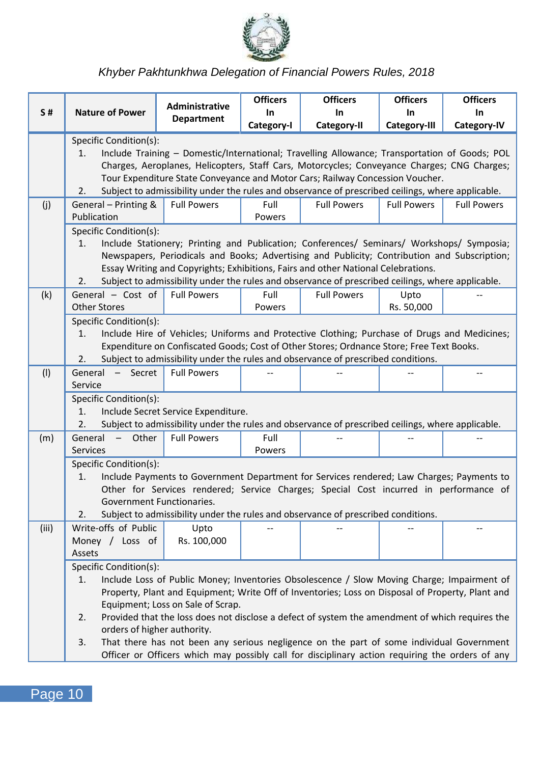

|           |                                                                                                                                                                                                                                                                                                                                                                                                                          | <b>Administrative</b>                                                                                                                                                                                                                                                                                                                                                               | <b>Officers</b>   | <b>Officers</b>    | <b>Officers</b>     | <b>Officers</b>    |  |
|-----------|--------------------------------------------------------------------------------------------------------------------------------------------------------------------------------------------------------------------------------------------------------------------------------------------------------------------------------------------------------------------------------------------------------------------------|-------------------------------------------------------------------------------------------------------------------------------------------------------------------------------------------------------------------------------------------------------------------------------------------------------------------------------------------------------------------------------------|-------------------|--------------------|---------------------|--------------------|--|
| <b>S#</b> | <b>Nature of Power</b>                                                                                                                                                                                                                                                                                                                                                                                                   | Department                                                                                                                                                                                                                                                                                                                                                                          | In.<br>Category-I | In.<br>Category-II | In.<br>Category-III | In.<br>Category-IV |  |
|           | Specific Condition(s):<br>Include Training - Domestic/International; Travelling Allowance; Transportation of Goods; POL<br>1.<br>Charges, Aeroplanes, Helicopters, Staff Cars, Motorcycles; Conveyance Charges; CNG Charges;<br>Tour Expenditure State Conveyance and Motor Cars; Railway Concession Voucher.<br>Subject to admissibility under the rules and observance of prescribed ceilings, where applicable.<br>2. |                                                                                                                                                                                                                                                                                                                                                                                     |                   |                    |                     |                    |  |
| (i)       | General - Printing &<br>Publication                                                                                                                                                                                                                                                                                                                                                                                      | <b>Full Powers</b>                                                                                                                                                                                                                                                                                                                                                                  | Full<br>Powers    | <b>Full Powers</b> | <b>Full Powers</b>  | <b>Full Powers</b> |  |
|           | Specific Condition(s):<br>1.<br>2.                                                                                                                                                                                                                                                                                                                                                                                       | Include Stationery; Printing and Publication; Conferences/ Seminars/ Workshops/ Symposia;<br>Newspapers, Periodicals and Books; Advertising and Publicity; Contribution and Subscription;<br>Essay Writing and Copyrights; Exhibitions, Fairs and other National Celebrations.<br>Subject to admissibility under the rules and observance of prescribed ceilings, where applicable. |                   |                    |                     |                    |  |
| (k)       | General - Cost of<br><b>Other Stores</b>                                                                                                                                                                                                                                                                                                                                                                                 | <b>Full Powers</b>                                                                                                                                                                                                                                                                                                                                                                  | Full<br>Powers    | <b>Full Powers</b> | Upto<br>Rs. 50,000  |                    |  |
|           | Specific Condition(s):<br>Include Hire of Vehicles; Uniforms and Protective Clothing; Purchase of Drugs and Medicines;<br>1.<br>Expenditure on Confiscated Goods; Cost of Other Stores; Ordnance Store; Free Text Books.<br>Subject to admissibility under the rules and observance of prescribed conditions.<br>2.                                                                                                      |                                                                                                                                                                                                                                                                                                                                                                                     |                   |                    |                     |                    |  |
| (1)       | General - Secret<br>Service                                                                                                                                                                                                                                                                                                                                                                                              | <b>Full Powers</b>                                                                                                                                                                                                                                                                                                                                                                  |                   |                    |                     |                    |  |
|           | Specific Condition(s):<br>1.<br>2.                                                                                                                                                                                                                                                                                                                                                                                       | Include Secret Service Expenditure.<br>Subject to admissibility under the rules and observance of prescribed ceilings, where applicable.                                                                                                                                                                                                                                            |                   |                    |                     |                    |  |
| (m)       | Other<br>General<br>$\sim$<br><b>Services</b>                                                                                                                                                                                                                                                                                                                                                                            | <b>Full Powers</b>                                                                                                                                                                                                                                                                                                                                                                  | Full<br>Powers    |                    |                     |                    |  |
|           | Specific Condition(s):<br>1.<br>Government Functionaries.<br>2.                                                                                                                                                                                                                                                                                                                                                          | Include Payments to Government Department for Services rendered; Law Charges; Payments to<br>Other for Services rendered; Service Charges; Special Cost incurred in performance of<br>Subject to admissibility under the rules and observance of prescribed conditions.                                                                                                             |                   |                    |                     |                    |  |
| (iii)     | Write-offs of Public<br>Money / Loss of<br>Assets                                                                                                                                                                                                                                                                                                                                                                        | Upto<br>Rs. 100,000                                                                                                                                                                                                                                                                                                                                                                 |                   |                    |                     |                    |  |
|           | Specific Condition(s):<br>1.<br>Include Loss of Public Money; Inventories Obsolescence / Slow Moving Charge; Impairment of<br>Property, Plant and Equipment; Write Off of Inventories; Loss on Disposal of Property, Plant and<br>Equipment; Loss on Sale of Scrap.<br>2.<br>Provided that the loss does not disclose a defect of system the amendment of which requires the                                             |                                                                                                                                                                                                                                                                                                                                                                                     |                   |                    |                     |                    |  |
|           | orders of higher authority.<br>3.                                                                                                                                                                                                                                                                                                                                                                                        | That there has not been any serious negligence on the part of some individual Government<br>Officer or Officers which may possibly call for disciplinary action requiring the orders of any                                                                                                                                                                                         |                   |                    |                     |                    |  |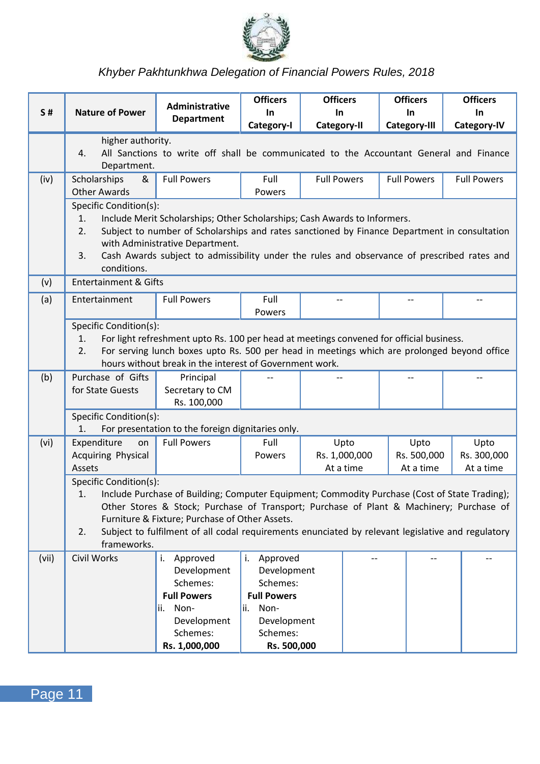

| <b>S#</b> | <b>Nature of Power</b>                                                                                                                                                                                                                                                                                                                                                                               | Administrative<br><b>Department</b>                                                    | <b>Officers</b><br>In<br>Category-I | <b>Officers</b><br>In<br>Category-II | <b>Officers</b><br>In<br>Category-III | <b>Officers</b><br>In<br>Category-IV |
|-----------|------------------------------------------------------------------------------------------------------------------------------------------------------------------------------------------------------------------------------------------------------------------------------------------------------------------------------------------------------------------------------------------------------|----------------------------------------------------------------------------------------|-------------------------------------|--------------------------------------|---------------------------------------|--------------------------------------|
|           | higher authority.<br>4.<br>Department.                                                                                                                                                                                                                                                                                                                                                               | All Sanctions to write off shall be communicated to the Accountant General and Finance |                                     |                                      |                                       |                                      |
| (iv)      | Scholarships<br>&<br><b>Other Awards</b>                                                                                                                                                                                                                                                                                                                                                             | <b>Full Powers</b>                                                                     | Full<br>Powers                      | <b>Full Powers</b>                   | <b>Full Powers</b>                    | <b>Full Powers</b>                   |
|           | Specific Condition(s):<br>1.<br>Include Merit Scholarships; Other Scholarships; Cash Awards to Informers.<br>2.<br>Subject to number of Scholarships and rates sanctioned by Finance Department in consultation<br>with Administrative Department.<br>Cash Awards subject to admissibility under the rules and observance of prescribed rates and<br>3.<br>conditions.                               |                                                                                        |                                     |                                      |                                       |                                      |
| (v)       | <b>Entertainment &amp; Gifts</b>                                                                                                                                                                                                                                                                                                                                                                     |                                                                                        |                                     |                                      |                                       |                                      |
| (a)       | Entertainment                                                                                                                                                                                                                                                                                                                                                                                        | <b>Full Powers</b>                                                                     | Full<br>Powers                      |                                      |                                       |                                      |
|           | Specific Condition(s):<br>For light refreshment upto Rs. 100 per head at meetings convened for official business.<br>1.<br>2.<br>For serving lunch boxes upto Rs. 500 per head in meetings which are prolonged beyond office<br>hours without break in the interest of Government work.                                                                                                              |                                                                                        |                                     |                                      |                                       |                                      |
| (b)       | Purchase of Gifts<br>for State Guests                                                                                                                                                                                                                                                                                                                                                                | Principal<br>Secretary to CM<br>Rs. 100,000                                            |                                     |                                      | $-$                                   |                                      |
|           | Specific Condition(s):<br>1.                                                                                                                                                                                                                                                                                                                                                                         | For presentation to the foreign dignitaries only.                                      |                                     |                                      |                                       |                                      |
| (vi)      | Expenditure<br>on                                                                                                                                                                                                                                                                                                                                                                                    | <b>Full Powers</b>                                                                     | Full                                | Upto                                 | Upto                                  | Upto                                 |
|           | <b>Acquiring Physical</b>                                                                                                                                                                                                                                                                                                                                                                            |                                                                                        | Powers                              | Rs. 1,000,000                        | Rs. 500,000                           | Rs. 300,000                          |
|           | Assets                                                                                                                                                                                                                                                                                                                                                                                               |                                                                                        |                                     | At a time                            | At a time                             | At a time                            |
|           | Specific Condition(s):<br>1.<br>Include Purchase of Building; Computer Equipment; Commodity Purchase (Cost of State Trading);<br>Other Stores & Stock; Purchase of Transport; Purchase of Plant & Machinery; Purchase of<br>Furniture & Fixture; Purchase of Other Assets.<br>2.<br>Subject to fulfilment of all codal requirements enunciated by relevant legislative and regulatory<br>frameworks. |                                                                                        |                                     |                                      |                                       |                                      |
| (vii)     | Civil Works                                                                                                                                                                                                                                                                                                                                                                                          | i. Approved                                                                            | i. Approved                         |                                      |                                       |                                      |
|           |                                                                                                                                                                                                                                                                                                                                                                                                      | Development                                                                            | Development<br>Schemes:             |                                      |                                       |                                      |
|           |                                                                                                                                                                                                                                                                                                                                                                                                      | Schemes:<br><b>Full Powers</b>                                                         | <b>Full Powers</b>                  |                                      |                                       |                                      |
|           |                                                                                                                                                                                                                                                                                                                                                                                                      | Non-<br>ii.                                                                            | lii. Non-                           |                                      |                                       |                                      |
|           |                                                                                                                                                                                                                                                                                                                                                                                                      | Development                                                                            | Development                         |                                      |                                       |                                      |
|           |                                                                                                                                                                                                                                                                                                                                                                                                      | Schemes:                                                                               | Schemes:                            |                                      |                                       |                                      |
|           |                                                                                                                                                                                                                                                                                                                                                                                                      | Rs. 1,000,000                                                                          | Rs. 500,000                         |                                      |                                       |                                      |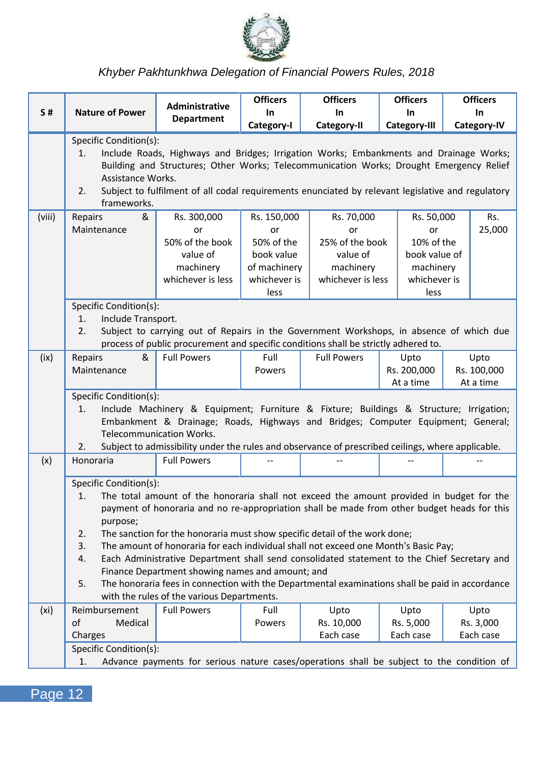

|                   |                                                                                                                                                                                                                                                                                                                                                                                                                                                                                                                                                                                                                                                                                                                                      | <b>Administrative</b>                                                                                                   | <b>Officers</b>                                                                       | <b>Officers</b>                                                                   | <b>Officers</b>                                                                      | <b>Officers</b>                  |  |
|-------------------|--------------------------------------------------------------------------------------------------------------------------------------------------------------------------------------------------------------------------------------------------------------------------------------------------------------------------------------------------------------------------------------------------------------------------------------------------------------------------------------------------------------------------------------------------------------------------------------------------------------------------------------------------------------------------------------------------------------------------------------|-------------------------------------------------------------------------------------------------------------------------|---------------------------------------------------------------------------------------|-----------------------------------------------------------------------------------|--------------------------------------------------------------------------------------|----------------------------------|--|
| S#                | <b>Nature of Power</b>                                                                                                                                                                                                                                                                                                                                                                                                                                                                                                                                                                                                                                                                                                               | Department                                                                                                              | In.<br>Category-I                                                                     | In.<br>Category-II                                                                | In.<br>Category-III                                                                  | <b>In</b><br>Category-IV         |  |
|                   | Specific Condition(s):<br>Include Roads, Highways and Bridges; Irrigation Works; Embankments and Drainage Works;<br>1.<br>Building and Structures; Other Works; Telecommunication Works; Drought Emergency Relief<br>Assistance Works.<br>2.<br>Subject to fulfilment of all codal requirements enunciated by relevant legislative and regulatory                                                                                                                                                                                                                                                                                                                                                                                    |                                                                                                                         |                                                                                       |                                                                                   |                                                                                      |                                  |  |
| (viii)            | frameworks.<br>Repairs<br>&<br>Maintenance                                                                                                                                                                                                                                                                                                                                                                                                                                                                                                                                                                                                                                                                                           | Rs. 300,000<br>or<br>50% of the book<br>value of<br>machinery<br>whichever is less                                      | Rs. 150,000<br>or<br>50% of the<br>book value<br>of machinery<br>whichever is<br>less | Rs. 70,000<br>or<br>25% of the book<br>value of<br>machinery<br>whichever is less | Rs. 50,000<br>or<br>10% of the<br>book value of<br>machinery<br>whichever is<br>less | Rs.<br>25,000                    |  |
|                   | Specific Condition(s):<br>Include Transport.<br>1.<br>2.<br>Subject to carrying out of Repairs in the Government Workshops, in absence of which due<br>process of public procurement and specific conditions shall be strictly adhered to.                                                                                                                                                                                                                                                                                                                                                                                                                                                                                           |                                                                                                                         |                                                                                       |                                                                                   |                                                                                      |                                  |  |
| (ix)              | &<br>Repairs<br>Maintenance                                                                                                                                                                                                                                                                                                                                                                                                                                                                                                                                                                                                                                                                                                          | <b>Full Powers</b>                                                                                                      | Full<br>Powers                                                                        | <b>Full Powers</b>                                                                | Upto<br>Rs. 200,000<br>At a time                                                     | Upto<br>Rs. 100,000<br>At a time |  |
|                   | Specific Condition(s):<br>Include Machinery & Equipment; Furniture & Fixture; Buildings & Structure; Irrigation;<br>1.<br>Embankment & Drainage; Roads, Highways and Bridges; Computer Equipment; General;<br><b>Telecommunication Works.</b>                                                                                                                                                                                                                                                                                                                                                                                                                                                                                        |                                                                                                                         |                                                                                       |                                                                                   |                                                                                      |                                  |  |
| (x)               | 2.<br>Honoraria                                                                                                                                                                                                                                                                                                                                                                                                                                                                                                                                                                                                                                                                                                                      | Subject to admissibility under the rules and observance of prescribed ceilings, where applicable.<br><b>Full Powers</b> |                                                                                       |                                                                                   |                                                                                      |                                  |  |
|                   | Specific Condition(s):<br>The total amount of the honoraria shall not exceed the amount provided in budget for the<br>1.<br>payment of honoraria and no re-appropriation shall be made from other budget heads for this<br>purpose;<br>2.<br>The sanction for the honoraria must show specific detail of the work done;<br>3.<br>The amount of honoraria for each individual shall not exceed one Month's Basic Pay;<br>4.<br>Each Administrative Department shall send consolidated statement to the Chief Secretary and<br>Finance Department showing names and amount; and<br>The honoraria fees in connection with the Departmental examinations shall be paid in accordance<br>5.<br>with the rules of the various Departments. |                                                                                                                         |                                                                                       |                                                                                   |                                                                                      |                                  |  |
| (x <sub>i</sub> ) | Reimbursement<br>of<br>Medical<br>Charges<br>Specific Condition(s):<br>1.                                                                                                                                                                                                                                                                                                                                                                                                                                                                                                                                                                                                                                                            | <b>Full Powers</b><br>Advance payments for serious nature cases/operations shall be subject to the condition of         | Full<br>Powers                                                                        | Upto<br>Rs. 10,000<br>Each case                                                   | Upto<br>Rs. 5,000<br>Each case                                                       | Upto<br>Rs. 3,000<br>Each case   |  |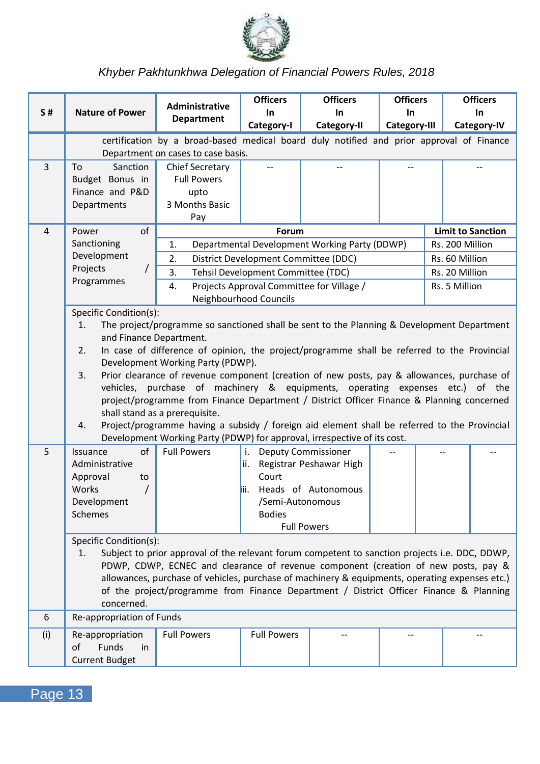

|                | <b>Nature of Power</b>       | Administrative                                                                                                                   | <b>Officers</b>                                                                                                                                                          | <b>Officers</b>                               | <b>Officers</b>     |                          | <b>Officers</b>    |
|----------------|------------------------------|----------------------------------------------------------------------------------------------------------------------------------|--------------------------------------------------------------------------------------------------------------------------------------------------------------------------|-----------------------------------------------|---------------------|--------------------------|--------------------|
| <b>S#</b>      |                              | Department                                                                                                                       | In.<br>Category-I                                                                                                                                                        | In.<br>Category-II                            | In.<br>Category-III |                          | In.<br>Category-IV |
|                |                              | certification by a broad-based medical board duly notified and prior approval of Finance                                         |                                                                                                                                                                          |                                               |                     |                          |                    |
|                |                              | Department on cases to case basis.                                                                                               |                                                                                                                                                                          |                                               |                     |                          |                    |
| 3              | To<br>Sanction               | Chief Secretary                                                                                                                  |                                                                                                                                                                          |                                               |                     |                          |                    |
|                | Budget Bonus in              | <b>Full Powers</b>                                                                                                               |                                                                                                                                                                          |                                               |                     |                          |                    |
|                | Finance and P&D              | upto                                                                                                                             |                                                                                                                                                                          |                                               |                     |                          |                    |
|                | Departments                  | 3 Months Basic                                                                                                                   |                                                                                                                                                                          |                                               |                     |                          |                    |
| $\overline{4}$ | of<br>Power                  | Pay                                                                                                                              | Forum                                                                                                                                                                    |                                               |                     | <b>Limit to Sanction</b> |                    |
|                | Sanctioning                  | 1.                                                                                                                               |                                                                                                                                                                          | Departmental Development Working Party (DDWP) |                     | Rs. 200 Million          |                    |
|                | Development                  | 2.                                                                                                                               | District Development Committee (DDC)                                                                                                                                     |                                               |                     | Rs. 60 Million           |                    |
|                | Projects<br>$\prime$         | 3.                                                                                                                               | Tehsil Development Committee (TDC)                                                                                                                                       |                                               |                     | Rs. 20 Million           |                    |
|                | Programmes                   | 4.                                                                                                                               |                                                                                                                                                                          | Projects Approval Committee for Village /     |                     | Rs. 5 Million            |                    |
|                |                              |                                                                                                                                  | Neighbourhood Councils                                                                                                                                                   |                                               |                     |                          |                    |
|                | Specific Condition(s):       |                                                                                                                                  |                                                                                                                                                                          |                                               |                     |                          |                    |
|                | 1.                           | The project/programme so sanctioned shall be sent to the Planning & Development Department                                       |                                                                                                                                                                          |                                               |                     |                          |                    |
|                | and Finance Department.      |                                                                                                                                  |                                                                                                                                                                          |                                               |                     |                          |                    |
|                | 2.                           | In case of difference of opinion, the project/programme shall be referred to the Provincial<br>Development Working Party (PDWP). |                                                                                                                                                                          |                                               |                     |                          |                    |
|                | 3.                           | Prior clearance of revenue component (creation of new posts, pay & allowances, purchase of                                       |                                                                                                                                                                          |                                               |                     |                          |                    |
|                |                              | vehicles, purchase of machinery & equipments, operating expenses etc.) of the                                                    |                                                                                                                                                                          |                                               |                     |                          |                    |
|                |                              | project/programme from Finance Department / District Officer Finance & Planning concerned                                        |                                                                                                                                                                          |                                               |                     |                          |                    |
|                |                              | shall stand as a prerequisite.                                                                                                   |                                                                                                                                                                          |                                               |                     |                          |                    |
|                | 4.                           |                                                                                                                                  | Project/programme having a subsidy / foreign aid element shall be referred to the Provincial<br>Development Working Party (PDWP) for approval, irrespective of its cost. |                                               |                     |                          |                    |
| 5              | Issuance<br>of               | <b>Full Powers</b>                                                                                                               |                                                                                                                                                                          |                                               |                     |                          |                    |
|                | Administrative               |                                                                                                                                  | i. Deputy Commissioner                                                                                                                                                   | ii. Registrar Peshawar High                   |                     |                          |                    |
|                | Approval<br>to               |                                                                                                                                  | Court                                                                                                                                                                    |                                               |                     |                          |                    |
|                | Works<br>$\prime$            |                                                                                                                                  |                                                                                                                                                                          | iii. Heads of Autonomous                      |                     |                          |                    |
|                | Development                  |                                                                                                                                  | /Semi-Autonomous                                                                                                                                                         |                                               |                     |                          |                    |
|                | <b>Schemes</b>               |                                                                                                                                  | <b>Bodies</b>                                                                                                                                                            |                                               |                     |                          |                    |
|                |                              |                                                                                                                                  |                                                                                                                                                                          | <b>Full Powers</b>                            |                     |                          |                    |
|                | Specific Condition(s):<br>1. | Subject to prior approval of the relevant forum competent to sanction projects i.e. DDC, DDWP,                                   |                                                                                                                                                                          |                                               |                     |                          |                    |
|                |                              | PDWP, CDWP, ECNEC and clearance of revenue component (creation of new posts, pay &                                               |                                                                                                                                                                          |                                               |                     |                          |                    |
|                |                              | allowances, purchase of vehicles, purchase of machinery & equipments, operating expenses etc.)                                   |                                                                                                                                                                          |                                               |                     |                          |                    |
|                |                              | of the project/programme from Finance Department / District Officer Finance & Planning                                           |                                                                                                                                                                          |                                               |                     |                          |                    |
|                | concerned.                   |                                                                                                                                  |                                                                                                                                                                          |                                               |                     |                          |                    |
| 6              | Re-appropriation of Funds    |                                                                                                                                  |                                                                                                                                                                          |                                               |                     |                          |                    |
| (i)            | Re-appropriation             | <b>Full Powers</b>                                                                                                               | <b>Full Powers</b>                                                                                                                                                       |                                               |                     |                          |                    |
|                | of<br><b>Funds</b><br>in     |                                                                                                                                  |                                                                                                                                                                          |                                               |                     |                          |                    |
|                | <b>Current Budget</b>        |                                                                                                                                  |                                                                                                                                                                          |                                               |                     |                          |                    |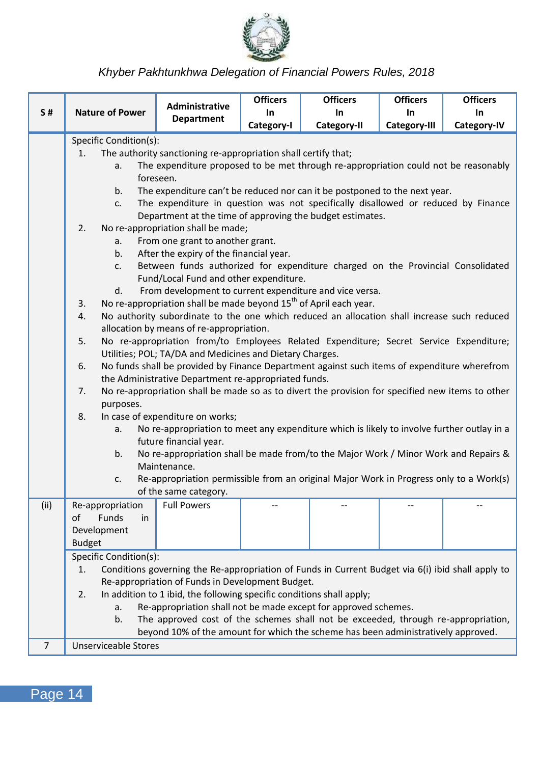

|                |                              | <b>Administrative</b>                                                                                                                                 | <b>Officers</b> | <b>Officers</b> | <b>Officers</b> | <b>Officers</b> |  |  |
|----------------|------------------------------|-------------------------------------------------------------------------------------------------------------------------------------------------------|-----------------|-----------------|-----------------|-----------------|--|--|
| S#             | <b>Nature of Power</b>       | <b>Department</b>                                                                                                                                     | In              | In.             | In.             | In              |  |  |
|                |                              |                                                                                                                                                       | Category-I      | Category-II     | Category-III    | Category-IV     |  |  |
|                | Specific Condition(s):       |                                                                                                                                                       |                 |                 |                 |                 |  |  |
|                | 1.                           | The authority sanctioning re-appropriation shall certify that;                                                                                        |                 |                 |                 |                 |  |  |
|                | a.                           | The expenditure proposed to be met through re-appropriation could not be reasonably<br>foreseen.                                                      |                 |                 |                 |                 |  |  |
|                | b.                           | The expenditure can't be reduced nor can it be postponed to the next year.                                                                            |                 |                 |                 |                 |  |  |
|                | c.                           | The expenditure in question was not specifically disallowed or reduced by Finance                                                                     |                 |                 |                 |                 |  |  |
|                |                              | Department at the time of approving the budget estimates.                                                                                             |                 |                 |                 |                 |  |  |
|                | 2.                           | No re-appropriation shall be made;                                                                                                                    |                 |                 |                 |                 |  |  |
|                | a.                           | From one grant to another grant.                                                                                                                      |                 |                 |                 |                 |  |  |
|                | b.                           | After the expiry of the financial year.                                                                                                               |                 |                 |                 |                 |  |  |
|                | c.                           | Between funds authorized for expenditure charged on the Provincial Consolidated                                                                       |                 |                 |                 |                 |  |  |
|                |                              | Fund/Local Fund and other expenditure.                                                                                                                |                 |                 |                 |                 |  |  |
|                | d.                           | From development to current expenditure and vice versa.<br>No re-appropriation shall be made beyond 15 <sup>th</sup> of April each year.              |                 |                 |                 |                 |  |  |
|                | 3.<br>4.                     | No authority subordinate to the one which reduced an allocation shall increase such reduced                                                           |                 |                 |                 |                 |  |  |
|                |                              | allocation by means of re-appropriation.                                                                                                              |                 |                 |                 |                 |  |  |
|                | 5.                           | No re-appropriation from/to Employees Related Expenditure; Secret Service Expenditure;                                                                |                 |                 |                 |                 |  |  |
|                |                              | Utilities; POL; TA/DA and Medicines and Dietary Charges.                                                                                              |                 |                 |                 |                 |  |  |
|                | 6.                           | No funds shall be provided by Finance Department against such items of expenditure wherefrom                                                          |                 |                 |                 |                 |  |  |
|                |                              | the Administrative Department re-appropriated funds.                                                                                                  |                 |                 |                 |                 |  |  |
|                | 7.                           | No re-appropriation shall be made so as to divert the provision for specified new items to other                                                      |                 |                 |                 |                 |  |  |
|                | purposes.                    |                                                                                                                                                       |                 |                 |                 |                 |  |  |
|                | 8.                           | In case of expenditure on works;<br>No re-appropriation to meet any expenditure which is likely to involve further outlay in a                        |                 |                 |                 |                 |  |  |
|                | a.                           | future financial year.                                                                                                                                |                 |                 |                 |                 |  |  |
|                | b.                           | No re-appropriation shall be made from/to the Major Work / Minor Work and Repairs &                                                                   |                 |                 |                 |                 |  |  |
|                |                              | Maintenance.                                                                                                                                          |                 |                 |                 |                 |  |  |
|                | c.                           | Re-appropriation permissible from an original Major Work in Progress only to a Work(s)                                                                |                 |                 |                 |                 |  |  |
|                |                              | of the same category.                                                                                                                                 |                 |                 |                 |                 |  |  |
| (ii)           | Re-appropriation             | <b>Full Powers</b>                                                                                                                                    |                 |                 |                 |                 |  |  |
|                | of<br>Funds<br>in            |                                                                                                                                                       |                 |                 |                 |                 |  |  |
|                | Development                  |                                                                                                                                                       |                 |                 |                 |                 |  |  |
|                | <b>Budget</b>                |                                                                                                                                                       |                 |                 |                 |                 |  |  |
|                | Specific Condition(s):<br>1. |                                                                                                                                                       |                 |                 |                 |                 |  |  |
|                |                              | Conditions governing the Re-appropriation of Funds in Current Budget via 6(i) ibid shall apply to<br>Re-appropriation of Funds in Development Budget. |                 |                 |                 |                 |  |  |
|                | 2.                           | In addition to 1 ibid, the following specific conditions shall apply;                                                                                 |                 |                 |                 |                 |  |  |
|                | a.                           | Re-appropriation shall not be made except for approved schemes.                                                                                       |                 |                 |                 |                 |  |  |
|                | b.                           | The approved cost of the schemes shall not be exceeded, through re-appropriation,                                                                     |                 |                 |                 |                 |  |  |
|                |                              | beyond 10% of the amount for which the scheme has been administratively approved.                                                                     |                 |                 |                 |                 |  |  |
| $\overline{7}$ | <b>Unserviceable Stores</b>  |                                                                                                                                                       |                 |                 |                 |                 |  |  |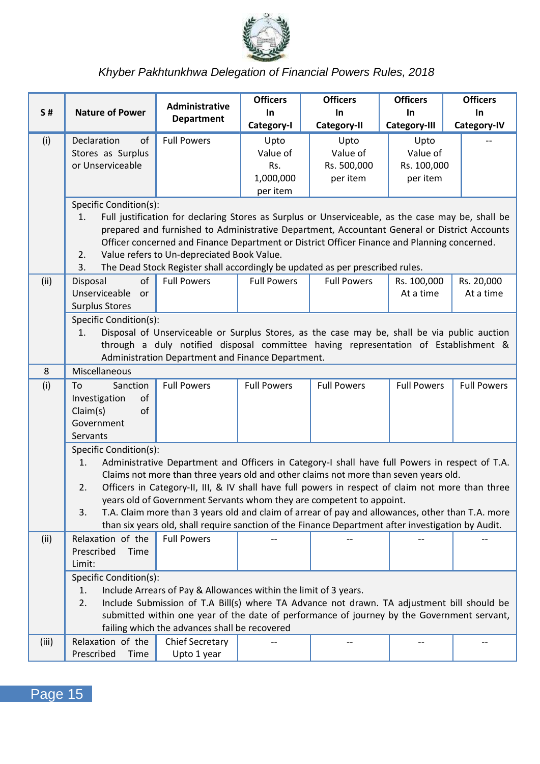

|           |                                                                                                                                                                                                                                                                          | <b>Administrative</b>                                                                                                                                                                                                                                                                                                                                                                                                                                                                                                                                                         | <b>Officers</b>         | <b>Officers</b>                 | <b>Officers</b>                 | <b>Officers</b>         |
|-----------|--------------------------------------------------------------------------------------------------------------------------------------------------------------------------------------------------------------------------------------------------------------------------|-------------------------------------------------------------------------------------------------------------------------------------------------------------------------------------------------------------------------------------------------------------------------------------------------------------------------------------------------------------------------------------------------------------------------------------------------------------------------------------------------------------------------------------------------------------------------------|-------------------------|---------------------------------|---------------------------------|-------------------------|
| <b>S#</b> | <b>Nature of Power</b>                                                                                                                                                                                                                                                   | Department                                                                                                                                                                                                                                                                                                                                                                                                                                                                                                                                                                    | In.<br>Category-I       | In.<br>Category-II              | In.<br>Category-III             | In.<br>Category-IV      |
| (i)       | Declaration<br>of<br>Stores as Surplus<br>or Unserviceable                                                                                                                                                                                                               | <b>Full Powers</b>                                                                                                                                                                                                                                                                                                                                                                                                                                                                                                                                                            | Upto<br>Value of<br>Rs. | Upto<br>Value of<br>Rs. 500,000 | Upto<br>Value of<br>Rs. 100,000 |                         |
|           |                                                                                                                                                                                                                                                                          |                                                                                                                                                                                                                                                                                                                                                                                                                                                                                                                                                                               | 1,000,000<br>per item   | per item                        | per item                        |                         |
|           | Specific Condition(s):<br>1.<br>2.<br>3.                                                                                                                                                                                                                                 | Full justification for declaring Stores as Surplus or Unserviceable, as the case may be, shall be<br>prepared and furnished to Administrative Department, Accountant General or District Accounts<br>Officer concerned and Finance Department or District Officer Finance and Planning concerned.<br>Value refers to Un-depreciated Book Value.<br>The Dead Stock Register shall accordingly be updated as per prescribed rules.                                                                                                                                              |                         |                                 |                                 |                         |
| (ii)      | Disposal<br>of<br>Unserviceable<br>or<br><b>Surplus Stores</b>                                                                                                                                                                                                           | <b>Full Powers</b>                                                                                                                                                                                                                                                                                                                                                                                                                                                                                                                                                            | <b>Full Powers</b>      | <b>Full Powers</b>              | Rs. 100,000<br>At a time        | Rs. 20,000<br>At a time |
|           | Specific Condition(s):<br>Disposal of Unserviceable or Surplus Stores, as the case may be, shall be via public auction<br>1.<br>through a duly notified disposal committee having representation of Establishment &<br>Administration Department and Finance Department. |                                                                                                                                                                                                                                                                                                                                                                                                                                                                                                                                                                               |                         |                                 |                                 |                         |
| 8         | Miscellaneous                                                                                                                                                                                                                                                            |                                                                                                                                                                                                                                                                                                                                                                                                                                                                                                                                                                               |                         |                                 |                                 |                         |
| (i)       | To<br>Sanction<br>Investigation<br>of<br>Claim(s)<br>of<br>Government<br>Servants                                                                                                                                                                                        | <b>Full Powers</b>                                                                                                                                                                                                                                                                                                                                                                                                                                                                                                                                                            | <b>Full Powers</b>      | <b>Full Powers</b>              | <b>Full Powers</b>              | <b>Full Powers</b>      |
|           | Specific Condition(s):<br>1.<br>2.<br>3.                                                                                                                                                                                                                                 | Administrative Department and Officers in Category-I shall have full Powers in respect of T.A.<br>Claims not more than three years old and other claims not more than seven years old.<br>Officers in Category-II, III, & IV shall have full powers in respect of claim not more than three<br>years old of Government Servants whom they are competent to appoint.<br>T.A. Claim more than 3 years old and claim of arrear of pay and allowances, other than T.A. more<br>than six years old, shall require sanction of the Finance Department after investigation by Audit. |                         |                                 |                                 |                         |
| (ii)      | Relaxation of the<br>Prescribed<br>Time<br>Limit:                                                                                                                                                                                                                        | <b>Full Powers</b>                                                                                                                                                                                                                                                                                                                                                                                                                                                                                                                                                            |                         |                                 |                                 |                         |
|           | Specific Condition(s):<br>1.<br>2.                                                                                                                                                                                                                                       | Include Arrears of Pay & Allowances within the limit of 3 years.<br>Include Submission of T.A Bill(s) where TA Advance not drawn. TA adjustment bill should be<br>submitted within one year of the date of performance of journey by the Government servant,<br>failing which the advances shall be recovered                                                                                                                                                                                                                                                                 |                         |                                 |                                 |                         |
| (iii)     | Relaxation of the<br>Prescribed<br>Time                                                                                                                                                                                                                                  | Chief Secretary<br>Upto 1 year                                                                                                                                                                                                                                                                                                                                                                                                                                                                                                                                                |                         | $\overline{a}$                  | $-$                             | $-$                     |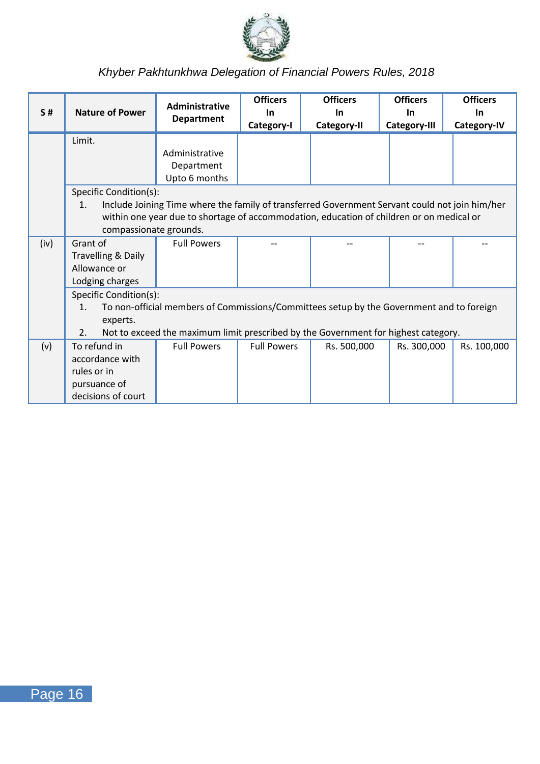

| S#   | <b>Nature of Power</b> | <b>Administrative</b><br>Department                                                            | <b>Officers</b><br>In | <b>Officers</b><br>In | <b>Officers</b><br>In | <b>Officers</b><br>In |
|------|------------------------|------------------------------------------------------------------------------------------------|-----------------------|-----------------------|-----------------------|-----------------------|
|      |                        |                                                                                                | Category-I            | Category-II           | Category-III          | Category-IV           |
|      | Limit.                 |                                                                                                |                       |                       |                       |                       |
|      |                        | Administrative                                                                                 |                       |                       |                       |                       |
|      |                        | Department                                                                                     |                       |                       |                       |                       |
|      |                        | Upto 6 months                                                                                  |                       |                       |                       |                       |
|      | Specific Condition(s): |                                                                                                |                       |                       |                       |                       |
|      | 1.                     | Include Joining Time where the family of transferred Government Servant could not join him/her |                       |                       |                       |                       |
|      |                        | within one year due to shortage of accommodation, education of children or on medical or       |                       |                       |                       |                       |
|      | compassionate grounds. |                                                                                                |                       |                       |                       |                       |
| (iv) | Grant of               | <b>Full Powers</b>                                                                             |                       |                       |                       |                       |
|      | Travelling & Daily     |                                                                                                |                       |                       |                       |                       |
|      | Allowance or           |                                                                                                |                       |                       |                       |                       |
|      | Lodging charges        |                                                                                                |                       |                       |                       |                       |
|      | Specific Condition(s): |                                                                                                |                       |                       |                       |                       |
|      | 1.                     | To non-official members of Commissions/Committees setup by the Government and to foreign       |                       |                       |                       |                       |
|      | experts.               |                                                                                                |                       |                       |                       |                       |
|      | 2.                     | Not to exceed the maximum limit prescribed by the Government for highest category.             |                       |                       |                       |                       |
| (v)  | To refund in           | <b>Full Powers</b>                                                                             | <b>Full Powers</b>    | Rs. 500,000           | Rs. 300,000           | Rs. 100,000           |
|      | accordance with        |                                                                                                |                       |                       |                       |                       |
|      | rules or in            |                                                                                                |                       |                       |                       |                       |
|      | pursuance of           |                                                                                                |                       |                       |                       |                       |
|      | decisions of court     |                                                                                                |                       |                       |                       |                       |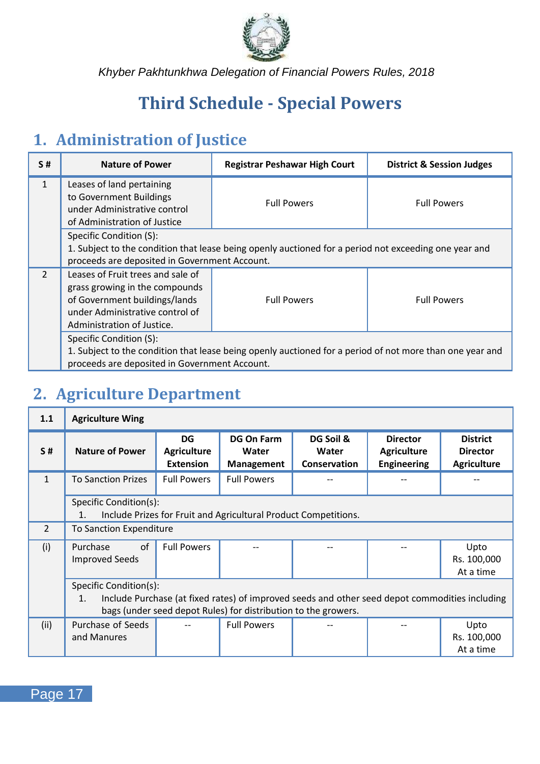

## <span id="page-21-0"></span>**Third Schedule - Special Powers**

### <span id="page-21-1"></span>**1. Administration of Justice**

| S#             | <b>Nature of Power</b>                                                                                                                                                | <b>Registrar Peshawar High Court</b>                                                                     | <b>District &amp; Session Judges</b> |
|----------------|-----------------------------------------------------------------------------------------------------------------------------------------------------------------------|----------------------------------------------------------------------------------------------------------|--------------------------------------|
| $\mathbf{1}$   | Leases of land pertaining<br>to Government Buildings<br>under Administrative control<br>of Administration of Justice                                                  | <b>Full Powers</b>                                                                                       | <b>Full Powers</b>                   |
|                | Specific Condition (S):<br>proceeds are deposited in Government Account.                                                                                              | 1. Subject to the condition that lease being openly auctioned for a period not exceeding one year and    |                                      |
| $\mathfrak{D}$ | Leases of Fruit trees and sale of<br>grass growing in the compounds<br>of Government buildings/lands<br>under Administrative control of<br>Administration of Justice. | <b>Full Powers</b>                                                                                       | <b>Full Powers</b>                   |
|                | Specific Condition (S):<br>proceeds are deposited in Government Account.                                                                                              | 1. Subject to the condition that lease being openly auctioned for a period of not more than one year and |                                      |

## <span id="page-21-2"></span>**2. Agriculture Department**

| 1.1          | <b>Agriculture Wing</b>                                                                                                                                                |                                              |                                                                 |                                           |                                                             |                                                          |  |
|--------------|------------------------------------------------------------------------------------------------------------------------------------------------------------------------|----------------------------------------------|-----------------------------------------------------------------|-------------------------------------------|-------------------------------------------------------------|----------------------------------------------------------|--|
| <b>S#</b>    | <b>Nature of Power</b>                                                                                                                                                 | DG<br><b>Agriculture</b><br><b>Extension</b> | <b>DG On Farm</b><br>Water<br>Management                        | DG Soil &<br>Water<br><b>Conservation</b> | <b>Director</b><br><b>Agriculture</b><br><b>Engineering</b> | <b>District</b><br><b>Director</b><br><b>Agriculture</b> |  |
| $\mathbf{1}$ | <b>To Sanction Prizes</b>                                                                                                                                              | <b>Full Powers</b>                           | <b>Full Powers</b>                                              |                                           |                                                             |                                                          |  |
|              | Specific Condition(s):<br>1.                                                                                                                                           |                                              | Include Prizes for Fruit and Agricultural Product Competitions. |                                           |                                                             |                                                          |  |
| 2            | To Sanction Expenditure                                                                                                                                                |                                              |                                                                 |                                           |                                                             |                                                          |  |
| (i)          | of<br>Purchase<br><b>Improved Seeds</b>                                                                                                                                | <b>Full Powers</b>                           |                                                                 |                                           |                                                             | Upto<br>Rs. 100,000<br>At a time                         |  |
|              | Specific Condition(s):                                                                                                                                                 |                                              |                                                                 |                                           |                                                             |                                                          |  |
|              | Include Purchase (at fixed rates) of improved seeds and other seed depot commodities including<br>1.<br>bags (under seed depot Rules) for distribution to the growers. |                                              |                                                                 |                                           |                                                             |                                                          |  |
| (ii)         | Purchase of Seeds<br>and Manures                                                                                                                                       |                                              | <b>Full Powers</b>                                              |                                           |                                                             | Upto<br>Rs. 100,000<br>At a time                         |  |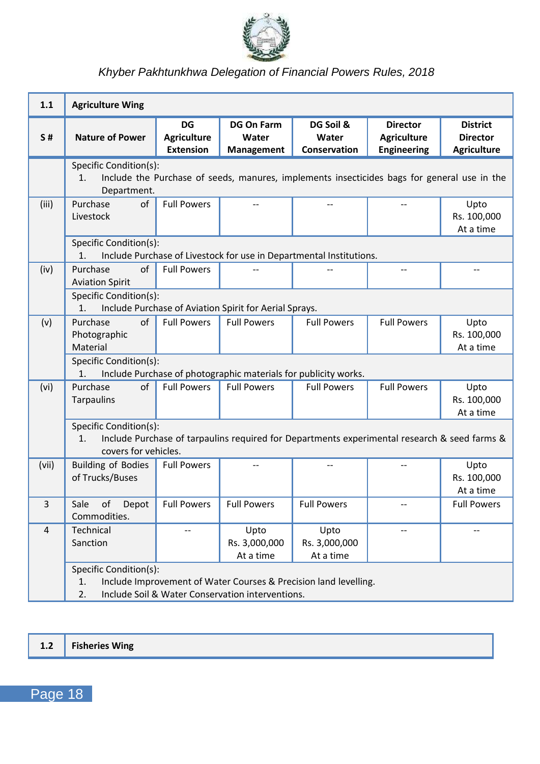

| 1.1   | <b>Agriculture Wing</b>                              |                                              |                                                                 |                                                                                              |                                                             |                                                          |
|-------|------------------------------------------------------|----------------------------------------------|-----------------------------------------------------------------|----------------------------------------------------------------------------------------------|-------------------------------------------------------------|----------------------------------------------------------|
| S#    | <b>Nature of Power</b>                               | DG<br><b>Agriculture</b><br><b>Extension</b> | <b>DG On Farm</b><br>Water<br>Management                        | DG Soil &<br>Water<br>Conservation                                                           | <b>Director</b><br><b>Agriculture</b><br><b>Engineering</b> | <b>District</b><br><b>Director</b><br><b>Agriculture</b> |
|       | Specific Condition(s):<br>1.<br>Department.          |                                              |                                                                 | Include the Purchase of seeds, manures, implements insecticides bags for general use in the  |                                                             |                                                          |
| (iii) | Purchase<br>of<br>Livestock                          | <b>Full Powers</b>                           | $-$                                                             | --                                                                                           |                                                             | Upto<br>Rs. 100,000<br>At a time                         |
|       | Specific Condition(s):<br>1.                         |                                              |                                                                 | Include Purchase of Livestock for use in Departmental Institutions.                          |                                                             |                                                          |
| (iv)  | of<br>Purchase<br><b>Aviation Spirit</b>             | <b>Full Powers</b>                           |                                                                 |                                                                                              |                                                             |                                                          |
|       | Specific Condition(s):<br>1.                         |                                              | Include Purchase of Aviation Spirit for Aerial Sprays.          |                                                                                              |                                                             |                                                          |
| (v)   | Purchase<br>of<br>Photographic<br>Material           | <b>Full Powers</b>                           | <b>Full Powers</b>                                              | <b>Full Powers</b>                                                                           | <b>Full Powers</b>                                          | Upto<br>Rs. 100,000<br>At a time                         |
|       | Specific Condition(s):<br>1.                         |                                              | Include Purchase of photographic materials for publicity works. |                                                                                              |                                                             |                                                          |
| (vi)  | Purchase<br>of<br><b>Tarpaulins</b>                  | <b>Full Powers</b>                           | <b>Full Powers</b>                                              | <b>Full Powers</b>                                                                           | <b>Full Powers</b>                                          | Upto<br>Rs. 100,000<br>At a time                         |
|       | Specific Condition(s):<br>1.<br>covers for vehicles. |                                              |                                                                 | Include Purchase of tarpaulins required for Departments experimental research & seed farms & |                                                             |                                                          |
| (vii) | <b>Building of Bodies</b><br>of Trucks/Buses         | <b>Full Powers</b>                           |                                                                 |                                                                                              |                                                             | Upto<br>Rs. 100,000<br>At a time                         |
| 3     | Sale<br>of<br>Depot<br>Commodities.                  | <b>Full Powers</b>                           | <b>Full Powers</b>                                              | <b>Full Powers</b>                                                                           | $\overline{\phantom{a}}$                                    | <b>Full Powers</b>                                       |
| 4     | Technical<br>Sanction                                | $\overline{a}$                               | Upto<br>Rs. 3,000,000<br>At a time                              | Upto<br>Rs. 3,000,000<br>At a time                                                           | $\overline{a}$                                              | $-$                                                      |
|       | Specific Condition(s):<br>1.<br>$\overline{2}$ .     |                                              | Include Soil & Water Conservation interventions.                | Include Improvement of Water Courses & Precision land levelling.                             |                                                             |                                                          |

**1.2 Fisheries Wing**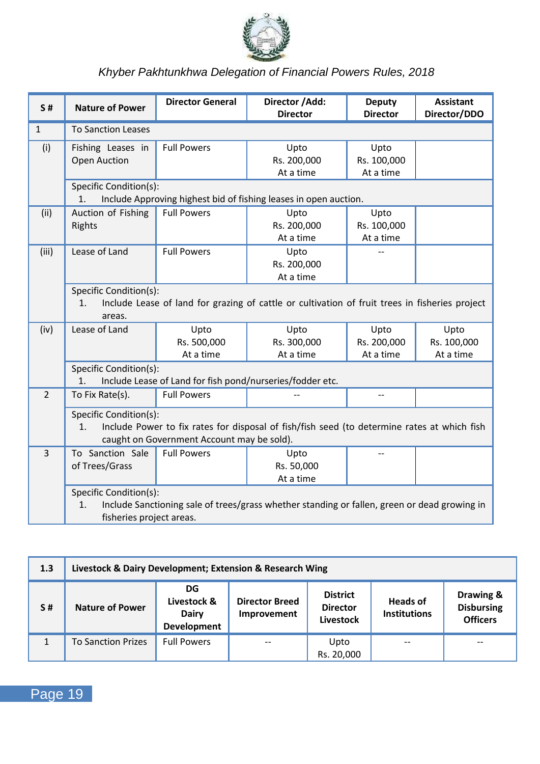

| S#             | <b>Nature of Power</b>                                   | <b>Director General</b>                    | Director /Add:<br><b>Director</b>                                                              | Deputy<br><b>Director</b>        | <b>Assistant</b><br>Director/DDO |  |  |
|----------------|----------------------------------------------------------|--------------------------------------------|------------------------------------------------------------------------------------------------|----------------------------------|----------------------------------|--|--|
| $\mathbf{1}$   | <b>To Sanction Leases</b>                                |                                            |                                                                                                |                                  |                                  |  |  |
| (i)            | Fishing Leases in<br>Open Auction                        | <b>Full Powers</b>                         | Upto<br>Rs. 200,000<br>At a time                                                               | Upto<br>Rs. 100,000<br>At a time |                                  |  |  |
|                | Specific Condition(s):<br>1.                             |                                            | Include Approving highest bid of fishing leases in open auction.                               |                                  |                                  |  |  |
| (ii)           | Auction of Fishing<br>Rights                             | <b>Full Powers</b>                         | Upto<br>Rs. 200,000<br>At a time                                                               | Upto<br>Rs. 100,000<br>At a time |                                  |  |  |
| (iii)          | Lease of Land                                            | <b>Full Powers</b>                         | Upto<br>Rs. 200,000<br>At a time                                                               |                                  |                                  |  |  |
|                | Specific Condition(s):<br>1.<br>areas.                   |                                            | Include Lease of land for grazing of cattle or cultivation of fruit trees in fisheries project |                                  |                                  |  |  |
| (iv)           | Lease of Land                                            | Upto<br>Rs. 500,000<br>At a time           | Upto<br>Rs. 300,000<br>At a time                                                               | Upto<br>Rs. 200,000<br>At a time | Upto<br>Rs. 100,000<br>At a time |  |  |
|                | Specific Condition(s):<br>1 <sup>1</sup>                 |                                            | Include Lease of Land for fish pond/nurseries/fodder etc.                                      |                                  |                                  |  |  |
| $\overline{2}$ | To Fix Rate(s).                                          | <b>Full Powers</b>                         |                                                                                                | $-$                              |                                  |  |  |
|                | Specific Condition(s):<br>1.                             | caught on Government Account may be sold). | Include Power to fix rates for disposal of fish/fish seed (to determine rates at which fish    |                                  |                                  |  |  |
| $\overline{3}$ | To Sanction Sale<br>of Trees/Grass                       | <b>Full Powers</b>                         | Upto<br>Rs. 50,000<br>At a time                                                                |                                  |                                  |  |  |
|                | Specific Condition(s):<br>1.<br>fisheries project areas. |                                            | Include Sanctioning sale of trees/grass whether standing or fallen, green or dead growing in   |                                  |                                  |  |  |

| 1.3 | Livestock & Dairy Development; Extension & Research Wing                                    |                                                  |                                      |                                                 |                                        |                                                   |  |  |
|-----|---------------------------------------------------------------------------------------------|--------------------------------------------------|--------------------------------------|-------------------------------------------------|----------------------------------------|---------------------------------------------------|--|--|
| S#  | <b>Nature of Power</b>                                                                      | DG<br>Livestock &<br>Dairy<br><b>Development</b> | <b>Director Breed</b><br>Improvement | <b>District</b><br><b>Director</b><br>Livestock | <b>Heads of</b><br><b>Institutions</b> | Drawing &<br><b>Disbursing</b><br><b>Officers</b> |  |  |
|     | <b>Full Powers</b><br><b>To Sanction Prizes</b><br>Upto<br>$- -$<br>$-$<br>--<br>Rs. 20,000 |                                                  |                                      |                                                 |                                        |                                                   |  |  |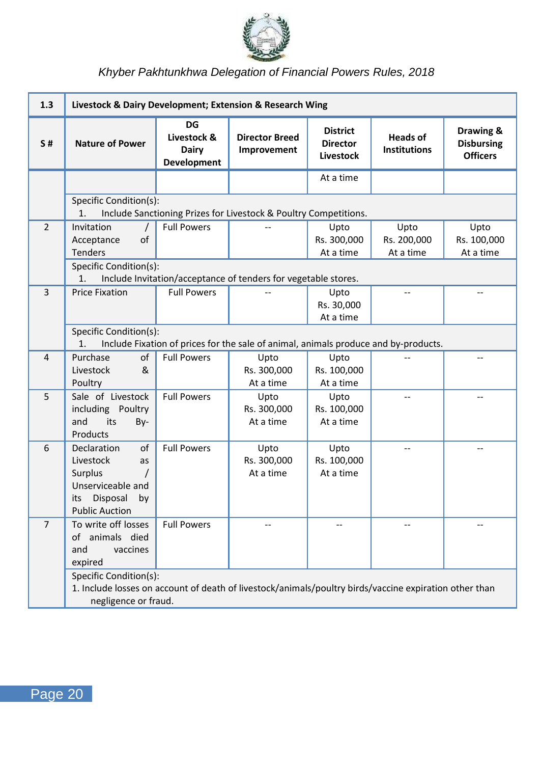

| 1.3            | Livestock & Dairy Development; Extension & Research Wing                                                                                                 |                                           |                                                                                     |                                                 |                                        |                                                   |  |
|----------------|----------------------------------------------------------------------------------------------------------------------------------------------------------|-------------------------------------------|-------------------------------------------------------------------------------------|-------------------------------------------------|----------------------------------------|---------------------------------------------------|--|
| S#             | <b>Nature of Power</b>                                                                                                                                   | DG<br>Livestock &<br>Dairy<br>Development | <b>Director Breed</b><br>Improvement                                                | <b>District</b><br><b>Director</b><br>Livestock | <b>Heads of</b><br><b>Institutions</b> | Drawing &<br><b>Disbursing</b><br><b>Officers</b> |  |
|                |                                                                                                                                                          |                                           |                                                                                     | At a time                                       |                                        |                                                   |  |
|                | Specific Condition(s):<br>1.                                                                                                                             |                                           | Include Sanctioning Prizes for Livestock & Poultry Competitions.                    |                                                 |                                        |                                                   |  |
| 2              | Invitation<br>$\prime$<br>of<br>Acceptance<br><b>Tenders</b>                                                                                             | <b>Full Powers</b>                        |                                                                                     | Upto<br>Rs. 300,000<br>At a time                | Upto<br>Rs. 200,000<br>At a time       | Upto<br>Rs. 100,000<br>At a time                  |  |
|                | Specific Condition(s):<br>1.                                                                                                                             |                                           | Include Invitation/acceptance of tenders for vegetable stores.                      |                                                 |                                        |                                                   |  |
| 3              | <b>Price Fixation</b>                                                                                                                                    | <b>Full Powers</b>                        |                                                                                     | Upto<br>Rs. 30,000<br>At a time                 |                                        |                                                   |  |
|                | Specific Condition(s):<br>1.                                                                                                                             |                                           | Include Fixation of prices for the sale of animal, animals produce and by-products. |                                                 |                                        |                                                   |  |
| 4              | Purchase<br>of<br>&<br>Livestock<br>Poultry                                                                                                              | <b>Full Powers</b>                        | Upto<br>Rs. 300,000<br>At a time                                                    | Upto<br>Rs. 100,000<br>At a time                |                                        |                                                   |  |
| 5              | Sale of Livestock<br>including Poultry<br>and<br>its<br>By-<br>Products                                                                                  | <b>Full Powers</b>                        | Upto<br>Rs. 300,000<br>At a time                                                    | Upto<br>Rs. 100,000<br>At a time                |                                        |                                                   |  |
| 6              | Declaration<br>of<br>Livestock<br>as<br>$\prime$<br>Surplus<br>Unserviceable and<br>Disposal<br>its<br>bv<br><b>Public Auction</b>                       | <b>Full Powers</b>                        | Upto<br>Rs. 300,000<br>At a time                                                    | Upto<br>Rs. 100,000<br>At a time                | $-$                                    |                                                   |  |
| $\overline{7}$ | To write off losses<br>of animals died<br>and<br>vaccines<br>expired                                                                                     | <b>Full Powers</b>                        |                                                                                     | $-$                                             | $-$                                    |                                                   |  |
|                | Specific Condition(s):<br>1. Include losses on account of death of livestock/animals/poultry birds/vaccine expiration other than<br>negligence or fraud. |                                           |                                                                                     |                                                 |                                        |                                                   |  |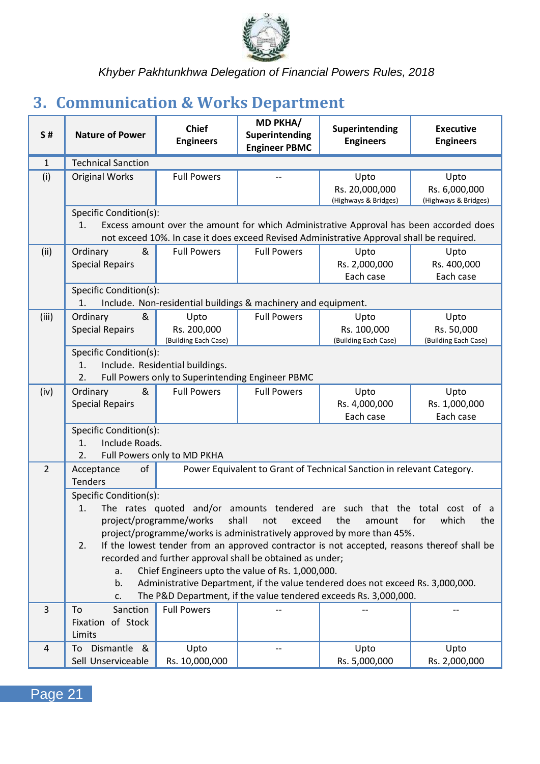

## <span id="page-25-0"></span>**3. Communication & Works Department**

| <b>S#</b>      | <b>Nature of Power</b>                                                                      | <b>Chief</b><br><b>Engineers</b>                                                    | MD PKHA/<br>Superintending<br><b>Engineer PBMC</b>                                                                                      | Superintending<br><b>Engineers</b>                                                                                                                                                                                                                                                                                                                                                                                         | <b>Executive</b><br><b>Engineers</b>          |
|----------------|---------------------------------------------------------------------------------------------|-------------------------------------------------------------------------------------|-----------------------------------------------------------------------------------------------------------------------------------------|----------------------------------------------------------------------------------------------------------------------------------------------------------------------------------------------------------------------------------------------------------------------------------------------------------------------------------------------------------------------------------------------------------------------------|-----------------------------------------------|
| $\mathbf{1}$   | <b>Technical Sanction</b>                                                                   |                                                                                     |                                                                                                                                         |                                                                                                                                                                                                                                                                                                                                                                                                                            |                                               |
| (i)            | <b>Original Works</b>                                                                       | <b>Full Powers</b>                                                                  | --                                                                                                                                      | Upto<br>Rs. 20,000,000<br>(Highways & Bridges)                                                                                                                                                                                                                                                                                                                                                                             | Upto<br>Rs. 6,000,000<br>(Highways & Bridges) |
|                | Specific Condition(s):<br>1.                                                                |                                                                                     |                                                                                                                                         | Excess amount over the amount for which Administrative Approval has been accorded does<br>not exceed 10%. In case it does exceed Revised Administrative Approval shall be required.                                                                                                                                                                                                                                        |                                               |
| (ii)           | &<br>Ordinary<br><b>Special Repairs</b>                                                     | <b>Full Powers</b>                                                                  | <b>Full Powers</b>                                                                                                                      | Upto<br>Rs. 2,000,000<br>Each case                                                                                                                                                                                                                                                                                                                                                                                         | Upto<br>Rs. 400,000<br>Each case              |
|                | Specific Condition(s):<br>1.                                                                |                                                                                     | Include. Non-residential buildings & machinery and equipment.                                                                           |                                                                                                                                                                                                                                                                                                                                                                                                                            |                                               |
| (iii)          | Ordinary<br>&<br><b>Special Repairs</b>                                                     | Upto<br>Rs. 200,000<br>(Building Each Case)                                         | <b>Full Powers</b>                                                                                                                      | Upto<br>Rs. 100,000<br>(Building Each Case)                                                                                                                                                                                                                                                                                                                                                                                | Upto<br>Rs. 50,000<br>(Building Each Case)    |
|                | Specific Condition(s):<br>1.<br>$\overline{2}$ .                                            | Include. Residential buildings.<br>Full Powers only to Superintending Engineer PBMC |                                                                                                                                         |                                                                                                                                                                                                                                                                                                                                                                                                                            |                                               |
| (iv)           | Ordinary<br>8<br><b>Special Repairs</b>                                                     | <b>Full Powers</b>                                                                  | <b>Full Powers</b>                                                                                                                      | Upto<br>Rs. 4,000,000<br>Each case                                                                                                                                                                                                                                                                                                                                                                                         | Upto<br>Rs. 1,000,000<br>Each case            |
|                | Specific Condition(s):<br>Include Roads.<br>1.<br>2.                                        | Full Powers only to MD PKHA                                                         |                                                                                                                                         |                                                                                                                                                                                                                                                                                                                                                                                                                            |                                               |
| $\overline{2}$ | of<br>Acceptance<br><b>Tenders</b>                                                          |                                                                                     |                                                                                                                                         | Power Equivalent to Grant of Technical Sanction in relevant Category.                                                                                                                                                                                                                                                                                                                                                      |                                               |
| 3              | Specific Condition(s):<br>1.<br>2.<br>a.<br>b.<br>c.<br>To<br>Sanction<br>Fixation of Stock | project/programme/works<br><b>Full Powers</b>                                       | shall<br>not<br>exceed<br>recorded and further approval shall be obtained as under;<br>Chief Engineers upto the value of Rs. 1,000,000. | The rates quoted and/or amounts tendered are such that the total cost of a<br>the<br>amount<br>project/programme/works is administratively approved by more than 45%.<br>If the lowest tender from an approved contractor is not accepted, reasons thereof shall be<br>Administrative Department, if the value tendered does not exceed Rs. 3,000,000.<br>The P&D Department, if the value tendered exceeds Rs. 3,000,000. | for<br>which<br>the                           |
|                | Limits                                                                                      |                                                                                     |                                                                                                                                         |                                                                                                                                                                                                                                                                                                                                                                                                                            |                                               |
| 4              | Dismantle<br>To<br>_&<br>Sell Unserviceable                                                 | Upto<br>Rs. 10,000,000                                                              | --                                                                                                                                      | Upto<br>Rs. 5,000,000                                                                                                                                                                                                                                                                                                                                                                                                      | Upto<br>Rs. 2,000,000                         |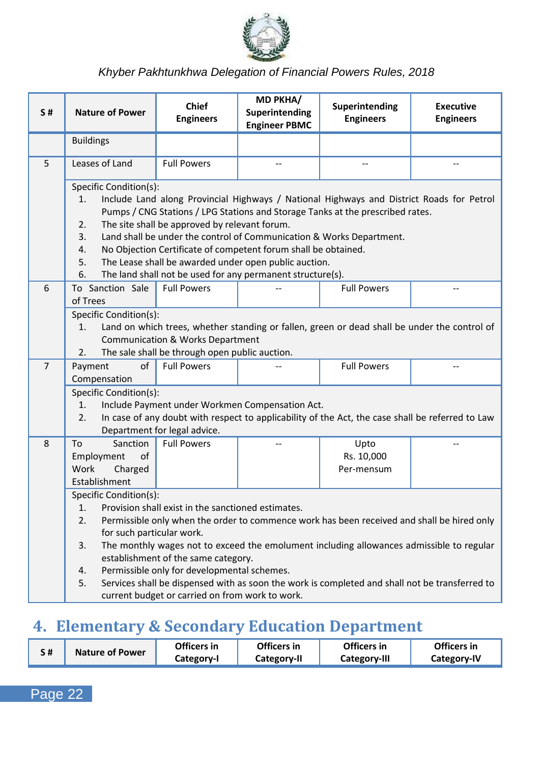

| <b>S#</b>      | <b>Nature of Power</b>                                                                                                                                                                                                                                                                                                                                                                                                                                                                                                                                     | <b>Chief</b><br><b>Engineers</b>                                                               | MD PKHA/<br>Superintending<br><b>Engineer PBMC</b> | Superintending<br><b>Engineers</b>                                                               | <b>Executive</b><br><b>Engineers</b> |  |  |
|----------------|------------------------------------------------------------------------------------------------------------------------------------------------------------------------------------------------------------------------------------------------------------------------------------------------------------------------------------------------------------------------------------------------------------------------------------------------------------------------------------------------------------------------------------------------------------|------------------------------------------------------------------------------------------------|----------------------------------------------------|--------------------------------------------------------------------------------------------------|--------------------------------------|--|--|
|                | <b>Buildings</b>                                                                                                                                                                                                                                                                                                                                                                                                                                                                                                                                           |                                                                                                |                                                    |                                                                                                  |                                      |  |  |
| 5              | Leases of Land                                                                                                                                                                                                                                                                                                                                                                                                                                                                                                                                             | <b>Full Powers</b>                                                                             | $\overline{\phantom{a}}$                           | $-$                                                                                              | $-$                                  |  |  |
|                | Specific Condition(s):<br>Include Land along Provincial Highways / National Highways and District Roads for Petrol<br>1.<br>Pumps / CNG Stations / LPG Stations and Storage Tanks at the prescribed rates.<br>The site shall be approved by relevant forum.<br>2.<br>3.<br>Land shall be under the control of Communication & Works Department.<br>No Objection Certificate of competent forum shall be obtained.<br>4.<br>The Lease shall be awarded under open public auction.<br>5.<br>6.<br>The land shall not be used for any permanent structure(s). |                                                                                                |                                                    |                                                                                                  |                                      |  |  |
| 6              | To Sanction Sale<br>of Trees                                                                                                                                                                                                                                                                                                                                                                                                                                                                                                                               | <b>Full Powers</b>                                                                             |                                                    | <b>Full Powers</b>                                                                               |                                      |  |  |
|                | Specific Condition(s):<br>1.<br>2.                                                                                                                                                                                                                                                                                                                                                                                                                                                                                                                         | <b>Communication &amp; Works Department</b><br>The sale shall be through open public auction.  |                                                    | Land on which trees, whether standing or fallen, green or dead shall be under the control of     |                                      |  |  |
| $\overline{7}$ | of<br>Payment<br>Compensation                                                                                                                                                                                                                                                                                                                                                                                                                                                                                                                              | <b>Full Powers</b>                                                                             |                                                    | <b>Full Powers</b>                                                                               |                                      |  |  |
|                | Specific Condition(s):<br>1.<br>2.                                                                                                                                                                                                                                                                                                                                                                                                                                                                                                                         | Department for legal advice.                                                                   | Include Payment under Workmen Compensation Act.    | In case of any doubt with respect to applicability of the Act, the case shall be referred to Law |                                      |  |  |
| 8              | Sanction<br>To<br>of<br>Employment<br>Work<br>Charged                                                                                                                                                                                                                                                                                                                                                                                                                                                                                                      | <b>Full Powers</b>                                                                             |                                                    | Upto<br>Rs. 10,000<br>Per-mensum                                                                 |                                      |  |  |
|                | Establishment                                                                                                                                                                                                                                                                                                                                                                                                                                                                                                                                              |                                                                                                |                                                    |                                                                                                  |                                      |  |  |
|                | Specific Condition(s):<br>1.                                                                                                                                                                                                                                                                                                                                                                                                                                                                                                                               |                                                                                                |                                                    |                                                                                                  |                                      |  |  |
|                | Provision shall exist in the sanctioned estimates.<br>2.<br>Permissible only when the order to commence work has been received and shall be hired only<br>for such particular work.                                                                                                                                                                                                                                                                                                                                                                        |                                                                                                |                                                    |                                                                                                  |                                      |  |  |
|                | 3.                                                                                                                                                                                                                                                                                                                                                                                                                                                                                                                                                         | establishment of the same category.                                                            |                                                    | The monthly wages not to exceed the emolument including allowances admissible to regular         |                                      |  |  |
|                | 4.<br>5.                                                                                                                                                                                                                                                                                                                                                                                                                                                                                                                                                   | Permissible only for developmental schemes.<br>current budget or carried on from work to work. |                                                    | Services shall be dispensed with as soon the work is completed and shall not be transferred to   |                                      |  |  |

## <span id="page-26-0"></span>**4. Elementary & Secondary Education Department**

| <b>Nature of Power</b> | Officers in | Officers in | Officers in  | Officers in |
|------------------------|-------------|-------------|--------------|-------------|
|                        | Category-I  | Category-II | Category-III | Category-IV |

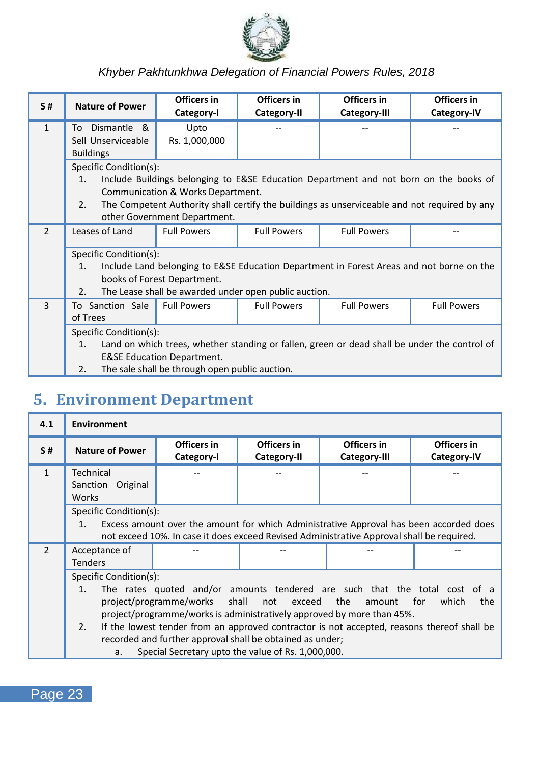

| S#             | <b>Nature of Power</b> | Officers in<br>Category-I                      | Officers in<br>Category-II                            | Officers in<br>Category-III                                                                  | Officers in<br>Category-IV |  |
|----------------|------------------------|------------------------------------------------|-------------------------------------------------------|----------------------------------------------------------------------------------------------|----------------------------|--|
| $\mathbf{1}$   | Dismantle &<br>To      | Upto                                           |                                                       |                                                                                              |                            |  |
|                | Sell Unserviceable     | Rs. 1,000,000                                  |                                                       |                                                                                              |                            |  |
|                | <b>Buildings</b>       |                                                |                                                       |                                                                                              |                            |  |
|                | Specific Condition(s): |                                                |                                                       |                                                                                              |                            |  |
|                | 1.                     |                                                |                                                       | Include Buildings belonging to E&SE Education Department and not born on the books of        |                            |  |
|                |                        | Communication & Works Department.              |                                                       |                                                                                              |                            |  |
|                | 2.5                    |                                                |                                                       | The Competent Authority shall certify the buildings as unserviceable and not required by any |                            |  |
|                |                        | other Government Department.                   |                                                       |                                                                                              |                            |  |
| $\mathfrak{D}$ | Leases of Land         | <b>Full Powers</b>                             | <b>Full Powers</b>                                    | <b>Full Powers</b>                                                                           |                            |  |
|                |                        |                                                |                                                       |                                                                                              |                            |  |
|                | Specific Condition(s): |                                                |                                                       |                                                                                              |                            |  |
|                | 1.                     |                                                |                                                       | Include Land belonging to E&SE Education Department in Forest Areas and not borne on the     |                            |  |
|                |                        | books of Forest Department.                    |                                                       |                                                                                              |                            |  |
|                | 2.                     |                                                | The Lease shall be awarded under open public auction. |                                                                                              |                            |  |
| 3              | To Sanction Sale       | <b>Full Powers</b>                             | <b>Full Powers</b>                                    | <b>Full Powers</b>                                                                           | <b>Full Powers</b>         |  |
|                | of Trees               |                                                |                                                       |                                                                                              |                            |  |
|                | Specific Condition(s): |                                                |                                                       |                                                                                              |                            |  |
|                | 1.                     |                                                |                                                       | Land on which trees, whether standing or fallen, green or dead shall be under the control of |                            |  |
|                |                        | <b>E&amp;SE Education Department.</b>          |                                                       |                                                                                              |                            |  |
|                | 2.                     | The sale shall be through open public auction. |                                                       |                                                                                              |                            |  |

## <span id="page-27-0"></span>**5. Environment Department**

| 4.1           | <b>Environment</b>                                                                                                                                                                                                                                                                                                                                                                                                                                                                             |                           |                            |                             |                            |
|---------------|------------------------------------------------------------------------------------------------------------------------------------------------------------------------------------------------------------------------------------------------------------------------------------------------------------------------------------------------------------------------------------------------------------------------------------------------------------------------------------------------|---------------------------|----------------------------|-----------------------------|----------------------------|
| S#            | <b>Nature of Power</b>                                                                                                                                                                                                                                                                                                                                                                                                                                                                         | Officers in<br>Category-I | Officers in<br>Category-II | Officers in<br>Category-III | Officers in<br>Category-IV |
| $\mathbf{1}$  | Technical<br>Sanction Original<br><b>Works</b>                                                                                                                                                                                                                                                                                                                                                                                                                                                 |                           |                            |                             |                            |
|               | Specific Condition(s):<br>Excess amount over the amount for which Administrative Approval has been accorded does<br>1 <sup>1</sup><br>not exceed 10%. In case it does exceed Revised Administrative Approval shall be required.                                                                                                                                                                                                                                                                |                           |                            |                             |                            |
| $\mathcal{P}$ | Acceptance of<br><b>Tenders</b>                                                                                                                                                                                                                                                                                                                                                                                                                                                                |                           |                            |                             |                            |
|               | Specific Condition(s):<br>The rates guoted and/or amounts tendered are such that the total cost of a<br>1.<br>project/programme/works shall not exceed<br>the<br>for<br>which<br>amount<br>project/programme/works is administratively approved by more than 45%.<br>If the lowest tender from an approved contractor is not accepted, reasons thereof shall be<br>2.<br>recorded and further approval shall be obtained as under;<br>Special Secretary upto the value of Rs. 1,000,000.<br>a. |                           |                            |                             | the                        |

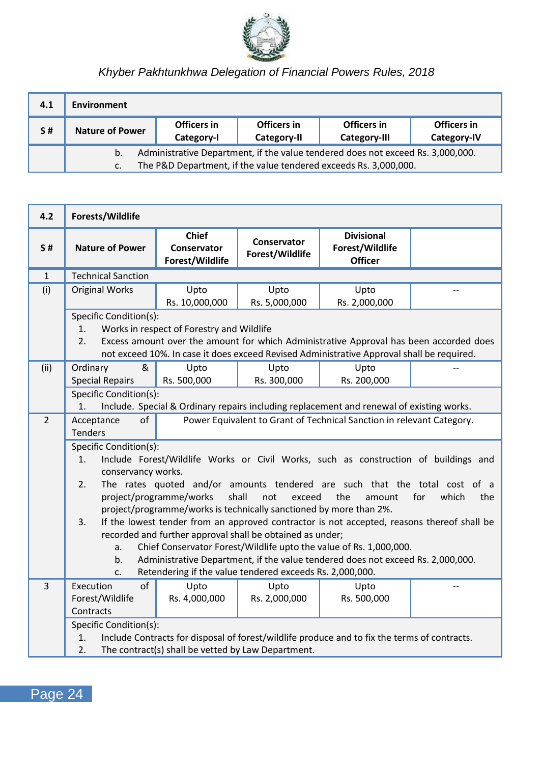

| 4.1 | <b>Environment</b>                                                                                                                                        |                           |                            |                             |                            |
|-----|-----------------------------------------------------------------------------------------------------------------------------------------------------------|---------------------------|----------------------------|-----------------------------|----------------------------|
| S#  | <b>Nature of Power</b>                                                                                                                                    | Officers in<br>Category-I | Officers in<br>Category-II | Officers in<br>Category-III | Officers in<br>Category-IV |
|     | Administrative Department, if the value tendered does not exceed Rs. 3,000,000.<br>b.<br>The P&D Department, if the value tendered exceeds Rs. 3,000,000. |                           |                            |                             |                            |

| 4.2          | Forests/Wildlife                                                                                                                                                                                                                                                                                                                                                                                                                                                                                                                                                                                                                                                                                                                                                                                         |                                                    |                                |                                                                                                                                                                                     |  |
|--------------|----------------------------------------------------------------------------------------------------------------------------------------------------------------------------------------------------------------------------------------------------------------------------------------------------------------------------------------------------------------------------------------------------------------------------------------------------------------------------------------------------------------------------------------------------------------------------------------------------------------------------------------------------------------------------------------------------------------------------------------------------------------------------------------------------------|----------------------------------------------------|--------------------------------|-------------------------------------------------------------------------------------------------------------------------------------------------------------------------------------|--|
| S#           | <b>Nature of Power</b>                                                                                                                                                                                                                                                                                                                                                                                                                                                                                                                                                                                                                                                                                                                                                                                   | Chief<br>Conservator<br>Forest/Wildlife            | Conservator<br>Forest/Wildlife | <b>Divisional</b><br>Forest/Wildlife<br><b>Officer</b>                                                                                                                              |  |
| $\mathbf{1}$ | <b>Technical Sanction</b>                                                                                                                                                                                                                                                                                                                                                                                                                                                                                                                                                                                                                                                                                                                                                                                |                                                    |                                |                                                                                                                                                                                     |  |
| (i)          | <b>Original Works</b>                                                                                                                                                                                                                                                                                                                                                                                                                                                                                                                                                                                                                                                                                                                                                                                    | Upto<br>Rs. 10,000,000                             | Upto<br>Rs. 5,000,000          | Upto<br>Rs. 2,000,000                                                                                                                                                               |  |
|              | Specific Condition(s):<br>1.<br>2.                                                                                                                                                                                                                                                                                                                                                                                                                                                                                                                                                                                                                                                                                                                                                                       | Works in respect of Forestry and Wildlife          |                                | Excess amount over the amount for which Administrative Approval has been accorded does<br>not exceed 10%. In case it does exceed Revised Administrative Approval shall be required. |  |
| (ii)         | &<br>Ordinary<br><b>Special Repairs</b>                                                                                                                                                                                                                                                                                                                                                                                                                                                                                                                                                                                                                                                                                                                                                                  | Upto<br>Rs. 500,000                                | Upto<br>Rs. 300,000            | Upto<br>Rs. 200,000                                                                                                                                                                 |  |
|              | Specific Condition(s):<br>1.                                                                                                                                                                                                                                                                                                                                                                                                                                                                                                                                                                                                                                                                                                                                                                             |                                                    |                                | Include. Special & Ordinary repairs including replacement and renewal of existing works.                                                                                            |  |
| 2            | of<br>Acceptance<br><b>Tenders</b>                                                                                                                                                                                                                                                                                                                                                                                                                                                                                                                                                                                                                                                                                                                                                                       |                                                    |                                | Power Equivalent to Grant of Technical Sanction in relevant Category.                                                                                                               |  |
|              | Specific Condition(s):<br>Include Forest/Wildlife Works or Civil Works, such as construction of buildings and<br>1.<br>conservancy works.<br>The rates quoted and/or amounts tendered are such that the total cost of a<br>2.<br>project/programme/works<br>shall<br>not<br>the<br>for<br>which<br>the<br>exceed<br>amount<br>project/programme/works is technically sanctioned by more than 2%.<br>If the lowest tender from an approved contractor is not accepted, reasons thereof shall be<br>3.<br>recorded and further approval shall be obtained as under;<br>Chief Conservator Forest/Wildlife upto the value of Rs. 1,000,000.<br>a.<br>Administrative Department, if the value tendered does not exceed Rs. 2,000,000.<br>b.<br>Retendering if the value tendered exceeds Rs. 2,000,000.<br>c. |                                                    |                                |                                                                                                                                                                                     |  |
| 3            | of<br>Execution<br>Forest/Wildlife<br>Contracts                                                                                                                                                                                                                                                                                                                                                                                                                                                                                                                                                                                                                                                                                                                                                          | Upto<br>Rs. 4,000,000                              | Upto<br>Rs. 2,000,000          | Upto<br>Rs. 500,000                                                                                                                                                                 |  |
|              | Specific Condition(s):<br>1.<br>2.                                                                                                                                                                                                                                                                                                                                                                                                                                                                                                                                                                                                                                                                                                                                                                       | The contract(s) shall be vetted by Law Department. |                                | Include Contracts for disposal of forest/wildlife produce and to fix the terms of contracts.                                                                                        |  |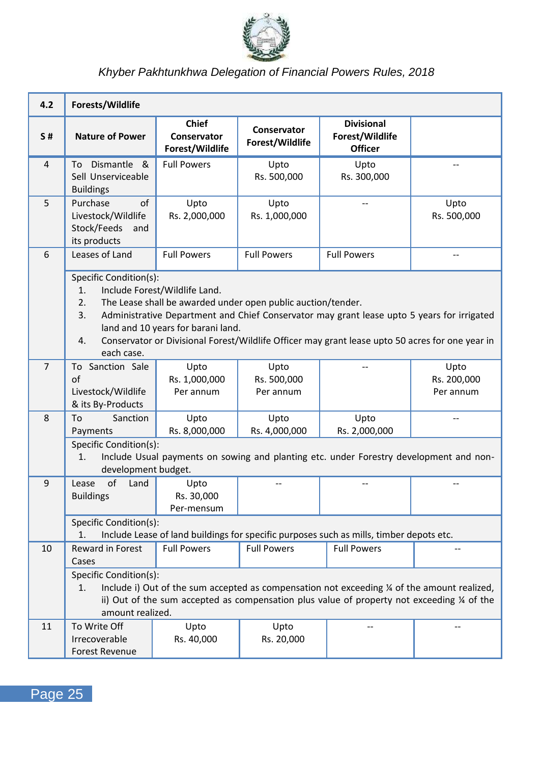

| 4.2            | Forests/Wildlife                                                                                                                                                                                                                                                                                                                                                                                     |                                         |                                  |                                                                                         |                                  |
|----------------|------------------------------------------------------------------------------------------------------------------------------------------------------------------------------------------------------------------------------------------------------------------------------------------------------------------------------------------------------------------------------------------------------|-----------------------------------------|----------------------------------|-----------------------------------------------------------------------------------------|----------------------------------|
| <b>S#</b>      | <b>Nature of Power</b>                                                                                                                                                                                                                                                                                                                                                                               | Chief<br>Conservator<br>Forest/Wildlife | Conservator<br>Forest/Wildlife   | <b>Divisional</b><br>Forest/Wildlife<br><b>Officer</b>                                  |                                  |
| 4              | To Dismantle &<br>Sell Unserviceable<br><b>Buildings</b>                                                                                                                                                                                                                                                                                                                                             | <b>Full Powers</b>                      | Upto<br>Rs. 500,000              | Upto<br>Rs. 300,000                                                                     |                                  |
| 5              | Purchase<br>of<br>Livestock/Wildlife<br>Stock/Feeds<br>and<br>its products                                                                                                                                                                                                                                                                                                                           | Upto<br>Rs. 2,000,000                   | Upto<br>Rs. 1,000,000            | $\overline{a}$                                                                          | Upto<br>Rs. 500,000              |
| 6              | Leases of Land                                                                                                                                                                                                                                                                                                                                                                                       | <b>Full Powers</b>                      | <b>Full Powers</b>               | <b>Full Powers</b>                                                                      | $\overline{\phantom{a}}$         |
|                | Specific Condition(s):<br>Include Forest/Wildlife Land.<br>1.<br>2.<br>The Lease shall be awarded under open public auction/tender.<br>Administrative Department and Chief Conservator may grant lease upto 5 years for irrigated<br>3.<br>land and 10 years for barani land.<br>Conservator or Divisional Forest/Wildlife Officer may grant lease upto 50 acres for one year in<br>4.<br>each case. |                                         |                                  |                                                                                         |                                  |
| $\overline{7}$ | To Sanction Sale<br>of<br>Livestock/Wildlife<br>& its By-Products                                                                                                                                                                                                                                                                                                                                    | Upto<br>Rs. 1,000,000<br>Per annum      | Upto<br>Rs. 500,000<br>Per annum |                                                                                         | Upto<br>Rs. 200,000<br>Per annum |
| 8              | To<br>Sanction<br>Payments                                                                                                                                                                                                                                                                                                                                                                           | Upto<br>Rs. 8,000,000                   | Upto<br>Rs. 4,000,000            | Upto<br>Rs. 2,000,000                                                                   |                                  |
|                | Specific Condition(s):<br>1.<br>development budget.                                                                                                                                                                                                                                                                                                                                                  |                                         |                                  | Include Usual payments on sowing and planting etc. under Forestry development and non-  |                                  |
| 9              | Lease<br>of<br>Land<br><b>Buildings</b>                                                                                                                                                                                                                                                                                                                                                              | Upto<br>Rs. 30,000<br>Per-mensum        | $\overline{\phantom{a}}$         | $\overline{\phantom{a}}$                                                                | --                               |
|                | Specific Condition(s):<br>1.                                                                                                                                                                                                                                                                                                                                                                         |                                         |                                  | Include Lease of land buildings for specific purposes such as mills, timber depots etc. |                                  |
| 10             | Reward in Forest<br>Cases                                                                                                                                                                                                                                                                                                                                                                            | <b>Full Powers</b>                      | <b>Full Powers</b>               | <b>Full Powers</b>                                                                      |                                  |
|                | Specific Condition(s):<br>Include i) Out of the sum accepted as compensation not exceeding % of the amount realized,<br>1.<br>ii) Out of the sum accepted as compensation plus value of property not exceeding $\frac{1}{4}$ of the<br>amount realized.                                                                                                                                              |                                         |                                  |                                                                                         |                                  |
| 11             | To Write Off<br>Irrecoverable<br><b>Forest Revenue</b>                                                                                                                                                                                                                                                                                                                                               | Upto<br>Rs. 40,000                      | Upto<br>Rs. 20,000               |                                                                                         |                                  |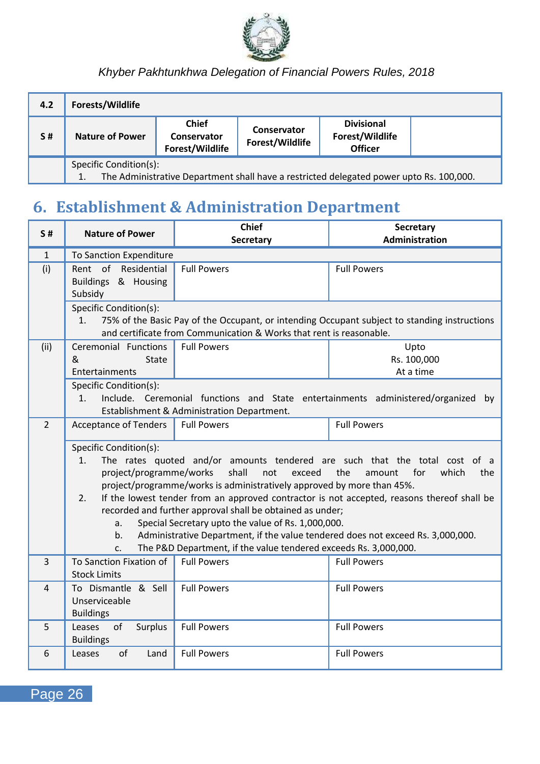

| 4.2 | Forests/Wildlife                                                                                                        |                                                |                                |                                                        |  |
|-----|-------------------------------------------------------------------------------------------------------------------------|------------------------------------------------|--------------------------------|--------------------------------------------------------|--|
| S#  | <b>Nature of Power</b>                                                                                                  | <b>Chief</b><br>Conservator<br>Forest/Wildlife | Conservator<br>Forest/Wildlife | <b>Divisional</b><br>Forest/Wildlife<br><b>Officer</b> |  |
|     | Specific Condition(s):<br>The Administrative Department shall have a restricted delegated power upto Rs. 100,000.<br>1. |                                                |                                |                                                        |  |

## <span id="page-30-0"></span>**6. Establishment & Administration Department**

| S#             | <b>Nature of Power</b>                                                                                                                                                                                                                                                                                                                                                                                                                                                                                                                                                                                                                                                            | Chief<br>Secretary                                                  | Secretary<br><b>Administration</b>                                                           |
|----------------|-----------------------------------------------------------------------------------------------------------------------------------------------------------------------------------------------------------------------------------------------------------------------------------------------------------------------------------------------------------------------------------------------------------------------------------------------------------------------------------------------------------------------------------------------------------------------------------------------------------------------------------------------------------------------------------|---------------------------------------------------------------------|----------------------------------------------------------------------------------------------|
| 1              | <b>To Sanction Expenditure</b>                                                                                                                                                                                                                                                                                                                                                                                                                                                                                                                                                                                                                                                    |                                                                     |                                                                                              |
| (i)            | Rent of Residential<br>Buildings & Housing<br>Subsidy                                                                                                                                                                                                                                                                                                                                                                                                                                                                                                                                                                                                                             | <b>Full Powers</b>                                                  | <b>Full Powers</b>                                                                           |
|                | Specific Condition(s):<br>1.                                                                                                                                                                                                                                                                                                                                                                                                                                                                                                                                                                                                                                                      | and certificate from Communication & Works that rent is reasonable. | 75% of the Basic Pay of the Occupant, or intending Occupant subject to standing instructions |
| (ii)           | Ceremonial Functions<br>&<br>State<br>Entertainments                                                                                                                                                                                                                                                                                                                                                                                                                                                                                                                                                                                                                              | <b>Full Powers</b>                                                  | Upto<br>Rs. 100,000<br>At a time                                                             |
|                | Specific Condition(s):<br>Include. Ceremonial functions and State entertainments administered/organized by<br>1.<br>Establishment & Administration Department.                                                                                                                                                                                                                                                                                                                                                                                                                                                                                                                    |                                                                     |                                                                                              |
| $\overline{2}$ | <b>Acceptance of Tenders</b>                                                                                                                                                                                                                                                                                                                                                                                                                                                                                                                                                                                                                                                      | <b>Full Powers</b>                                                  | <b>Full Powers</b>                                                                           |
|                | Specific Condition(s):<br>The rates quoted and/or amounts tendered are such that the total cost of a<br>1.<br>shall<br>project/programme/works<br>not<br>exceed<br>the<br>for<br>which<br>the<br>amount<br>project/programme/works is administratively approved by more than 45%.<br>If the lowest tender from an approved contractor is not accepted, reasons thereof shall be<br>2.<br>recorded and further approval shall be obtained as under;<br>Special Secretary upto the value of Rs. 1,000,000.<br>a.<br>Administrative Department, if the value tendered does not exceed Rs. 3,000,000.<br>b.<br>The P&D Department, if the value tendered exceeds Rs. 3,000,000.<br>C. |                                                                     |                                                                                              |
| 3              | To Sanction Fixation of<br><b>Stock Limits</b>                                                                                                                                                                                                                                                                                                                                                                                                                                                                                                                                                                                                                                    | <b>Full Powers</b>                                                  | <b>Full Powers</b>                                                                           |
| 4              | To Dismantle & Sell<br>Unserviceable<br><b>Buildings</b>                                                                                                                                                                                                                                                                                                                                                                                                                                                                                                                                                                                                                          | <b>Full Powers</b>                                                  | <b>Full Powers</b>                                                                           |
| 5              | of<br>Surplus<br>Leases<br><b>Buildings</b>                                                                                                                                                                                                                                                                                                                                                                                                                                                                                                                                                                                                                                       | <b>Full Powers</b>                                                  | <b>Full Powers</b>                                                                           |
| 6              | of<br>Leases<br>Land                                                                                                                                                                                                                                                                                                                                                                                                                                                                                                                                                                                                                                                              | <b>Full Powers</b>                                                  | <b>Full Powers</b>                                                                           |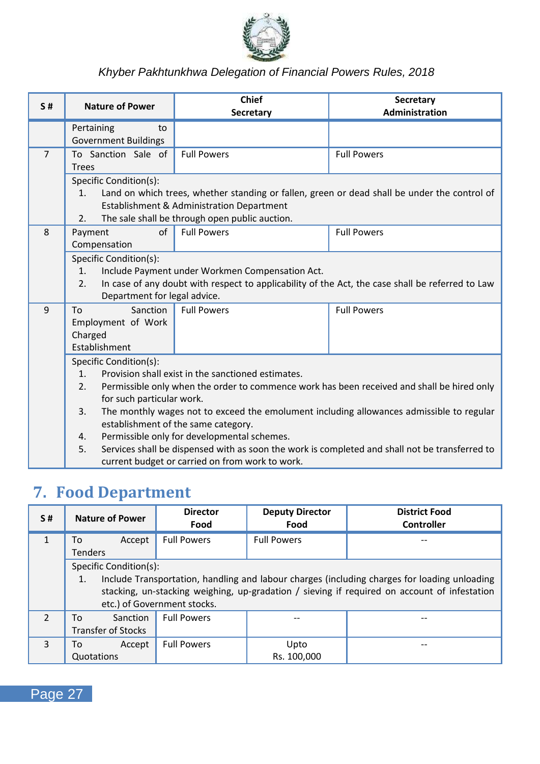

| S#             | <b>Nature of Power</b>                                                                                                                                                                                                                                                                                                                                                                                                                                                                                                                                                                   | <b>Chief</b><br>Secretary                                                                                                                           | Secretary<br>Administration                                                                  |  |  |
|----------------|------------------------------------------------------------------------------------------------------------------------------------------------------------------------------------------------------------------------------------------------------------------------------------------------------------------------------------------------------------------------------------------------------------------------------------------------------------------------------------------------------------------------------------------------------------------------------------------|-----------------------------------------------------------------------------------------------------------------------------------------------------|----------------------------------------------------------------------------------------------|--|--|
|                | Pertaining<br>to<br><b>Government Buildings</b>                                                                                                                                                                                                                                                                                                                                                                                                                                                                                                                                          |                                                                                                                                                     |                                                                                              |  |  |
| $\overline{7}$ | To Sanction Sale of<br><b>Trees</b>                                                                                                                                                                                                                                                                                                                                                                                                                                                                                                                                                      | <b>Full Powers</b>                                                                                                                                  | <b>Full Powers</b>                                                                           |  |  |
|                | Specific Condition(s):<br>1.<br>2.                                                                                                                                                                                                                                                                                                                                                                                                                                                                                                                                                       | Establishment & Administration Department<br>The sale shall be through open public auction.                                                         | Land on which trees, whether standing or fallen, green or dead shall be under the control of |  |  |
| 8              | of<br>Payment<br>Compensation                                                                                                                                                                                                                                                                                                                                                                                                                                                                                                                                                            | <b>Full Powers</b>                                                                                                                                  | <b>Full Powers</b>                                                                           |  |  |
|                | Specific Condition(s):<br>1.<br>2.<br>Department for legal advice.                                                                                                                                                                                                                                                                                                                                                                                                                                                                                                                       | Include Payment under Workmen Compensation Act.<br>In case of any doubt with respect to applicability of the Act, the case shall be referred to Law |                                                                                              |  |  |
| 9              | Sanction<br>To<br>Employment of Work<br>Charged<br>Establishment                                                                                                                                                                                                                                                                                                                                                                                                                                                                                                                         | <b>Full Powers</b>                                                                                                                                  | <b>Full Powers</b>                                                                           |  |  |
|                | Specific Condition(s):<br>Provision shall exist in the sanctioned estimates.<br>1 <sub>1</sub><br>2.<br>Permissible only when the order to commence work has been received and shall be hired only<br>for such particular work.<br>The monthly wages not to exceed the emolument including allowances admissible to regular<br>3.<br>establishment of the same category.<br>Permissible only for developmental schemes.<br>4.<br>Services shall be dispensed with as soon the work is completed and shall not be transferred to<br>5.<br>current budget or carried on from work to work. |                                                                                                                                                     |                                                                                              |  |  |

## <span id="page-31-0"></span>**7. Food Department**

| S#                       | <b>Nature of Power</b>                                                                                                                                                                                                                                      | <b>Director</b><br>Food | <b>Deputy Director</b><br>Food | <b>District Food</b><br>Controller |  |
|--------------------------|-------------------------------------------------------------------------------------------------------------------------------------------------------------------------------------------------------------------------------------------------------------|-------------------------|--------------------------------|------------------------------------|--|
| $\mathbf{1}$             | Accept<br>To<br><b>Tenders</b>                                                                                                                                                                                                                              | <b>Full Powers</b>      | <b>Full Powers</b>             |                                    |  |
|                          | Specific Condition(s):<br>Include Transportation, handling and labour charges (including charges for loading unloading<br>1.<br>stacking, un-stacking weighing, up-gradation / sieving if required on account of infestation<br>etc.) of Government stocks. |                         |                                |                                    |  |
| $\overline{\phantom{a}}$ | Sanction<br>To<br><b>Transfer of Stocks</b>                                                                                                                                                                                                                 | <b>Full Powers</b>      |                                |                                    |  |
| $\mathbf{3}$             | Accept<br>Т٥<br>Quotations                                                                                                                                                                                                                                  | <b>Full Powers</b>      | Upto<br>Rs. 100,000            |                                    |  |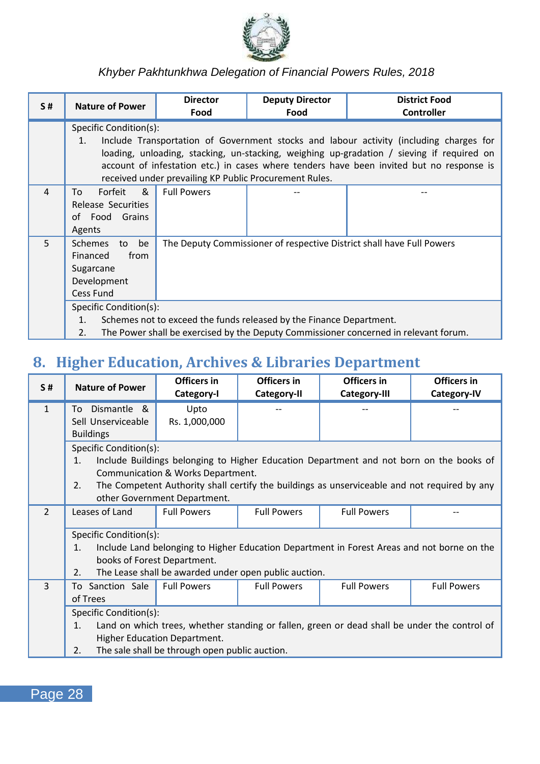

| <b>S#</b> | <b>Nature of Power</b>                                                                                                                                                                            | <b>Director</b><br>Food                                                                                                                                                                                                                                                                                                                   | <b>Deputy Director</b><br>Food | <b>District Food</b><br>Controller |  |
|-----------|---------------------------------------------------------------------------------------------------------------------------------------------------------------------------------------------------|-------------------------------------------------------------------------------------------------------------------------------------------------------------------------------------------------------------------------------------------------------------------------------------------------------------------------------------------|--------------------------------|------------------------------------|--|
|           | Specific Condition(s):<br>1.                                                                                                                                                                      | Include Transportation of Government stocks and labour activity (including charges for<br>loading, unloading, stacking, un-stacking, weighing up-gradation / sieving if required on<br>account of infestation etc.) in cases where tenders have been invited but no response is<br>received under prevailing KP Public Procurement Rules. |                                |                                    |  |
| 4         | &<br>Forfeit<br>To<br>Release Securities<br>of Food Grains<br>Agents                                                                                                                              | <b>Full Powers</b>                                                                                                                                                                                                                                                                                                                        |                                |                                    |  |
| 5         | <b>Schemes</b><br>be<br>to<br>Financed<br>from<br>Sugarcane<br>Development<br>Cess Fund                                                                                                           | The Deputy Commissioner of respective District shall have Full Powers                                                                                                                                                                                                                                                                     |                                |                                    |  |
|           | Specific Condition(s):<br>Schemes not to exceed the funds released by the Finance Department.<br>1.<br>The Power shall be exercised by the Deputy Commissioner concerned in relevant forum.<br>2. |                                                                                                                                                                                                                                                                                                                                           |                                |                                    |  |

### <span id="page-32-0"></span>**8. Higher Education, Archives & Libraries Department**

| <b>S#</b>      | <b>Nature of Power</b>                                                                                                                                                                                                                  | Officers in<br>Category-I                                         | Officers in<br>Category-II | Officers in<br>Category-III                                                                                                                                                             | Officers in<br>Category-IV |
|----------------|-----------------------------------------------------------------------------------------------------------------------------------------------------------------------------------------------------------------------------------------|-------------------------------------------------------------------|----------------------------|-----------------------------------------------------------------------------------------------------------------------------------------------------------------------------------------|----------------------------|
| $\mathbf{1}$   | Dismantle &<br>To<br>Sell Unserviceable<br><b>Buildings</b>                                                                                                                                                                             | Upto<br>Rs. 1,000,000                                             |                            |                                                                                                                                                                                         |                            |
|                | Specific Condition(s):<br>$\mathbf{1}$ .<br>2.                                                                                                                                                                                          | Communication & Works Department.<br>other Government Department. |                            | Include Buildings belonging to Higher Education Department and not born on the books of<br>The Competent Authority shall certify the buildings as unserviceable and not required by any |                            |
| $\mathfrak{p}$ | Leases of Land                                                                                                                                                                                                                          | <b>Full Powers</b>                                                | <b>Full Powers</b>         | <b>Full Powers</b>                                                                                                                                                                      |                            |
|                | Specific Condition(s):<br>Include Land belonging to Higher Education Department in Forest Areas and not borne on the<br>$\mathbf{1}$ .<br>books of Forest Department.<br>The Lease shall be awarded under open public auction.<br>2.    |                                                                   |                            |                                                                                                                                                                                         |                            |
| 3              | To Sanction Sale<br>of Trees                                                                                                                                                                                                            | <b>Full Powers</b>                                                | <b>Full Powers</b>         | <b>Full Powers</b>                                                                                                                                                                      | <b>Full Powers</b>         |
|                | Specific Condition(s):<br>Land on which trees, whether standing or fallen, green or dead shall be under the control of<br>$\mathbf{1}$ .<br><b>Higher Education Department.</b><br>The sale shall be through open public auction.<br>2. |                                                                   |                            |                                                                                                                                                                                         |                            |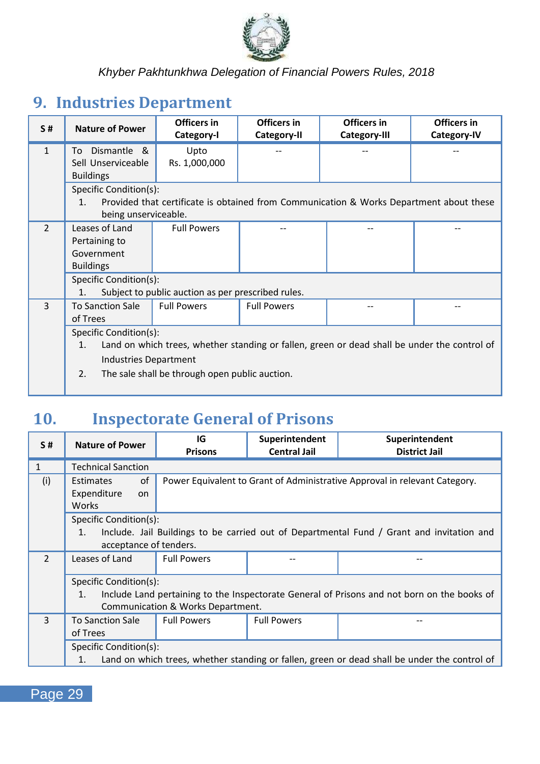

## <span id="page-33-0"></span>**9. Industries Department**

| <b>S#</b>     | <b>Nature of Power</b>                                                                             | Officers in                                        | Officers in        | Officers in                                                                             | Officers in |
|---------------|----------------------------------------------------------------------------------------------------|----------------------------------------------------|--------------------|-----------------------------------------------------------------------------------------|-------------|
|               |                                                                                                    | Category-I                                         | Category-II        | Category-III                                                                            | Category-IV |
| $\mathbf{1}$  | Dismantle &<br>To                                                                                  | Upto                                               |                    |                                                                                         |             |
|               | Sell Unserviceable                                                                                 | Rs. 1,000,000                                      |                    |                                                                                         |             |
|               | <b>Buildings</b>                                                                                   |                                                    |                    |                                                                                         |             |
|               | Specific Condition(s):                                                                             |                                                    |                    |                                                                                         |             |
|               | 1 <sup>1</sup>                                                                                     |                                                    |                    | Provided that certificate is obtained from Communication & Works Department about these |             |
|               | being unserviceable.                                                                               |                                                    |                    |                                                                                         |             |
| $\mathcal{P}$ | Leases of Land                                                                                     | <b>Full Powers</b>                                 |                    |                                                                                         |             |
|               | Pertaining to                                                                                      |                                                    |                    |                                                                                         |             |
|               | Government                                                                                         |                                                    |                    |                                                                                         |             |
|               | <b>Buildings</b>                                                                                   |                                                    |                    |                                                                                         |             |
|               | Specific Condition(s):                                                                             |                                                    |                    |                                                                                         |             |
|               | 1.                                                                                                 | Subject to public auction as per prescribed rules. |                    |                                                                                         |             |
| 3             | <b>To Sanction Sale</b>                                                                            | <b>Full Powers</b>                                 | <b>Full Powers</b> |                                                                                         |             |
|               | of Trees                                                                                           |                                                    |                    |                                                                                         |             |
|               | Specific Condition(s):                                                                             |                                                    |                    |                                                                                         |             |
|               | Land on which trees, whether standing or fallen, green or dead shall be under the control of<br>1. |                                                    |                    |                                                                                         |             |
|               | Industries Department                                                                              |                                                    |                    |                                                                                         |             |
|               | 2.                                                                                                 | The sale shall be through open public auction.     |                    |                                                                                         |             |
|               |                                                                                                    |                                                    |                    |                                                                                         |             |

## <span id="page-33-1"></span>**10. Inspectorate General of Prisons**

| <b>S#</b>      | <b>Nature of Power</b>                                             | IG<br><b>Prisons</b>                                                                                                             | Superintendent<br><b>Central Jail</b> | Superintendent<br><b>District Jail</b> |  |
|----------------|--------------------------------------------------------------------|----------------------------------------------------------------------------------------------------------------------------------|---------------------------------------|----------------------------------------|--|
| $\mathbf{1}$   | <b>Technical Sanction</b>                                          |                                                                                                                                  |                                       |                                        |  |
| (i)            | of<br>Estimates<br>Expenditure<br>on<br>Works                      | Power Equivalent to Grant of Administrative Approval in relevant Category.                                                       |                                       |                                        |  |
|                | Specific Condition(s):<br>$\mathbf{1}$ .<br>acceptance of tenders. | Include. Jail Buildings to be carried out of Departmental Fund / Grant and invitation and                                        |                                       |                                        |  |
| $\mathcal{P}$  | Leases of Land                                                     | <b>Full Powers</b>                                                                                                               |                                       |                                        |  |
|                | Specific Condition(s):<br>$\mathbf{1}$ .                           | Include Land pertaining to the Inspectorate General of Prisons and not born on the books of<br>Communication & Works Department. |                                       |                                        |  |
| $\overline{3}$ | <b>To Sanction Sale</b><br>of Trees                                | <b>Full Powers</b>                                                                                                               | <b>Full Powers</b>                    |                                        |  |
|                | 1.                                                                 | Specific Condition(s):<br>Land on which trees, whether standing or fallen, green or dead shall be under the control of           |                                       |                                        |  |

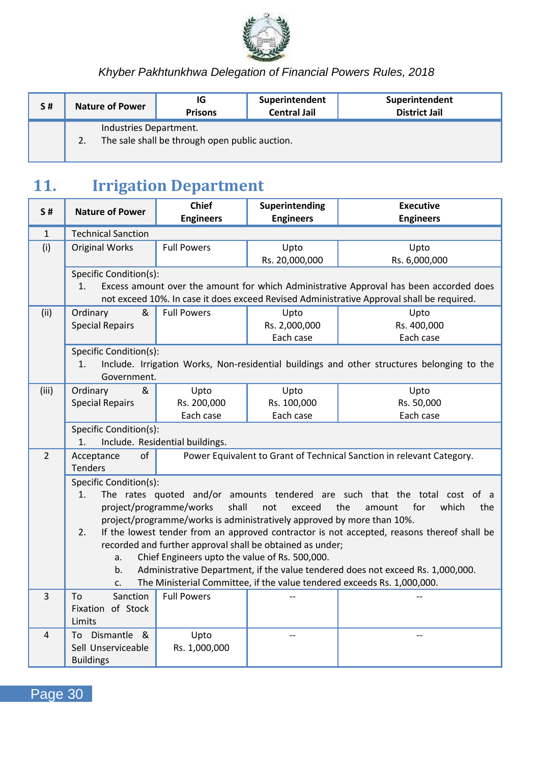

| <b>S#</b> |    | <b>Nature of Power</b> | ١G<br><b>Prisons</b>                           | Superintendent<br><b>Central Jail</b> | Superintendent<br><b>District Jail</b> |
|-----------|----|------------------------|------------------------------------------------|---------------------------------------|----------------------------------------|
|           | 2. | Industries Department. | The sale shall be through open public auction. |                                       |                                        |

## <span id="page-34-0"></span>**11. Irrigation Department**

| S#             | <b>Nature of Power</b>    | <b>Chief</b>                                                           | Superintending   | <b>Executive</b>                                                                           |
|----------------|---------------------------|------------------------------------------------------------------------|------------------|--------------------------------------------------------------------------------------------|
|                |                           | <b>Engineers</b>                                                       | <b>Engineers</b> | <b>Engineers</b>                                                                           |
| $\mathbf{1}$   | <b>Technical Sanction</b> |                                                                        |                  |                                                                                            |
| (i)            | <b>Original Works</b>     | <b>Full Powers</b>                                                     | Upto             | Upto                                                                                       |
|                |                           |                                                                        | Rs. 20,000,000   | Rs. 6,000,000                                                                              |
|                | Specific Condition(s):    |                                                                        |                  |                                                                                            |
|                | 1.                        |                                                                        |                  | Excess amount over the amount for which Administrative Approval has been accorded does     |
|                |                           |                                                                        |                  | not exceed 10%. In case it does exceed Revised Administrative Approval shall be required.  |
| (ii)           | &<br>Ordinary             | <b>Full Powers</b>                                                     | Upto             | Upto                                                                                       |
|                | <b>Special Repairs</b>    |                                                                        | Rs. 2,000,000    | Rs. 400,000                                                                                |
|                |                           |                                                                        | Each case        | Each case                                                                                  |
|                | Specific Condition(s):    |                                                                        |                  |                                                                                            |
|                | 1.                        |                                                                        |                  | Include. Irrigation Works, Non-residential buildings and other structures belonging to the |
|                | Government.               |                                                                        |                  |                                                                                            |
| (iii)          | Ordinary<br>&             | Upto                                                                   | Upto             | Upto                                                                                       |
|                | <b>Special Repairs</b>    | Rs. 200,000                                                            | Rs. 100,000      | Rs. 50,000                                                                                 |
|                |                           | Each case                                                              | Each case        | Each case                                                                                  |
|                | Specific Condition(s):    |                                                                        |                  |                                                                                            |
|                | 1.                        | Include. Residential buildings.                                        |                  |                                                                                            |
| $\overline{2}$ | of<br>Acceptance          |                                                                        |                  | Power Equivalent to Grant of Technical Sanction in relevant Category.                      |
|                | <b>Tenders</b>            |                                                                        |                  |                                                                                            |
|                | Specific Condition(s):    |                                                                        |                  |                                                                                            |
|                | 1.                        |                                                                        |                  | The rates quoted and/or amounts tendered are such that the total cost of a                 |
|                |                           | project/programme/works<br>shall                                       | not<br>exceed    | the<br>for<br>which<br>the<br>amount                                                       |
|                |                           | project/programme/works is administratively approved by more than 10%. |                  |                                                                                            |
|                | 2.                        |                                                                        |                  | If the lowest tender from an approved contractor is not accepted, reasons thereof shall be |
|                |                           | recorded and further approval shall be obtained as under;              |                  |                                                                                            |
|                | a.                        | Chief Engineers upto the value of Rs. 500,000.                         |                  |                                                                                            |
|                | b.                        |                                                                        |                  | Administrative Department, if the value tendered does not exceed Rs. 1,000,000.            |
|                | C.                        |                                                                        |                  | The Ministerial Committee, if the value tendered exceeds Rs. 1,000,000.                    |
| 3              | To<br>Sanction            | <b>Full Powers</b>                                                     |                  |                                                                                            |
|                | Fixation of Stock         |                                                                        |                  |                                                                                            |
|                | Limits                    |                                                                        |                  |                                                                                            |
| 4              | To Dismantle &            | Upto                                                                   |                  |                                                                                            |
|                | Sell Unserviceable        | Rs. 1,000,000                                                          |                  |                                                                                            |
|                | <b>Buildings</b>          |                                                                        |                  |                                                                                            |

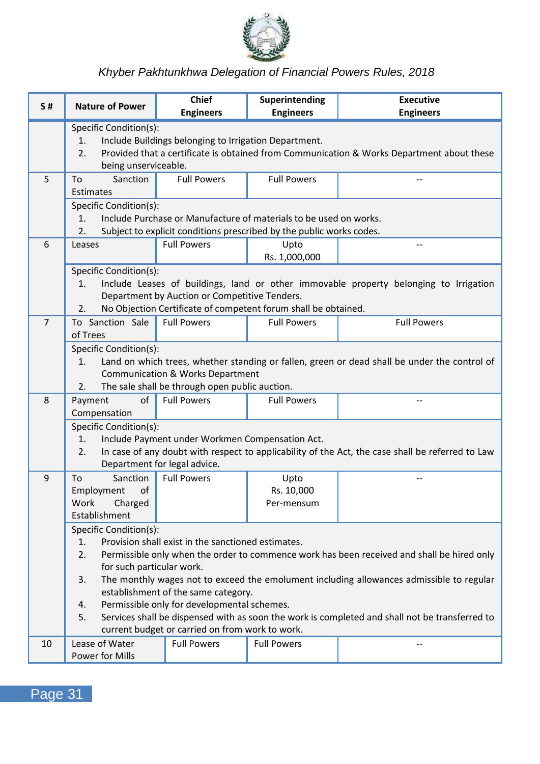

| <b>S#</b>      | <b>Nature of Power</b>                                                                                                                                                                                                            | <b>Chief</b><br><b>Engineers</b>                                                               | Superintending<br><b>Engineers</b>                                                                                                        | <b>Executive</b><br><b>Engineers</b>                                                             |  |  |  |
|----------------|-----------------------------------------------------------------------------------------------------------------------------------------------------------------------------------------------------------------------------------|------------------------------------------------------------------------------------------------|-------------------------------------------------------------------------------------------------------------------------------------------|--------------------------------------------------------------------------------------------------|--|--|--|
|                | Specific Condition(s):<br>Include Buildings belonging to Irrigation Department.<br>1.<br>Provided that a certificate is obtained from Communication & Works Department about these<br>$\overline{2}$ .<br>being unserviceable.    |                                                                                                |                                                                                                                                           |                                                                                                  |  |  |  |
| 5              | To<br>Sanction<br>Estimates                                                                                                                                                                                                       | <b>Full Powers</b>                                                                             | <b>Full Powers</b>                                                                                                                        |                                                                                                  |  |  |  |
|                | Specific Condition(s):<br>1.<br>$\overline{2}$ .                                                                                                                                                                                  |                                                                                                | Include Purchase or Manufacture of materials to be used on works.<br>Subject to explicit conditions prescribed by the public works codes. |                                                                                                  |  |  |  |
| 6              | Leases                                                                                                                                                                                                                            | <b>Full Powers</b>                                                                             | Upto<br>Rs. 1,000,000                                                                                                                     | $\overline{a}$                                                                                   |  |  |  |
|                | Specific Condition(s):<br>1.<br>2.                                                                                                                                                                                                | Department by Auction or Competitive Tenders.                                                  | No Objection Certificate of competent forum shall be obtained.                                                                            | Include Leases of buildings, land or other immovable property belonging to Irrigation            |  |  |  |
| $\overline{7}$ | To Sanction Sale<br>of Trees                                                                                                                                                                                                      | <b>Full Powers</b>                                                                             | <b>Full Powers</b>                                                                                                                        | <b>Full Powers</b>                                                                               |  |  |  |
|                | Specific Condition(s):<br>Land on which trees, whether standing or fallen, green or dead shall be under the control of<br>1.<br>Communication & Works Department<br>The sale shall be through open public auction.<br>2.          |                                                                                                |                                                                                                                                           |                                                                                                  |  |  |  |
| 8              | Payment<br>οf<br>Compensation                                                                                                                                                                                                     | <b>Full Powers</b>                                                                             | <b>Full Powers</b>                                                                                                                        | $\sim$                                                                                           |  |  |  |
|                | Specific Condition(s):<br>1.<br>2.                                                                                                                                                                                                | Include Payment under Workmen Compensation Act.<br>Department for legal advice.                |                                                                                                                                           | In case of any doubt with respect to applicability of the Act, the case shall be referred to Law |  |  |  |
| 9              | To<br>Sanction<br>Employment<br>of<br>Work<br>Charged<br>Establishment                                                                                                                                                            | <b>Full Powers</b>                                                                             | Upto<br>Rs. 10,000<br>Per-mensum                                                                                                          |                                                                                                  |  |  |  |
|                | Specific Condition(s):<br>Provision shall exist in the sanctioned estimates.<br>1.<br>$\overline{2}$ .<br>Permissible only when the order to commence work has been received and shall be hired only<br>for such particular work. |                                                                                                |                                                                                                                                           |                                                                                                  |  |  |  |
|                | 3.                                                                                                                                                                                                                                | establishment of the same category.                                                            |                                                                                                                                           | The monthly wages not to exceed the emolument including allowances admissible to regular         |  |  |  |
|                | 4.<br>5.                                                                                                                                                                                                                          | Permissible only for developmental schemes.<br>current budget or carried on from work to work. |                                                                                                                                           | Services shall be dispensed with as soon the work is completed and shall not be transferred to   |  |  |  |
| 10             | Lease of Water<br>Power for Mills                                                                                                                                                                                                 | <b>Full Powers</b>                                                                             | <b>Full Powers</b>                                                                                                                        | $\overline{a}$                                                                                   |  |  |  |

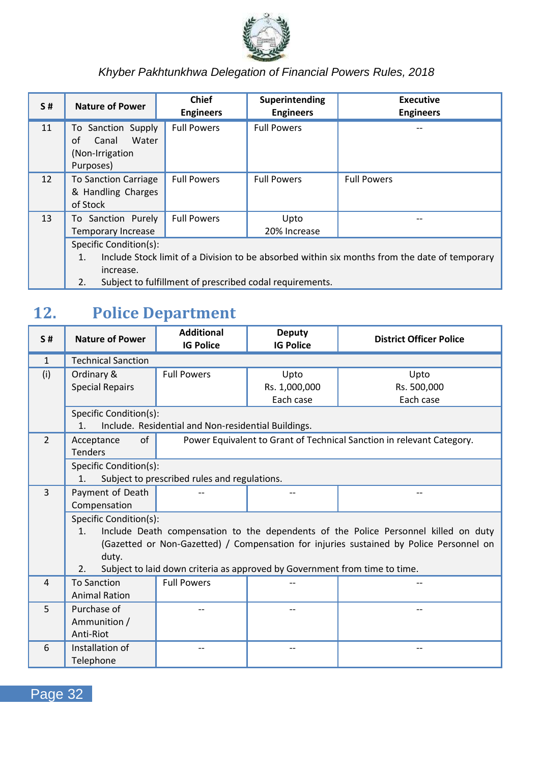

| S# | <b>Nature of Power</b>                                                                              | <b>Chief</b><br><b>Engineers</b> | Superintending<br><b>Engineers</b>                       | <b>Executive</b><br><b>Engineers</b> |  |  |
|----|-----------------------------------------------------------------------------------------------------|----------------------------------|----------------------------------------------------------|--------------------------------------|--|--|
| 11 | To Sanction Supply<br>Water<br>of<br>Canal<br>(Non-Irrigation)<br>Purposes)                         | <b>Full Powers</b>               | <b>Full Powers</b>                                       |                                      |  |  |
| 12 | <b>To Sanction Carriage</b><br>& Handling Charges<br>of Stock                                       | <b>Full Powers</b>               | <b>Full Powers</b>                                       | <b>Full Powers</b>                   |  |  |
| 13 | To Sanction Purely<br>Temporary Increase                                                            | <b>Full Powers</b>               | Upto<br>20% Increase                                     |                                      |  |  |
|    | Specific Condition(s):                                                                              |                                  |                                                          |                                      |  |  |
|    | Include Stock limit of a Division to be absorbed within six months from the date of temporary<br>1. |                                  |                                                          |                                      |  |  |
|    | increase.                                                                                           |                                  |                                                          |                                      |  |  |
|    | 2.                                                                                                  |                                  | Subject to fulfillment of prescribed codal requirements. |                                      |  |  |

## <span id="page-36-0"></span>**12. Police Department**

| S#             | <b>Nature of Power</b>                     | <b>Additional</b><br><b>IG Police</b>                                      | <b>Deputy</b><br><b>IG Police</b> | <b>District Officer Police</b>                                                          |
|----------------|--------------------------------------------|----------------------------------------------------------------------------|-----------------------------------|-----------------------------------------------------------------------------------------|
| $\mathbf{1}$   | <b>Technical Sanction</b>                  |                                                                            |                                   |                                                                                         |
| (i)            | Ordinary &                                 | <b>Full Powers</b>                                                         | Upto                              | Upto                                                                                    |
|                | <b>Special Repairs</b>                     |                                                                            | Rs. 1,000,000                     | Rs. 500,000                                                                             |
|                |                                            |                                                                            | Each case                         | Each case                                                                               |
|                | Specific Condition(s):                     |                                                                            |                                   |                                                                                         |
|                | 1.                                         | Include. Residential and Non-residential Buildings.                        |                                   |                                                                                         |
| $\mathfrak{p}$ | of<br>Acceptance                           |                                                                            |                                   | Power Equivalent to Grant of Technical Sanction in relevant Category.                   |
|                | <b>Tenders</b>                             |                                                                            |                                   |                                                                                         |
|                | Specific Condition(s):                     |                                                                            |                                   |                                                                                         |
|                | 1.                                         | Subject to prescribed rules and regulations.                               |                                   |                                                                                         |
| 3              | Payment of Death                           |                                                                            |                                   |                                                                                         |
|                | Compensation                               |                                                                            |                                   |                                                                                         |
|                | Specific Condition(s):                     |                                                                            |                                   |                                                                                         |
|                | 1 <sub>1</sub>                             |                                                                            |                                   | Include Death compensation to the dependents of the Police Personnel killed on duty     |
|                |                                            |                                                                            |                                   | (Gazetted or Non-Gazetted) / Compensation for injuries sustained by Police Personnel on |
|                | duty.<br>2.                                | Subject to laid down criteria as approved by Government from time to time. |                                   |                                                                                         |
| $\overline{a}$ |                                            | <b>Full Powers</b>                                                         |                                   |                                                                                         |
|                | <b>To Sanction</b><br><b>Animal Ration</b> |                                                                            |                                   |                                                                                         |
| 5              | Purchase of                                |                                                                            |                                   |                                                                                         |
|                | Ammunition /                               |                                                                            |                                   |                                                                                         |
|                | Anti-Riot                                  |                                                                            |                                   |                                                                                         |
| 6              | Installation of                            |                                                                            |                                   |                                                                                         |
|                | Telephone                                  |                                                                            |                                   |                                                                                         |
|                |                                            |                                                                            |                                   |                                                                                         |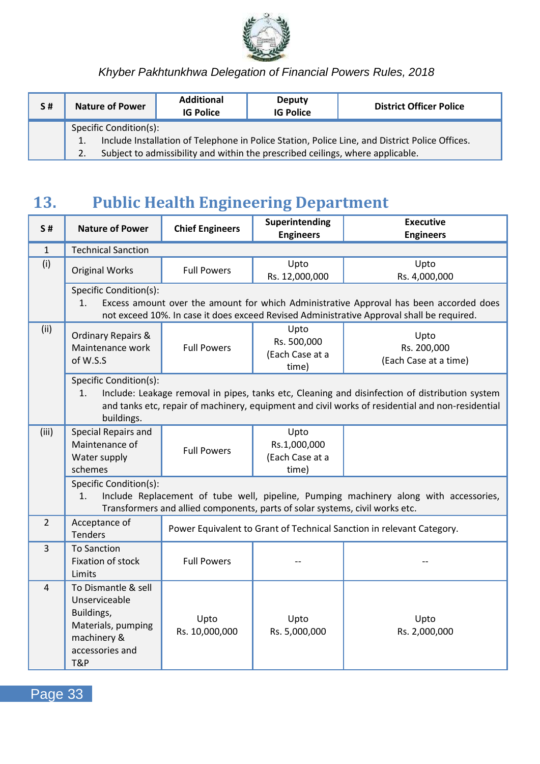

| S# | <b>Nature of Power</b>                                                                         | <b>Additional</b><br><b>IG Police</b>                                          | Deputy<br><b>IG Police</b> | <b>District Officer Police</b> |  |  |  |  |
|----|------------------------------------------------------------------------------------------------|--------------------------------------------------------------------------------|----------------------------|--------------------------------|--|--|--|--|
|    | Specific Condition(s):                                                                         |                                                                                |                            |                                |  |  |  |  |
|    | Include Installation of Telephone in Police Station, Police Line, and District Police Offices. |                                                                                |                            |                                |  |  |  |  |
|    |                                                                                                | Subject to admissibility and within the prescribed ceilings, where applicable. |                            |                                |  |  |  |  |

### <span id="page-37-0"></span>**13. Public Health Engineering Department**

| S#             | <b>Nature of Power</b>                                                                                            | <b>Chief Engineers</b> | Superintending<br><b>Engineers</b>                                           | <b>Executive</b><br><b>Engineers</b>                                                                                                                                                               |
|----------------|-------------------------------------------------------------------------------------------------------------------|------------------------|------------------------------------------------------------------------------|----------------------------------------------------------------------------------------------------------------------------------------------------------------------------------------------------|
| $\mathbf{1}$   | <b>Technical Sanction</b>                                                                                         |                        |                                                                              |                                                                                                                                                                                                    |
| (i)            | <b>Original Works</b>                                                                                             | <b>Full Powers</b>     | Upto<br>Rs. 12,000,000                                                       | Upto<br>Rs. 4,000,000                                                                                                                                                                              |
|                | Specific Condition(s):<br>1.                                                                                      |                        |                                                                              | Excess amount over the amount for which Administrative Approval has been accorded does<br>not exceed 10%. In case it does exceed Revised Administrative Approval shall be required.                |
| (ii)           | <b>Ordinary Repairs &amp;</b><br>Maintenance work<br>of W.S.S                                                     | <b>Full Powers</b>     | Upto<br>Rs. 500,000<br>(Each Case at a<br>time)                              | Upto<br>Rs. 200,000<br>(Each Case at a time)                                                                                                                                                       |
|                | Specific Condition(s):<br>1.<br>buildings.                                                                        |                        |                                                                              | Include: Leakage removal in pipes, tanks etc, Cleaning and disinfection of distribution system<br>and tanks etc, repair of machinery, equipment and civil works of residential and non-residential |
| (iii)          | Special Repairs and<br>Maintenance of<br>Water supply<br>schemes                                                  | <b>Full Powers</b>     | Upto<br>Rs.1,000,000<br>(Each Case at a<br>time)                             |                                                                                                                                                                                                    |
|                | Specific Condition(s):<br>1.                                                                                      |                        | Transformers and allied components, parts of solar systems, civil works etc. | Include Replacement of tube well, pipeline, Pumping machinery along with accessories,                                                                                                              |
| $\overline{2}$ | Acceptance of<br><b>Tenders</b>                                                                                   |                        |                                                                              | Power Equivalent to Grant of Technical Sanction in relevant Category.                                                                                                                              |
| $\overline{3}$ | <b>To Sanction</b><br>Fixation of stock<br>Limits                                                                 | <b>Full Powers</b>     |                                                                              |                                                                                                                                                                                                    |
| 4              | To Dismantle & sell<br>Unserviceable<br>Buildings,<br>Materials, pumping<br>machinery &<br>accessories and<br>T&P | Upto<br>Rs. 10,000,000 | Upto<br>Rs. 5,000,000                                                        | Upto<br>Rs. 2,000,000                                                                                                                                                                              |

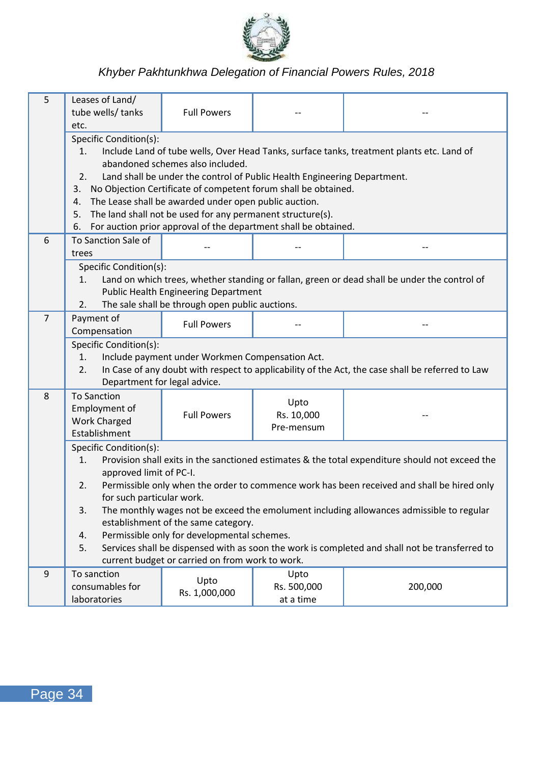

| 5              | Leases of Land/<br>tube wells/ tanks<br>etc.                                                                                                                                                                                                                                                                                                                                                                                                                                                                                     | <b>Full Powers</b>                                                                             |                                  |                                                                                                  |  |
|----------------|----------------------------------------------------------------------------------------------------------------------------------------------------------------------------------------------------------------------------------------------------------------------------------------------------------------------------------------------------------------------------------------------------------------------------------------------------------------------------------------------------------------------------------|------------------------------------------------------------------------------------------------|----------------------------------|--------------------------------------------------------------------------------------------------|--|
|                | Specific Condition(s):<br>1.<br>Include Land of tube wells, Over Head Tanks, surface tanks, treatment plants etc. Land of<br>abandoned schemes also included.<br>2.<br>Land shall be under the control of Public Health Engineering Department.<br>3. No Objection Certificate of competent forum shall be obtained.<br>The Lease shall be awarded under open public auction.<br>4.<br>5.<br>The land shall not be used for any permanent structure(s).<br>For auction prior approval of the department shall be obtained.<br>6. |                                                                                                |                                  |                                                                                                  |  |
| 6              | To Sanction Sale of<br>trees                                                                                                                                                                                                                                                                                                                                                                                                                                                                                                     |                                                                                                |                                  |                                                                                                  |  |
|                | Specific Condition(s):<br>1.<br>2.                                                                                                                                                                                                                                                                                                                                                                                                                                                                                               | <b>Public Health Engineering Department</b><br>The sale shall be through open public auctions. |                                  | Land on which trees, whether standing or fallan, green or dead shall be under the control of     |  |
| $\overline{7}$ | Payment of<br>Compensation                                                                                                                                                                                                                                                                                                                                                                                                                                                                                                       | <b>Full Powers</b>                                                                             |                                  |                                                                                                  |  |
|                | Specific Condition(s):<br>1.<br>2.<br>Department for legal advice.                                                                                                                                                                                                                                                                                                                                                                                                                                                               | Include payment under Workmen Compensation Act.                                                |                                  | In Case of any doubt with respect to applicability of the Act, the case shall be referred to Law |  |
| 8              | <b>To Sanction</b><br>Employment of<br><b>Work Charged</b><br>Establishment                                                                                                                                                                                                                                                                                                                                                                                                                                                      | <b>Full Powers</b>                                                                             | Upto<br>Rs. 10,000<br>Pre-mensum |                                                                                                  |  |
|                | Specific Condition(s):<br>1.<br>Provision shall exits in the sanctioned estimates & the total expenditure should not exceed the<br>approved limit of PC-I.<br>Permissible only when the order to commence work has been received and shall be hired only<br>2.                                                                                                                                                                                                                                                                   |                                                                                                |                                  |                                                                                                  |  |
|                | for such particular work.<br>3.                                                                                                                                                                                                                                                                                                                                                                                                                                                                                                  | establishment of the same category.                                                            |                                  | The monthly wages not be exceed the emolument including allowances admissible to regular         |  |
|                | Permissible only for developmental schemes.<br>4.<br>Services shall be dispensed with as soon the work is completed and shall not be transferred to<br>5.<br>current budget or carried on from work to work.                                                                                                                                                                                                                                                                                                                     |                                                                                                |                                  |                                                                                                  |  |
| 9              | To sanction<br>consumables for<br>laboratories                                                                                                                                                                                                                                                                                                                                                                                                                                                                                   | Upto<br>Rs. 1,000,000                                                                          | Upto<br>Rs. 500,000<br>at a time | 200,000                                                                                          |  |

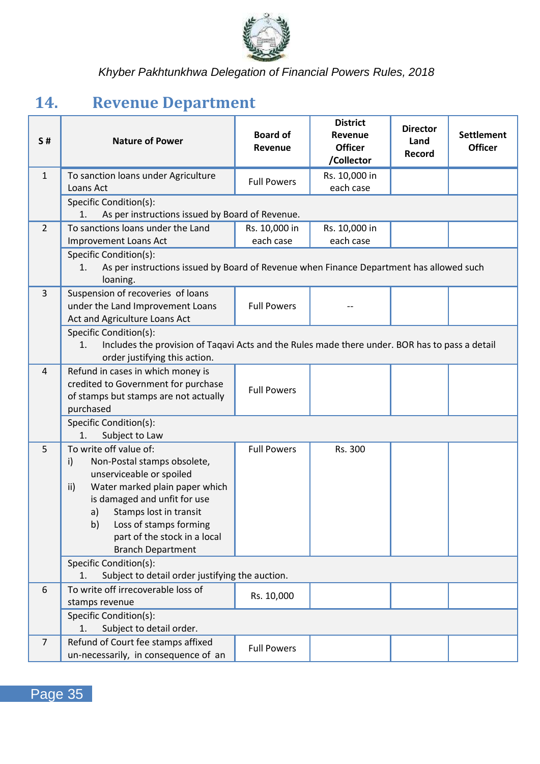

## <span id="page-39-0"></span>**14. Revenue Department**

| <b>S#</b>      | <b>Nature of Power</b>                                                                                                                                                                                                                                                                       | <b>Board of</b><br>Revenue | <b>District</b><br>Revenue<br><b>Officer</b><br>/Collector | <b>Director</b><br>Land<br>Record | <b>Settlement</b><br><b>Officer</b> |  |
|----------------|----------------------------------------------------------------------------------------------------------------------------------------------------------------------------------------------------------------------------------------------------------------------------------------------|----------------------------|------------------------------------------------------------|-----------------------------------|-------------------------------------|--|
| $\mathbf{1}$   | To sanction loans under Agriculture<br>Loans Act                                                                                                                                                                                                                                             | <b>Full Powers</b>         | Rs. 10,000 in<br>each case                                 |                                   |                                     |  |
|                | Specific Condition(s):<br>1.<br>As per instructions issued by Board of Revenue.                                                                                                                                                                                                              |                            |                                                            |                                   |                                     |  |
| $\overline{2}$ | To sanctions loans under the Land<br><b>Improvement Loans Act</b>                                                                                                                                                                                                                            | Rs. 10,000 in<br>each case | Rs. 10,000 in<br>each case                                 |                                   |                                     |  |
|                | Specific Condition(s):<br>As per instructions issued by Board of Revenue when Finance Department has allowed such<br>1.<br>loaning.                                                                                                                                                          |                            |                                                            |                                   |                                     |  |
| 3              | Suspension of recoveries of loans<br>under the Land Improvement Loans<br>Act and Agriculture Loans Act                                                                                                                                                                                       | <b>Full Powers</b>         |                                                            |                                   |                                     |  |
|                | Specific Condition(s):<br>1.<br>Includes the provision of Taqavi Acts and the Rules made there under. BOR has to pass a detail<br>order justifying this action.                                                                                                                              |                            |                                                            |                                   |                                     |  |
| 4              | Refund in cases in which money is<br>credited to Government for purchase<br>of stamps but stamps are not actually<br>purchased                                                                                                                                                               | <b>Full Powers</b>         |                                                            |                                   |                                     |  |
|                | Specific Condition(s):<br>1.<br>Subject to Law                                                                                                                                                                                                                                               |                            |                                                            |                                   |                                     |  |
| 5              | To write off value of:<br>Non-Postal stamps obsolete,<br>i)<br>unserviceable or spoiled<br>Water marked plain paper which<br>ii)<br>is damaged and unfit for use<br>Stamps lost in transit<br>a)<br>b)<br>Loss of stamps forming<br>part of the stock in a local<br><b>Branch Department</b> | <b>Full Powers</b>         | Rs. 300                                                    |                                   |                                     |  |
|                | Specific Condition(s):<br>Subject to detail order justifying the auction.<br>1.                                                                                                                                                                                                              |                            |                                                            |                                   |                                     |  |
| 6              | To write off irrecoverable loss of<br>stamps revenue                                                                                                                                                                                                                                         | Rs. 10,000                 |                                                            |                                   |                                     |  |
|                | Specific Condition(s):<br>1.<br>Subject to detail order.                                                                                                                                                                                                                                     |                            |                                                            |                                   |                                     |  |
| $\overline{7}$ | Refund of Court fee stamps affixed<br>un-necessarily, in consequence of an                                                                                                                                                                                                                   | <b>Full Powers</b>         |                                                            |                                   |                                     |  |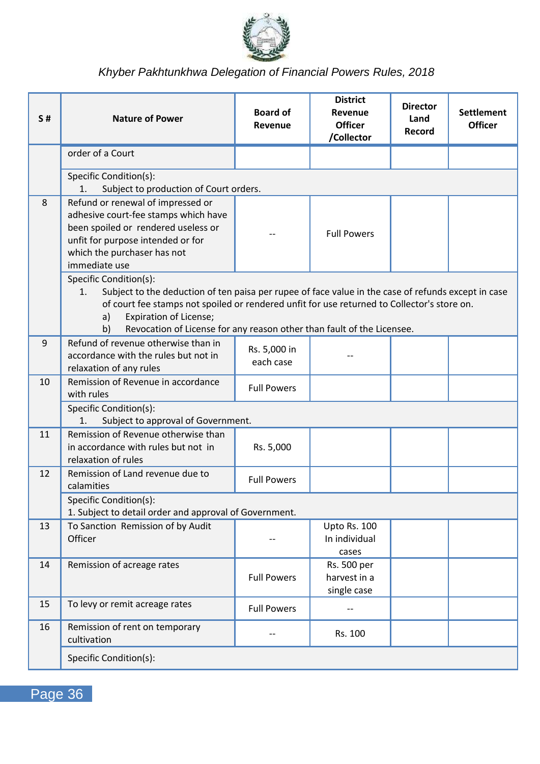

| S# | <b>Nature of Power</b>                                                                                                                                                                                                                                                                                                                             | <b>Board of</b><br>Revenue | <b>District</b><br>Revenue<br><b>Officer</b><br>/Collector | <b>Director</b><br>Land<br>Record | <b>Settlement</b><br><b>Officer</b> |  |
|----|----------------------------------------------------------------------------------------------------------------------------------------------------------------------------------------------------------------------------------------------------------------------------------------------------------------------------------------------------|----------------------------|------------------------------------------------------------|-----------------------------------|-------------------------------------|--|
|    | order of a Court                                                                                                                                                                                                                                                                                                                                   |                            |                                                            |                                   |                                     |  |
|    | Specific Condition(s):<br>Subject to production of Court orders.<br>1.                                                                                                                                                                                                                                                                             |                            |                                                            |                                   |                                     |  |
| 8  | Refund or renewal of impressed or<br>adhesive court-fee stamps which have<br>been spoiled or rendered useless or<br>unfit for purpose intended or for<br>which the purchaser has not<br>immediate use                                                                                                                                              |                            | <b>Full Powers</b>                                         |                                   |                                     |  |
|    | Specific Condition(s):<br>Subject to the deduction of ten paisa per rupee of face value in the case of refunds except in case<br>1.<br>of court fee stamps not spoiled or rendered unfit for use returned to Collector's store on.<br>Expiration of License;<br>a)<br>b)<br>Revocation of License for any reason other than fault of the Licensee. |                            |                                                            |                                   |                                     |  |
| 9  | Refund of revenue otherwise than in<br>accordance with the rules but not in<br>relaxation of any rules                                                                                                                                                                                                                                             | Rs. 5,000 in<br>each case  |                                                            |                                   |                                     |  |
| 10 | Remission of Revenue in accordance<br>with rules                                                                                                                                                                                                                                                                                                   | <b>Full Powers</b>         |                                                            |                                   |                                     |  |
|    | Specific Condition(s):<br>Subject to approval of Government.<br>1.                                                                                                                                                                                                                                                                                 |                            |                                                            |                                   |                                     |  |
| 11 | Remission of Revenue otherwise than<br>in accordance with rules but not in<br>relaxation of rules                                                                                                                                                                                                                                                  | Rs. 5,000                  |                                                            |                                   |                                     |  |
| 12 | Remission of Land revenue due to<br>calamities                                                                                                                                                                                                                                                                                                     | <b>Full Powers</b>         |                                                            |                                   |                                     |  |
|    | Specific Condition(s):<br>1. Subject to detail order and approval of Government.                                                                                                                                                                                                                                                                   |                            |                                                            |                                   |                                     |  |
| 13 | To Sanction Remission of by Audit<br>Officer                                                                                                                                                                                                                                                                                                       |                            | Upto Rs. 100<br>In individual<br>cases                     |                                   |                                     |  |
| 14 | Remission of acreage rates                                                                                                                                                                                                                                                                                                                         | <b>Full Powers</b>         | Rs. 500 per<br>harvest in a<br>single case                 |                                   |                                     |  |
| 15 | To levy or remit acreage rates                                                                                                                                                                                                                                                                                                                     | <b>Full Powers</b>         |                                                            |                                   |                                     |  |
| 16 | Remission of rent on temporary<br>cultivation                                                                                                                                                                                                                                                                                                      | $-$                        | Rs. 100                                                    |                                   |                                     |  |
|    | Specific Condition(s):                                                                                                                                                                                                                                                                                                                             |                            |                                                            |                                   |                                     |  |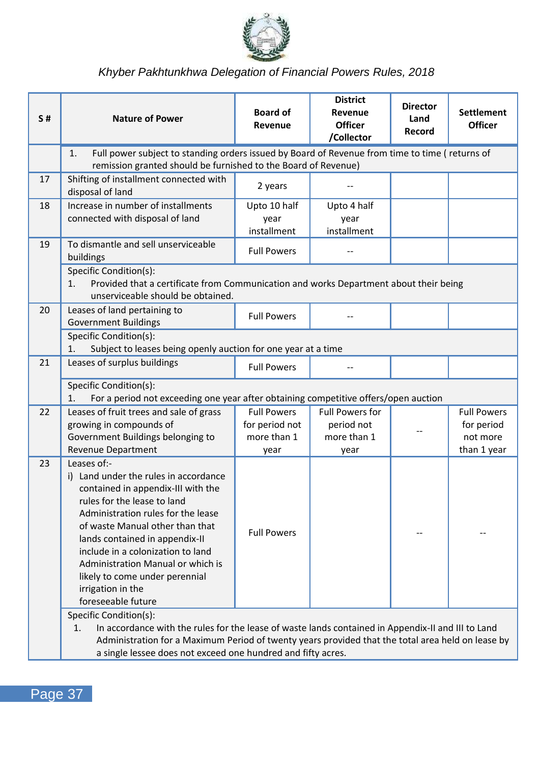

| <b>S#</b> | <b>Nature of Power</b>                                                                                                                                                                                                                                                                                                                                                                      | <b>Board of</b><br>Revenue          | <b>District</b><br>Revenue<br><b>Officer</b><br>/Collector | <b>Director</b><br>Land<br>Record | <b>Settlement</b><br><b>Officer</b> |
|-----------|---------------------------------------------------------------------------------------------------------------------------------------------------------------------------------------------------------------------------------------------------------------------------------------------------------------------------------------------------------------------------------------------|-------------------------------------|------------------------------------------------------------|-----------------------------------|-------------------------------------|
|           | Full power subject to standing orders issued by Board of Revenue from time to time (returns of<br>1.<br>remission granted should be furnished to the Board of Revenue)                                                                                                                                                                                                                      |                                     |                                                            |                                   |                                     |
| 17        | Shifting of installment connected with<br>disposal of land                                                                                                                                                                                                                                                                                                                                  | 2 years                             |                                                            |                                   |                                     |
| 18        | Increase in number of installments<br>connected with disposal of land                                                                                                                                                                                                                                                                                                                       | Upto 10 half<br>year<br>installment | Upto 4 half<br>year<br>installment                         |                                   |                                     |
| 19        | To dismantle and sell unserviceable<br>buildings                                                                                                                                                                                                                                                                                                                                            | <b>Full Powers</b>                  |                                                            |                                   |                                     |
|           | Specific Condition(s):<br>1.<br>Provided that a certificate from Communication and works Department about their being<br>unserviceable should be obtained.                                                                                                                                                                                                                                  |                                     |                                                            |                                   |                                     |
| 20        | Leases of land pertaining to<br><b>Government Buildings</b>                                                                                                                                                                                                                                                                                                                                 | <b>Full Powers</b>                  |                                                            |                                   |                                     |
|           | Specific Condition(s):<br>Subject to leases being openly auction for one year at a time<br>1.                                                                                                                                                                                                                                                                                               |                                     |                                                            |                                   |                                     |
| 21        | Leases of surplus buildings                                                                                                                                                                                                                                                                                                                                                                 | <b>Full Powers</b>                  | --                                                         |                                   |                                     |
|           | Specific Condition(s):<br>For a period not exceeding one year after obtaining competitive offers/open auction<br>1.                                                                                                                                                                                                                                                                         |                                     |                                                            |                                   |                                     |
| 22        | Leases of fruit trees and sale of grass                                                                                                                                                                                                                                                                                                                                                     | <b>Full Powers</b>                  | <b>Full Powers for</b>                                     |                                   | <b>Full Powers</b>                  |
|           | growing in compounds of                                                                                                                                                                                                                                                                                                                                                                     | for period not                      | period not                                                 |                                   | for period                          |
|           | Government Buildings belonging to                                                                                                                                                                                                                                                                                                                                                           | more than 1                         | more than 1                                                |                                   | not more                            |
|           | Revenue Department                                                                                                                                                                                                                                                                                                                                                                          | year                                | year                                                       |                                   | than 1 year                         |
| 23        | Leases of:-<br>i) Land under the rules in accordance<br>contained in appendix-III with the<br>rules for the lease to land<br>Administration rules for the lease<br>of waste Manual other than that<br>lands contained in appendix-II<br>include in a colonization to land<br>Administration Manual or which is<br>likely to come under perennial<br>irrigation in the<br>foreseeable future | <b>Full Powers</b>                  |                                                            |                                   |                                     |
|           | Specific Condition(s):<br>In accordance with the rules for the lease of waste lands contained in Appendix-II and III to Land<br>1.<br>Administration for a Maximum Period of twenty years provided that the total area held on lease by<br>a single lessee does not exceed one hundred and fifty acres.                                                                                     |                                     |                                                            |                                   |                                     |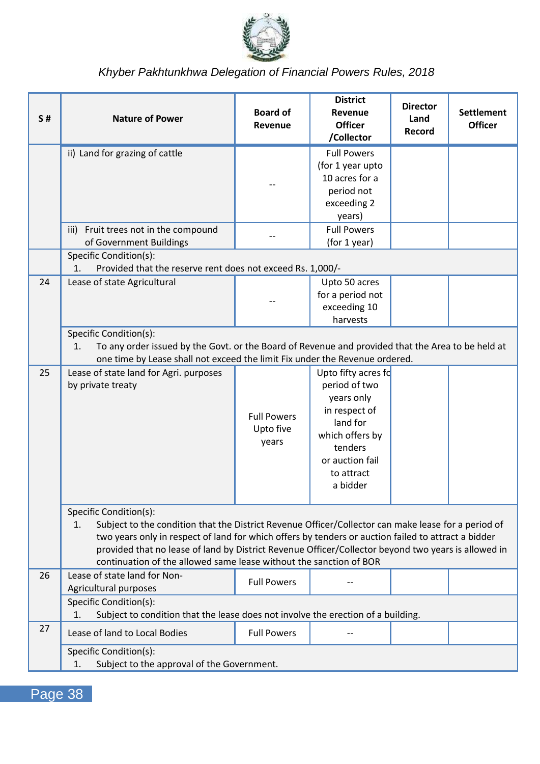

| S# | <b>Nature of Power</b>                                                                                                                                                                                                                                                                                                                                                                                                  | <b>Board of</b><br>Revenue               | <b>District</b><br>Revenue<br><b>Officer</b><br>/Collector                                                                                                 | <b>Director</b><br>Land<br>Record | <b>Settlement</b><br><b>Officer</b> |  |
|----|-------------------------------------------------------------------------------------------------------------------------------------------------------------------------------------------------------------------------------------------------------------------------------------------------------------------------------------------------------------------------------------------------------------------------|------------------------------------------|------------------------------------------------------------------------------------------------------------------------------------------------------------|-----------------------------------|-------------------------------------|--|
|    | ii) Land for grazing of cattle                                                                                                                                                                                                                                                                                                                                                                                          |                                          | <b>Full Powers</b><br>(for 1 year upto<br>10 acres for a<br>period not<br>exceeding 2<br>years)                                                            |                                   |                                     |  |
|    | iii) Fruit trees not in the compound<br>of Government Buildings<br>Specific Condition(s):                                                                                                                                                                                                                                                                                                                               |                                          | <b>Full Powers</b><br>(for 1 year)                                                                                                                         |                                   |                                     |  |
|    | 1.<br>Provided that the reserve rent does not exceed Rs. 1,000/-                                                                                                                                                                                                                                                                                                                                                        |                                          |                                                                                                                                                            |                                   |                                     |  |
| 24 | Lease of state Agricultural                                                                                                                                                                                                                                                                                                                                                                                             |                                          | Upto 50 acres<br>for a period not<br>exceeding 10<br>harvests                                                                                              |                                   |                                     |  |
|    | Specific Condition(s):<br>1.<br>To any order issued by the Govt. or the Board of Revenue and provided that the Area to be held at<br>one time by Lease shall not exceed the limit Fix under the Revenue ordered.                                                                                                                                                                                                        |                                          |                                                                                                                                                            |                                   |                                     |  |
| 25 | Lease of state land for Agri. purposes<br>by private treaty                                                                                                                                                                                                                                                                                                                                                             | <b>Full Powers</b><br>Upto five<br>years | Upto fifty acres fo<br>period of two<br>years only<br>in respect of<br>land for<br>which offers by<br>tenders<br>or auction fail<br>to attract<br>a bidder |                                   |                                     |  |
|    | Specific Condition(s):<br>1.<br>Subject to the condition that the District Revenue Officer/Collector can make lease for a period of<br>two years only in respect of land for which offers by tenders or auction failed to attract a bidder<br>provided that no lease of land by District Revenue Officer/Collector beyond two years is allowed in<br>continuation of the allowed same lease without the sanction of BOR |                                          |                                                                                                                                                            |                                   |                                     |  |
| 26 | Lease of state land for Non-<br>Agricultural purposes                                                                                                                                                                                                                                                                                                                                                                   | <b>Full Powers</b>                       |                                                                                                                                                            |                                   |                                     |  |
|    | Specific Condition(s):<br>Subject to condition that the lease does not involve the erection of a building.<br>1.                                                                                                                                                                                                                                                                                                        |                                          |                                                                                                                                                            |                                   |                                     |  |
| 27 | Lease of land to Local Bodies                                                                                                                                                                                                                                                                                                                                                                                           | <b>Full Powers</b>                       |                                                                                                                                                            |                                   |                                     |  |
|    | Specific Condition(s):<br>Subject to the approval of the Government.<br>1.                                                                                                                                                                                                                                                                                                                                              |                                          |                                                                                                                                                            |                                   |                                     |  |

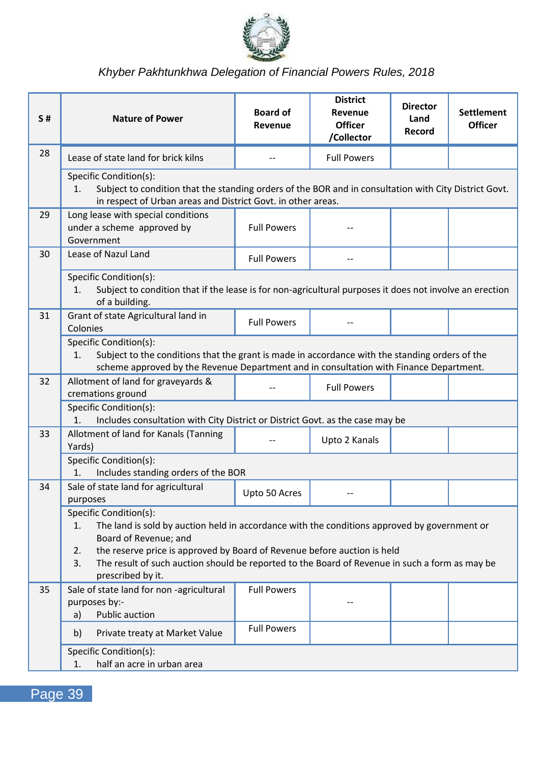

| S# | <b>Nature of Power</b>                                                                                                                                                                                                                  | <b>Board of</b><br>Revenue | <b>District</b><br>Revenue<br><b>Officer</b><br>/Collector | <b>Director</b><br>Land<br>Record | <b>Settlement</b><br><b>Officer</b> |
|----|-----------------------------------------------------------------------------------------------------------------------------------------------------------------------------------------------------------------------------------------|----------------------------|------------------------------------------------------------|-----------------------------------|-------------------------------------|
| 28 | Lease of state land for brick kilns                                                                                                                                                                                                     |                            | <b>Full Powers</b>                                         |                                   |                                     |
|    | Specific Condition(s):<br>Subject to condition that the standing orders of the BOR and in consultation with City District Govt.<br>1.<br>in respect of Urban areas and District Govt. in other areas.                                   |                            |                                                            |                                   |                                     |
| 29 | Long lease with special conditions<br>under a scheme approved by<br>Government                                                                                                                                                          | <b>Full Powers</b>         |                                                            |                                   |                                     |
| 30 | Lease of Nazul Land                                                                                                                                                                                                                     | <b>Full Powers</b>         |                                                            |                                   |                                     |
|    | Specific Condition(s):<br>Subject to condition that if the lease is for non-agricultural purposes it does not involve an erection<br>1.<br>of a building.                                                                               |                            |                                                            |                                   |                                     |
| 31 | Grant of state Agricultural land in<br>Colonies                                                                                                                                                                                         | <b>Full Powers</b>         |                                                            |                                   |                                     |
|    | Specific Condition(s):<br>Subject to the conditions that the grant is made in accordance with the standing orders of the<br>1.<br>scheme approved by the Revenue Department and in consultation with Finance Department.                |                            |                                                            |                                   |                                     |
| 32 | Allotment of land for graveyards &<br>cremations ground                                                                                                                                                                                 | $\overline{a}$             | <b>Full Powers</b>                                         |                                   |                                     |
|    | Specific Condition(s):<br>1.<br>Includes consultation with City District or District Govt. as the case may be                                                                                                                           |                            |                                                            |                                   |                                     |
| 33 | Allotment of land for Kanals (Tanning<br>Yards)                                                                                                                                                                                         |                            | Upto 2 Kanals                                              |                                   |                                     |
|    | Specific Condition(s):<br>Includes standing orders of the BOR<br>1.                                                                                                                                                                     |                            |                                                            |                                   |                                     |
| 34 | Sale of state land for agricultural<br>purposes                                                                                                                                                                                         | Upto 50 Acres              |                                                            |                                   |                                     |
|    | Specific Condition(s):<br>1.<br>The land is sold by auction held in accordance with the conditions approved by government or<br>Board of Revenue; and<br>the reserve price is approved by Board of Revenue before auction is held<br>2. |                            |                                                            |                                   |                                     |
|    | 3.<br>The result of such auction should be reported to the Board of Revenue in such a form as may be<br>prescribed by it.                                                                                                               |                            |                                                            |                                   |                                     |
| 35 | Sale of state land for non -agricultural<br>purposes by:-<br><b>Public auction</b><br>a)                                                                                                                                                | <b>Full Powers</b>         |                                                            |                                   |                                     |
|    | b)<br>Private treaty at Market Value                                                                                                                                                                                                    | <b>Full Powers</b>         |                                                            |                                   |                                     |
|    | Specific Condition(s):<br>half an acre in urban area<br>1.                                                                                                                                                                              |                            |                                                            |                                   |                                     |

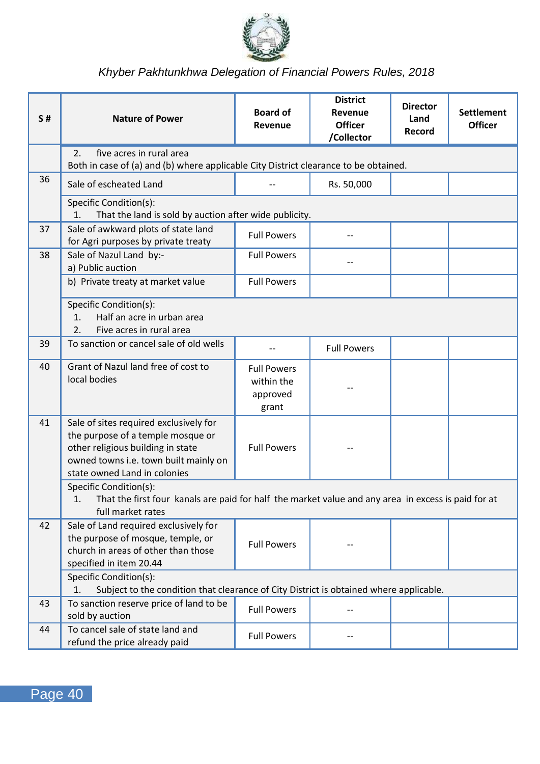

| <b>S#</b> | <b>Nature of Power</b>                                                                                                                                                                    | <b>Board of</b><br>Revenue                            | <b>District</b><br>Revenue<br><b>Officer</b><br>/Collector | <b>Director</b><br>Land<br>Record | <b>Settlement</b><br><b>Officer</b> |
|-----------|-------------------------------------------------------------------------------------------------------------------------------------------------------------------------------------------|-------------------------------------------------------|------------------------------------------------------------|-----------------------------------|-------------------------------------|
|           | 2.<br>five acres in rural area<br>Both in case of (a) and (b) where applicable City District clearance to be obtained.                                                                    |                                                       |                                                            |                                   |                                     |
| 36        | Sale of escheated Land                                                                                                                                                                    |                                                       | Rs. 50,000                                                 |                                   |                                     |
|           | Specific Condition(s):<br>1.<br>That the land is sold by auction after wide publicity.                                                                                                    |                                                       |                                                            |                                   |                                     |
| 37        | Sale of awkward plots of state land<br>for Agri purposes by private treaty                                                                                                                | <b>Full Powers</b>                                    |                                                            |                                   |                                     |
| 38        | Sale of Nazul Land by:-<br>a) Public auction                                                                                                                                              | <b>Full Powers</b>                                    |                                                            |                                   |                                     |
|           | b) Private treaty at market value                                                                                                                                                         | <b>Full Powers</b>                                    |                                                            |                                   |                                     |
|           | Specific Condition(s):<br>Half an acre in urban area<br>1.<br>2.<br>Five acres in rural area                                                                                              |                                                       |                                                            |                                   |                                     |
| 39        | To sanction or cancel sale of old wells                                                                                                                                                   | $-$                                                   | <b>Full Powers</b>                                         |                                   |                                     |
| 40        | Grant of Nazul land free of cost to<br>local bodies                                                                                                                                       | <b>Full Powers</b><br>within the<br>approved<br>grant |                                                            |                                   |                                     |
| 41        | Sale of sites required exclusively for<br>the purpose of a temple mosque or<br>other religious building in state<br>owned towns i.e. town built mainly on<br>state owned Land in colonies | <b>Full Powers</b>                                    |                                                            |                                   |                                     |
|           | Specific Condition(s):<br>1.<br>That the first four kanals are paid for half the market value and any area in excess is paid for at<br>full market rates                                  |                                                       |                                                            |                                   |                                     |
| 42        | Sale of Land required exclusively for<br>the purpose of mosque, temple, or<br>church in areas of other than those<br>specified in item 20.44                                              | <b>Full Powers</b>                                    |                                                            |                                   |                                     |
|           | Specific Condition(s):<br>Subject to the condition that clearance of City District is obtained where applicable.<br>1.                                                                    |                                                       |                                                            |                                   |                                     |
| 43        | To sanction reserve price of land to be<br>sold by auction                                                                                                                                | <b>Full Powers</b>                                    |                                                            |                                   |                                     |
| 44        | To cancel sale of state land and<br>refund the price already paid                                                                                                                         | <b>Full Powers</b>                                    |                                                            |                                   |                                     |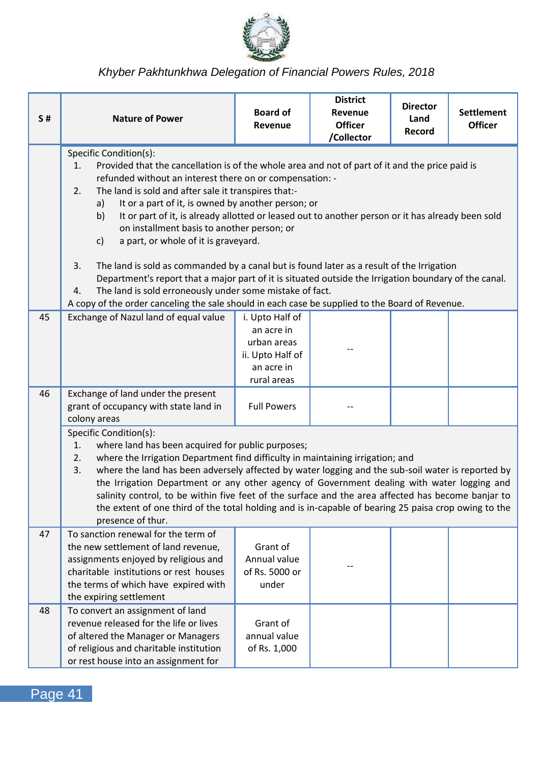

| <b>S#</b> | <b>Nature of Power</b>                                                                                                                                                                                                                                                                                                                                                                                                                                                                                                                                                                                                                                                                                                                                                                                                                                                                                        | <b>Board of</b><br>Revenue                                                                    | <b>District</b><br>Revenue<br><b>Officer</b><br>/Collector | <b>Director</b><br>Land<br>Record | <b>Settlement</b><br><b>Officer</b> |
|-----------|---------------------------------------------------------------------------------------------------------------------------------------------------------------------------------------------------------------------------------------------------------------------------------------------------------------------------------------------------------------------------------------------------------------------------------------------------------------------------------------------------------------------------------------------------------------------------------------------------------------------------------------------------------------------------------------------------------------------------------------------------------------------------------------------------------------------------------------------------------------------------------------------------------------|-----------------------------------------------------------------------------------------------|------------------------------------------------------------|-----------------------------------|-------------------------------------|
|           | Specific Condition(s):<br>1.<br>Provided that the cancellation is of the whole area and not of part of it and the price paid is<br>refunded without an interest there on or compensation: -<br>2.<br>The land is sold and after sale it transpires that:-<br>It or a part of it, is owned by another person; or<br>a)<br>It or part of it, is already allotted or leased out to another person or it has already been sold<br>b)<br>on installment basis to another person; or<br>a part, or whole of it is graveyard.<br>c)<br>3.<br>The land is sold as commanded by a canal but is found later as a result of the Irrigation<br>Department's report that a major part of it is situated outside the Irrigation boundary of the canal.<br>The land is sold erroneously under some mistake of fact.<br>4.<br>A copy of the order canceling the sale should in each case be supplied to the Board of Revenue. |                                                                                               |                                                            |                                   |                                     |
| 45        | Exchange of Nazul land of equal value                                                                                                                                                                                                                                                                                                                                                                                                                                                                                                                                                                                                                                                                                                                                                                                                                                                                         | i. Upto Half of<br>an acre in<br>urban areas<br>ii. Upto Half of<br>an acre in<br>rural areas |                                                            |                                   |                                     |
| 46        | Exchange of land under the present<br>grant of occupancy with state land in<br>colony areas                                                                                                                                                                                                                                                                                                                                                                                                                                                                                                                                                                                                                                                                                                                                                                                                                   | <b>Full Powers</b>                                                                            |                                                            |                                   |                                     |
|           | Specific Condition(s):<br>where land has been acquired for public purposes;<br>1.<br>2.<br>where the Irrigation Department find difficulty in maintaining irrigation; and<br>where the land has been adversely affected by water logging and the sub-soil water is reported by<br>3.<br>the Irrigation Department or any other agency of Government dealing with water logging and<br>salinity control, to be within five feet of the surface and the area affected has become banjar to<br>the extent of one third of the total holding and is in-capable of bearing 25 paisa crop owing to the<br>presence of thur.                                                                                                                                                                                                                                                                                         |                                                                                               |                                                            |                                   |                                     |
| 47        | To sanction renewal for the term of<br>the new settlement of land revenue,<br>assignments enjoyed by religious and<br>charitable institutions or rest houses<br>the terms of which have expired with<br>the expiring settlement                                                                                                                                                                                                                                                                                                                                                                                                                                                                                                                                                                                                                                                                               | Grant of<br>Annual value<br>of Rs. 5000 or<br>under                                           |                                                            |                                   |                                     |
| 48        | To convert an assignment of land<br>revenue released for the life or lives<br>of altered the Manager or Managers<br>of religious and charitable institution<br>or rest house into an assignment for                                                                                                                                                                                                                                                                                                                                                                                                                                                                                                                                                                                                                                                                                                           | Grant of<br>annual value<br>of Rs. 1,000                                                      |                                                            |                                   |                                     |